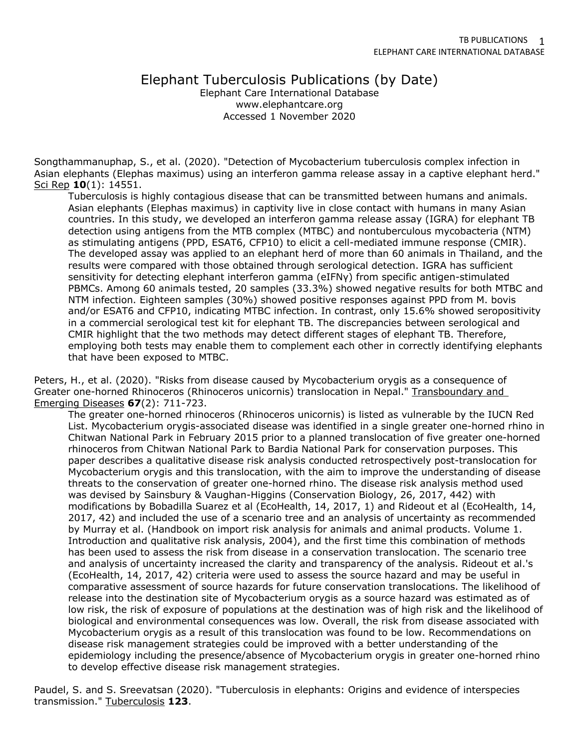# Elephant Tuberculosis Publications (by Date) Elephant Care International Database

www.elephantcare.org Accessed 1 November 2020

Songthammanuphap, S., et al. (2020). "Detection of Mycobacterium tuberculosis complex infection in Asian elephants (Elephas maximus) using an interferon gamma release assay in a captive elephant herd." Sci Rep **10**(1): 14551.

Tuberculosis is highly contagious disease that can be transmitted between humans and animals. Asian elephants (Elephas maximus) in captivity live in close contact with humans in many Asian countries. In this study, we developed an interferon gamma release assay (IGRA) for elephant TB detection using antigens from the MTB complex (MTBC) and nontuberculous mycobacteria (NTM) as stimulating antigens (PPD, ESAT6, CFP10) to elicit a cell-mediated immune response (CMIR). The developed assay was applied to an elephant herd of more than 60 animals in Thailand, and the results were compared with those obtained through serological detection. IGRA has sufficient sensitivity for detecting elephant interferon gamma (eIFNγ) from specific antigen-stimulated PBMCs. Among 60 animals tested, 20 samples (33.3%) showed negative results for both MTBC and NTM infection. Eighteen samples (30%) showed positive responses against PPD from M. bovis and/or ESAT6 and CFP10, indicating MTBC infection. In contrast, only 15.6% showed seropositivity in a commercial serological test kit for elephant TB. The discrepancies between serological and CMIR highlight that the two methods may detect different stages of elephant TB. Therefore, employing both tests may enable them to complement each other in correctly identifying elephants that have been exposed to MTBC.

Peters, H., et al. (2020). "Risks from disease caused by Mycobacterium orygis as a consequence of Greater one-horned Rhinoceros (Rhinoceros unicornis) translocation in Nepal." Transboundary and Emerging Diseases **67**(2): 711-723.

The greater one-horned rhinoceros (Rhinoceros unicornis) is listed as vulnerable by the IUCN Red List. Mycobacterium orygis-associated disease was identified in a single greater one-horned rhino in Chitwan National Park in February 2015 prior to a planned translocation of five greater one-horned rhinoceros from Chitwan National Park to Bardia National Park for conservation purposes. This paper describes a qualitative disease risk analysis conducted retrospectively post-translocation for Mycobacterium orygis and this translocation, with the aim to improve the understanding of disease threats to the conservation of greater one-horned rhino. The disease risk analysis method used was devised by Sainsbury & Vaughan-Higgins (Conservation Biology, 26, 2017, 442) with modifications by Bobadilla Suarez et al (EcoHealth, 14, 2017, 1) and Rideout et al (EcoHealth, 14, 2017, 42) and included the use of a scenario tree and an analysis of uncertainty as recommended by Murray et al. (Handbook on import risk analysis for animals and animal products. Volume 1. Introduction and qualitative risk analysis, 2004), and the first time this combination of methods has been used to assess the risk from disease in a conservation translocation. The scenario tree and analysis of uncertainty increased the clarity and transparency of the analysis. Rideout et al.'s (EcoHealth, 14, 2017, 42) criteria were used to assess the source hazard and may be useful in comparative assessment of source hazards for future conservation translocations. The likelihood of release into the destination site of Mycobacterium orygis as a source hazard was estimated as of low risk, the risk of exposure of populations at the destination was of high risk and the likelihood of biological and environmental consequences was low. Overall, the risk from disease associated with Mycobacterium orygis as a result of this translocation was found to be low. Recommendations on disease risk management strategies could be improved with a better understanding of the epidemiology including the presence/absence of Mycobacterium orygis in greater one-horned rhino to develop effective disease risk management strategies.

Paudel, S. and S. Sreevatsan (2020). "Tuberculosis in elephants: Origins and evidence of interspecies transmission." Tuberculosis **123**.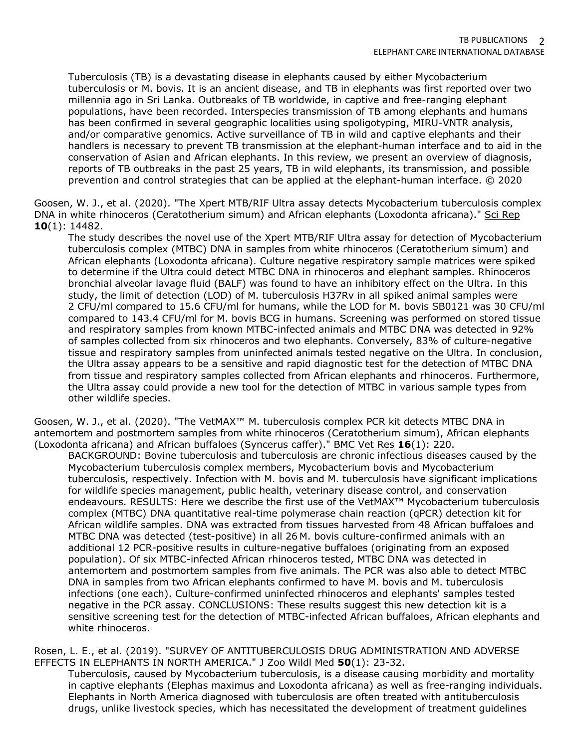Tuberculosis (TB) is a devastating disease in elephants caused by either Mycobacterium tuberculosis or M. bovis. It is an ancient disease, and TB in elephants was first reported over two millennia ago in Sri Lanka. Outbreaks of TB worldwide, in captive and free-ranging elephant populations, have been recorded. Interspecies transmission of TB among elephants and humans has been confirmed in several geographic localities using spoligotyping, MIRU-VNTR analysis, and/or comparative genomics. Active surveillance of TB in wild and captive elephants and their handlers is necessary to prevent TB transmission at the elephant-human interface and to aid in the conservation of Asian and African elephants. In this review, we present an overview of diagnosis, reports of TB outbreaks in the past 25 years, TB in wild elephants, its transmission, and possible prevention and control strategies that can be applied at the elephant-human interface. © 2020

Goosen, W. J., et al. (2020). "The Xpert MTB/RIF Ultra assay detects Mycobacterium tuberculosis complex DNA in white rhinoceros (Ceratotherium simum) and African elephants (Loxodonta africana)." Sci Rep **10**(1): 14482.

The study describes the novel use of the Xpert MTB/RIF Ultra assay for detection of Mycobacterium tuberculosis complex (MTBC) DNA in samples from white rhinoceros (Ceratotherium simum) and African elephants (Loxodonta africana). Culture negative respiratory sample matrices were spiked to determine if the Ultra could detect MTBC DNA in rhinoceros and elephant samples. Rhinoceros bronchial alveolar lavage fluid (BALF) was found to have an inhibitory effect on the Ultra. In this study, the limit of detection (LOD) of M. tuberculosis H37Rv in all spiked animal samples were 2 CFU/ml compared to 15.6 CFU/ml for humans, while the LOD for M. bovis SB0121 was 30 CFU/ml compared to 143.4 CFU/ml for M. bovis BCG in humans. Screening was performed on stored tissue and respiratory samples from known MTBC-infected animals and MTBC DNA was detected in 92% of samples collected from six rhinoceros and two elephants. Conversely, 83% of culture-negative tissue and respiratory samples from uninfected animals tested negative on the Ultra. In conclusion, the Ultra assay appears to be a sensitive and rapid diagnostic test for the detection of MTBC DNA from tissue and respiratory samples collected from African elephants and rhinoceros. Furthermore, the Ultra assay could provide a new tool for the detection of MTBC in various sample types from other wildlife species.

Goosen, W. J., et al. (2020). "The VetMAX™ M. tuberculosis complex PCR kit detects MTBC DNA in antemortem and postmortem samples from white rhinoceros (Ceratotherium simum), African elephants (Loxodonta africana) and African buffaloes (Syncerus caffer)." BMC Vet Res **16**(1): 220.

BACKGROUND: Bovine tuberculosis and tuberculosis are chronic infectious diseases caused by the Mycobacterium tuberculosis complex members, Mycobacterium bovis and Mycobacterium tuberculosis, respectively. Infection with M. bovis and M. tuberculosis have significant implications for wildlife species management, public health, veterinary disease control, and conservation endeavours. RESULTS: Here we describe the first use of the VetMAX™ Mycobacterium tuberculosis complex (MTBC) DNA quantitative real-time polymerase chain reaction (qPCR) detection kit for African wildlife samples. DNA was extracted from tissues harvested from 48 African buffaloes and MTBC DNA was detected (test-positive) in all 26 M. bovis culture-confirmed animals with an additional 12 PCR-positive results in culture-negative buffaloes (originating from an exposed population). Of six MTBC-infected African rhinoceros tested, MTBC DNA was detected in antemortem and postmortem samples from five animals. The PCR was also able to detect MTBC DNA in samples from two African elephants confirmed to have M. bovis and M. tuberculosis infections (one each). Culture-confirmed uninfected rhinoceros and elephants' samples tested negative in the PCR assay. CONCLUSIONS: These results suggest this new detection kit is a sensitive screening test for the detection of MTBC-infected African buffaloes, African elephants and white rhinoceros.

Rosen, L. E., et al. (2019). "SURVEY OF ANTITUBERCULOSIS DRUG ADMINISTRATION AND ADVERSE EFFECTS IN ELEPHANTS IN NORTH AMERICA." J Zoo Wildl Med **50**(1): 23-32.

Tuberculosis, caused by Mycobacterium tuberculosis, is a disease causing morbidity and mortality in captive elephants (Elephas maximus and Loxodonta africana) as well as free-ranging individuals. Elephants in North America diagnosed with tuberculosis are often treated with antituberculosis drugs, unlike livestock species, which has necessitated the development of treatment guidelines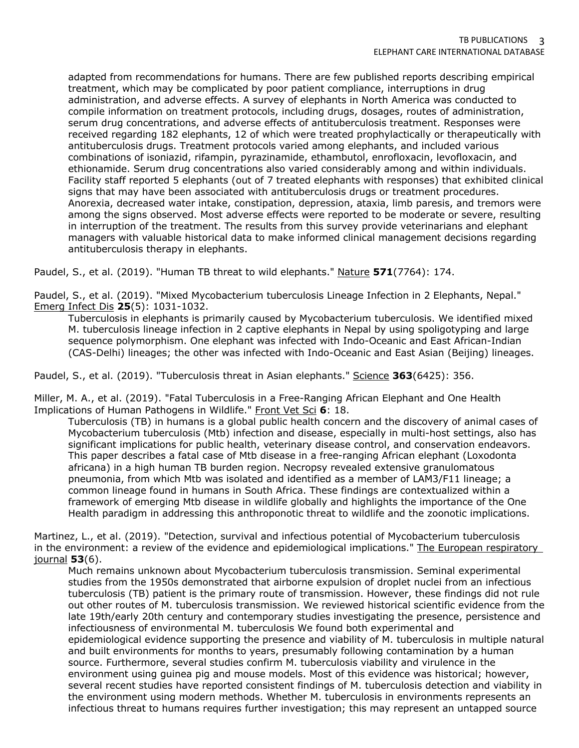adapted from recommendations for humans. There are few published reports describing empirical treatment, which may be complicated by poor patient compliance, interruptions in drug administration, and adverse effects. A survey of elephants in North America was conducted to compile information on treatment protocols, including drugs, dosages, routes of administration, serum drug concentrations, and adverse effects of antituberculosis treatment. Responses were received regarding 182 elephants, 12 of which were treated prophylactically or therapeutically with antituberculosis drugs. Treatment protocols varied among elephants, and included various combinations of isoniazid, rifampin, pyrazinamide, ethambutol, enrofloxacin, levofloxacin, and ethionamide. Serum drug concentrations also varied considerably among and within individuals. Facility staff reported 5 elephants (out of 7 treated elephants with responses) that exhibited clinical signs that may have been associated with antituberculosis drugs or treatment procedures. Anorexia, decreased water intake, constipation, depression, ataxia, limb paresis, and tremors were among the signs observed. Most adverse effects were reported to be moderate or severe, resulting in interruption of the treatment. The results from this survey provide veterinarians and elephant managers with valuable historical data to make informed clinical management decisions regarding antituberculosis therapy in elephants.

Paudel, S., et al. (2019). "Human TB threat to wild elephants." Nature **571**(7764): 174.

Paudel, S., et al. (2019). "Mixed Mycobacterium tuberculosis Lineage Infection in 2 Elephants, Nepal." Emerg Infect Dis **25**(5): 1031-1032.

Tuberculosis in elephants is primarily caused by Mycobacterium tuberculosis. We identified mixed M. tuberculosis lineage infection in 2 captive elephants in Nepal by using spoligotyping and large sequence polymorphism. One elephant was infected with Indo-Oceanic and East African-Indian (CAS-Delhi) lineages; the other was infected with Indo-Oceanic and East Asian (Beijing) lineages.

Paudel, S., et al. (2019). "Tuberculosis threat in Asian elephants." Science **363**(6425): 356.

Miller, M. A., et al. (2019). "Fatal Tuberculosis in a Free-Ranging African Elephant and One Health Implications of Human Pathogens in Wildlife." Front Vet Sci **6**: 18.

Tuberculosis (TB) in humans is a global public health concern and the discovery of animal cases of Mycobacterium tuberculosis (Mtb) infection and disease, especially in multi-host settings, also has significant implications for public health, veterinary disease control, and conservation endeavors. This paper describes a fatal case of Mtb disease in a free-ranging African elephant (Loxodonta africana) in a high human TB burden region. Necropsy revealed extensive granulomatous pneumonia, from which Mtb was isolated and identified as a member of LAM3/F11 lineage; a common lineage found in humans in South Africa. These findings are contextualized within a framework of emerging Mtb disease in wildlife globally and highlights the importance of the One Health paradigm in addressing this anthroponotic threat to wildlife and the zoonotic implications.

Martinez, L., et al. (2019). "Detection, survival and infectious potential of Mycobacterium tuberculosis in the environment: a review of the evidence and epidemiological implications." The European respiratory journal **53**(6).

Much remains unknown about Mycobacterium tuberculosis transmission. Seminal experimental studies from the 1950s demonstrated that airborne expulsion of droplet nuclei from an infectious tuberculosis (TB) patient is the primary route of transmission. However, these findings did not rule out other routes of M. tuberculosis transmission. We reviewed historical scientific evidence from the late 19th/early 20th century and contemporary studies investigating the presence, persistence and infectiousness of environmental M. tuberculosis We found both experimental and epidemiological evidence supporting the presence and viability of M. tuberculosis in multiple natural and built environments for months to years, presumably following contamination by a human source. Furthermore, several studies confirm M. tuberculosis viability and virulence in the environment using guinea pig and mouse models. Most of this evidence was historical; however, several recent studies have reported consistent findings of M. tuberculosis detection and viability in the environment using modern methods. Whether M. tuberculosis in environments represents an infectious threat to humans requires further investigation; this may represent an untapped source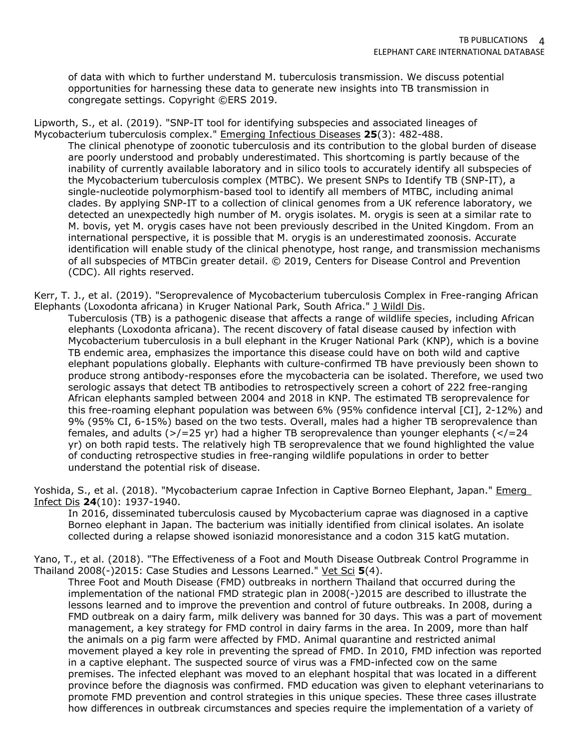of data with which to further understand M. tuberculosis transmission. We discuss potential opportunities for harnessing these data to generate new insights into TB transmission in congregate settings. Copyright ©ERS 2019.

Lipworth, S., et al. (2019). "SNP-IT tool for identifying subspecies and associated lineages of Mycobacterium tuberculosis complex." Emerging Infectious Diseases **25**(3): 482-488.

The clinical phenotype of zoonotic tuberculosis and its contribution to the global burden of disease are poorly understood and probably underestimated. This shortcoming is partly because of the inability of currently available laboratory and in silico tools to accurately identify all subspecies of the Mycobacterium tuberculosis complex (MTBC). We present SNPs to Identify TB (SNP-IT), a single-nucleotide polymorphism-based tool to identify all members of MTBC, including animal clades. By applying SNP-IT to a collection of clinical genomes from a UK reference laboratory, we detected an unexpectedly high number of M. orygis isolates. M. orygis is seen at a similar rate to M. bovis, yet M. orygis cases have not been previously described in the United Kingdom. From an international perspective, it is possible that M. orygis is an underestimated zoonosis. Accurate identification will enable study of the clinical phenotype, host range, and transmission mechanisms of all subspecies of MTBCin greater detail. © 2019, Centers for Disease Control and Prevention (CDC). All rights reserved.

Kerr, T. J., et al. (2019). "Seroprevalence of Mycobacterium tuberculosis Complex in Free-ranging African Elephants (Loxodonta africana) in Kruger National Park, South Africa." J Wildl Dis.

Tuberculosis (TB) is a pathogenic disease that affects a range of wildlife species, including African elephants (Loxodonta africana). The recent discovery of fatal disease caused by infection with Mycobacterium tuberculosis in a bull elephant in the Kruger National Park (KNP), which is a bovine TB endemic area, emphasizes the importance this disease could have on both wild and captive elephant populations globally. Elephants with culture-confirmed TB have previously been shown to produce strong antibody-responses efore the mycobacteria can be isolated. Therefore, we used two serologic assays that detect TB antibodies to retrospectively screen a cohort of 222 free-ranging African elephants sampled between 2004 and 2018 in KNP. The estimated TB seroprevalence for this free-roaming elephant population was between 6% (95% confidence interval [CI], 2-12%) and 9% (95% CI, 6-15%) based on the two tests. Overall, males had a higher TB seroprevalence than females, and adults ( $>$ /=25 yr) had a higher TB seroprevalence than younger elephants ( $<$ /=24 yr) on both rapid tests. The relatively high TB seroprevalence that we found highlighted the value of conducting retrospective studies in free-ranging wildlife populations in order to better understand the potential risk of disease.

Yoshida, S., et al. (2018). "Mycobacterium caprae Infection in Captive Borneo Elephant, Japan." Emerg Infect Dis **24**(10): 1937-1940.

In 2016, disseminated tuberculosis caused by Mycobacterium caprae was diagnosed in a captive Borneo elephant in Japan. The bacterium was initially identified from clinical isolates. An isolate collected during a relapse showed isoniazid monoresistance and a codon 315 katG mutation.

Yano, T., et al. (2018). "The Effectiveness of a Foot and Mouth Disease Outbreak Control Programme in Thailand 2008(-)2015: Case Studies and Lessons Learned." Vet Sci **5**(4).

Three Foot and Mouth Disease (FMD) outbreaks in northern Thailand that occurred during the implementation of the national FMD strategic plan in 2008(-)2015 are described to illustrate the lessons learned and to improve the prevention and control of future outbreaks. In 2008, during a FMD outbreak on a dairy farm, milk delivery was banned for 30 days. This was a part of movement management, a key strategy for FMD control in dairy farms in the area. In 2009, more than half the animals on a pig farm were affected by FMD. Animal quarantine and restricted animal movement played a key role in preventing the spread of FMD. In 2010, FMD infection was reported in a captive elephant. The suspected source of virus was a FMD-infected cow on the same premises. The infected elephant was moved to an elephant hospital that was located in a different province before the diagnosis was confirmed. FMD education was given to elephant veterinarians to promote FMD prevention and control strategies in this unique species. These three cases illustrate how differences in outbreak circumstances and species require the implementation of a variety of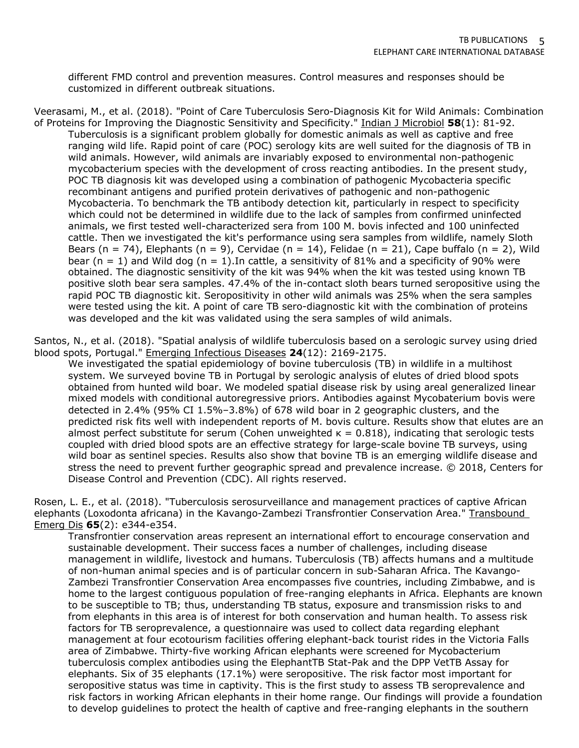different FMD control and prevention measures. Control measures and responses should be customized in different outbreak situations.

Veerasami, M., et al. (2018). "Point of Care Tuberculosis Sero-Diagnosis Kit for Wild Animals: Combination of Proteins for Improving the Diagnostic Sensitivity and Specificity." Indian J Microbiol **58**(1): 81-92. Tuberculosis is a significant problem globally for domestic animals as well as captive and free ranging wild life. Rapid point of care (POC) serology kits are well suited for the diagnosis of TB in wild animals. However, wild animals are invariably exposed to environmental non-pathogenic mycobacterium species with the development of cross reacting antibodies. In the present study, POC TB diagnosis kit was developed using a combination of pathogenic Mycobacteria specific recombinant antigens and purified protein derivatives of pathogenic and non-pathogenic Mycobacteria. To benchmark the TB antibody detection kit, particularly in respect to specificity which could not be determined in wildlife due to the lack of samples from confirmed uninfected animals, we first tested well-characterized sera from 100 M. bovis infected and 100 uninfected cattle. Then we investigated the kit's performance using sera samples from wildlife, namely Sloth Bears (n = 74), Elephants (n = 9), Cervidae (n = 14), Felidae (n = 21), Cape buffalo (n = 2), Wild bear ( $n = 1$ ) and Wild dog ( $n = 1$ ). In cattle, a sensitivity of 81% and a specificity of 90% were obtained. The diagnostic sensitivity of the kit was 94% when the kit was tested using known TB positive sloth bear sera samples. 47.4% of the in-contact sloth bears turned seropositive using the rapid POC TB diagnostic kit. Seropositivity in other wild animals was 25% when the sera samples were tested using the kit. A point of care TB sero-diagnostic kit with the combination of proteins was developed and the kit was validated using the sera samples of wild animals.

Santos, N., et al. (2018). "Spatial analysis of wildlife tuberculosis based on a serologic survey using dried blood spots, Portugal." Emerging Infectious Diseases **24**(12): 2169-2175.

We investigated the spatial epidemiology of bovine tuberculosis (TB) in wildlife in a multihost system. We surveyed bovine TB in Portugal by serologic analysis of elutes of dried blood spots obtained from hunted wild boar. We modeled spatial disease risk by using areal generalized linear mixed models with conditional autoregressive priors. Antibodies against Mycobaterium bovis were detected in 2.4% (95% CI 1.5%–3.8%) of 678 wild boar in 2 geographic clusters, and the predicted risk fits well with independent reports of M. bovis culture. Results show that elutes are an almost perfect substitute for serum (Cohen unweighted  $\kappa = 0.818$ ), indicating that serologic tests coupled with dried blood spots are an effective strategy for large-scale bovine TB surveys, using wild boar as sentinel species. Results also show that bovine TB is an emerging wildlife disease and stress the need to prevent further geographic spread and prevalence increase. © 2018, Centers for Disease Control and Prevention (CDC). All rights reserved.

Rosen, L. E., et al. (2018). "Tuberculosis serosurveillance and management practices of captive African elephants (Loxodonta africana) in the Kavango-Zambezi Transfrontier Conservation Area." Transbound Emerg Dis **65**(2): e344-e354.

Transfrontier conservation areas represent an international effort to encourage conservation and sustainable development. Their success faces a number of challenges, including disease management in wildlife, livestock and humans. Tuberculosis (TB) affects humans and a multitude of non-human animal species and is of particular concern in sub-Saharan Africa. The Kavango-Zambezi Transfrontier Conservation Area encompasses five countries, including Zimbabwe, and is home to the largest contiguous population of free-ranging elephants in Africa. Elephants are known to be susceptible to TB; thus, understanding TB status, exposure and transmission risks to and from elephants in this area is of interest for both conservation and human health. To assess risk factors for TB seroprevalence, a questionnaire was used to collect data regarding elephant management at four ecotourism facilities offering elephant-back tourist rides in the Victoria Falls area of Zimbabwe. Thirty-five working African elephants were screened for Mycobacterium tuberculosis complex antibodies using the ElephantTB Stat-Pak and the DPP VetTB Assay for elephants. Six of 35 elephants (17.1%) were seropositive. The risk factor most important for seropositive status was time in captivity. This is the first study to assess TB seroprevalence and risk factors in working African elephants in their home range. Our findings will provide a foundation to develop guidelines to protect the health of captive and free-ranging elephants in the southern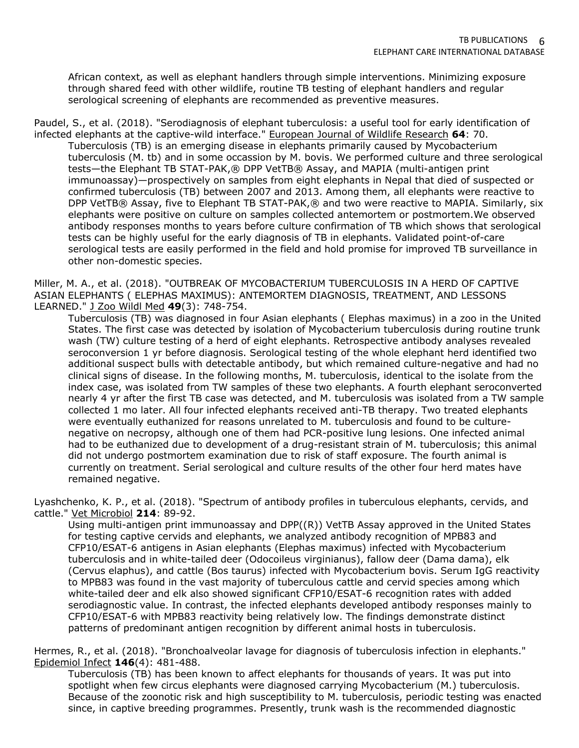African context, as well as elephant handlers through simple interventions. Minimizing exposure through shared feed with other wildlife, routine TB testing of elephant handlers and regular serological screening of elephants are recommended as preventive measures.

Paudel, S., et al. (2018). "Serodiagnosis of elephant tuberculosis: a useful tool for early identification of infected elephants at the captive-wild interface." European Journal of Wildlife Research **64**: 70. Tuberculosis (TB) is an emerging disease in elephants primarily caused by Mycobacterium tuberculosis (M. tb) and in some occassion by M. bovis. We performed culture and three serological tests—the Elephant TB STAT-PAK,® DPP VetTB® Assay, and MAPIA (multi-antigen print immunoassay)—prospectively on samples from eight elephants in Nepal that died of suspected or confirmed tuberculosis (TB) between 2007 and 2013. Among them, all elephants were reactive to DPP VetTB® Assay, five to Elephant TB STAT-PAK,® and two were reactive to MAPIA. Similarly, six elephants were positive on culture on samples collected antemortem or postmortem.We observed antibody responses months to years before culture confirmation of TB which shows that serological tests can be highly useful for the early diagnosis of TB in elephants. Validated point-of-care serological tests are easily performed in the field and hold promise for improved TB surveillance in other non-domestic species.

Miller, M. A., et al. (2018). "OUTBREAK OF MYCOBACTERIUM TUBERCULOSIS IN A HERD OF CAPTIVE ASIAN ELEPHANTS ( ELEPHAS MAXIMUS): ANTEMORTEM DIAGNOSIS, TREATMENT, AND LESSONS LEARNED." J Zoo Wildl Med **49**(3): 748-754.

Tuberculosis (TB) was diagnosed in four Asian elephants ( Elephas maximus) in a zoo in the United States. The first case was detected by isolation of Mycobacterium tuberculosis during routine trunk wash (TW) culture testing of a herd of eight elephants. Retrospective antibody analyses revealed seroconversion 1 yr before diagnosis. Serological testing of the whole elephant herd identified two additional suspect bulls with detectable antibody, but which remained culture-negative and had no clinical signs of disease. In the following months, M. tuberculosis, identical to the isolate from the index case, was isolated from TW samples of these two elephants. A fourth elephant seroconverted nearly 4 yr after the first TB case was detected, and M. tuberculosis was isolated from a TW sample collected 1 mo later. All four infected elephants received anti-TB therapy. Two treated elephants were eventually euthanized for reasons unrelated to M. tuberculosis and found to be culturenegative on necropsy, although one of them had PCR-positive lung lesions. One infected animal had to be euthanized due to development of a drug-resistant strain of M. tuberculosis; this animal did not undergo postmortem examination due to risk of staff exposure. The fourth animal is currently on treatment. Serial serological and culture results of the other four herd mates have remained negative.

Lyashchenko, K. P., et al. (2018). "Spectrum of antibody profiles in tuberculous elephants, cervids, and cattle." Vet Microbiol **214**: 89-92.

Using multi-antigen print immunoassay and DPP((R)) VetTB Assay approved in the United States for testing captive cervids and elephants, we analyzed antibody recognition of MPB83 and CFP10/ESAT-6 antigens in Asian elephants (Elephas maximus) infected with Mycobacterium tuberculosis and in white-tailed deer (Odocoileus virginianus), fallow deer (Dama dama), elk (Cervus elaphus), and cattle (Bos taurus) infected with Mycobacterium bovis. Serum IgG reactivity to MPB83 was found in the vast majority of tuberculous cattle and cervid species among which white-tailed deer and elk also showed significant CFP10/ESAT-6 recognition rates with added serodiagnostic value. In contrast, the infected elephants developed antibody responses mainly to CFP10/ESAT-6 with MPB83 reactivity being relatively low. The findings demonstrate distinct patterns of predominant antigen recognition by different animal hosts in tuberculosis.

Hermes, R., et al. (2018). "Bronchoalveolar lavage for diagnosis of tuberculosis infection in elephants." Epidemiol Infect **146**(4): 481-488.

Tuberculosis (TB) has been known to affect elephants for thousands of years. It was put into spotlight when few circus elephants were diagnosed carrying Mycobacterium (M.) tuberculosis. Because of the zoonotic risk and high susceptibility to M. tuberculosis, periodic testing was enacted since, in captive breeding programmes. Presently, trunk wash is the recommended diagnostic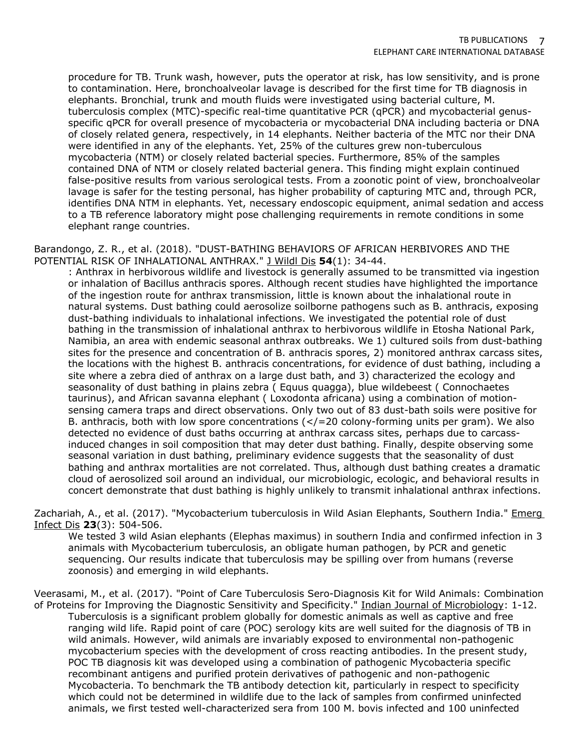procedure for TB. Trunk wash, however, puts the operator at risk, has low sensitivity, and is prone to contamination. Here, bronchoalveolar lavage is described for the first time for TB diagnosis in elephants. Bronchial, trunk and mouth fluids were investigated using bacterial culture, M. tuberculosis complex (MTC)-specific real-time quantitative PCR (qPCR) and mycobacterial genusspecific qPCR for overall presence of mycobacteria or mycobacterial DNA including bacteria or DNA of closely related genera, respectively, in 14 elephants. Neither bacteria of the MTC nor their DNA were identified in any of the elephants. Yet, 25% of the cultures grew non-tuberculous mycobacteria (NTM) or closely related bacterial species. Furthermore, 85% of the samples contained DNA of NTM or closely related bacterial genera. This finding might explain continued false-positive results from various serological tests. From a zoonotic point of view, bronchoalveolar lavage is safer for the testing personal, has higher probability of capturing MTC and, through PCR, identifies DNA NTM in elephants. Yet, necessary endoscopic equipment, animal sedation and access to a TB reference laboratory might pose challenging requirements in remote conditions in some elephant range countries.

Barandongo, Z. R., et al. (2018). "DUST-BATHING BEHAVIORS OF AFRICAN HERBIVORES AND THE POTENTIAL RISK OF INHALATIONAL ANTHRAX." J Wildl Dis **54**(1): 34-44.

: Anthrax in herbivorous wildlife and livestock is generally assumed to be transmitted via ingestion or inhalation of Bacillus anthracis spores. Although recent studies have highlighted the importance of the ingestion route for anthrax transmission, little is known about the inhalational route in natural systems. Dust bathing could aerosolize soilborne pathogens such as B. anthracis, exposing dust-bathing individuals to inhalational infections. We investigated the potential role of dust bathing in the transmission of inhalational anthrax to herbivorous wildlife in Etosha National Park, Namibia, an area with endemic seasonal anthrax outbreaks. We 1) cultured soils from dust-bathing sites for the presence and concentration of B. anthracis spores, 2) monitored anthrax carcass sites, the locations with the highest B. anthracis concentrations, for evidence of dust bathing, including a site where a zebra died of anthrax on a large dust bath, and 3) characterized the ecology and seasonality of dust bathing in plains zebra ( Equus quagga), blue wildebeest ( Connochaetes taurinus), and African savanna elephant ( Loxodonta africana) using a combination of motionsensing camera traps and direct observations. Only two out of 83 dust-bath soils were positive for B. anthracis, both with low spore concentrations  $\left\langle \frac{-20}{2} \right\rangle$  colony-forming units per gram). We also detected no evidence of dust baths occurring at anthrax carcass sites, perhaps due to carcassinduced changes in soil composition that may deter dust bathing. Finally, despite observing some seasonal variation in dust bathing, preliminary evidence suggests that the seasonality of dust bathing and anthrax mortalities are not correlated. Thus, although dust bathing creates a dramatic cloud of aerosolized soil around an individual, our microbiologic, ecologic, and behavioral results in concert demonstrate that dust bathing is highly unlikely to transmit inhalational anthrax infections.

Zachariah, A., et al. (2017). "Mycobacterium tuberculosis in Wild Asian Elephants, Southern India." Emerg Infect Dis **23**(3): 504-506.

We tested 3 wild Asian elephants (Elephas maximus) in southern India and confirmed infection in 3 animals with Mycobacterium tuberculosis, an obligate human pathogen, by PCR and genetic sequencing. Our results indicate that tuberculosis may be spilling over from humans (reverse zoonosis) and emerging in wild elephants.

Veerasami, M., et al. (2017). "Point of Care Tuberculosis Sero-Diagnosis Kit for Wild Animals: Combination of Proteins for Improving the Diagnostic Sensitivity and Specificity." Indian Journal of Microbiology: 1-12. Tuberculosis is a significant problem globally for domestic animals as well as captive and free ranging wild life. Rapid point of care (POC) serology kits are well suited for the diagnosis of TB in wild animals. However, wild animals are invariably exposed to environmental non-pathogenic mycobacterium species with the development of cross reacting antibodies. In the present study, POC TB diagnosis kit was developed using a combination of pathogenic Mycobacteria specific recombinant antigens and purified protein derivatives of pathogenic and non-pathogenic Mycobacteria. To benchmark the TB antibody detection kit, particularly in respect to specificity which could not be determined in wildlife due to the lack of samples from confirmed uninfected animals, we first tested well-characterized sera from 100 M. bovis infected and 100 uninfected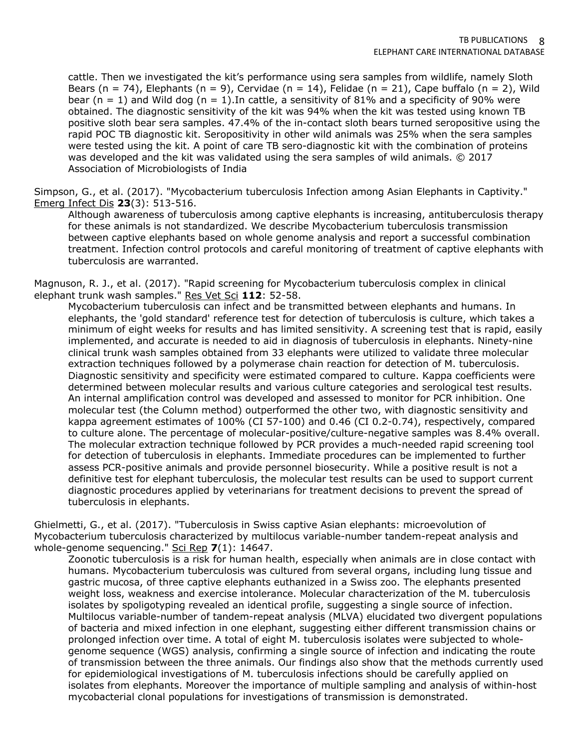cattle. Then we investigated the kit's performance using sera samples from wildlife, namely Sloth Bears (n = 74), Elephants (n = 9), Cervidae (n = 14), Felidae (n = 21), Cape buffalo (n = 2), Wild bear ( $n = 1$ ) and Wild dog ( $n = 1$ ). In cattle, a sensitivity of 81% and a specificity of 90% were obtained. The diagnostic sensitivity of the kit was 94% when the kit was tested using known TB positive sloth bear sera samples. 47.4% of the in-contact sloth bears turned seropositive using the rapid POC TB diagnostic kit. Seropositivity in other wild animals was 25% when the sera samples were tested using the kit. A point of care TB sero-diagnostic kit with the combination of proteins was developed and the kit was validated using the sera samples of wild animals. © 2017 Association of Microbiologists of India

Simpson, G., et al. (2017). "Mycobacterium tuberculosis Infection among Asian Elephants in Captivity." Emerg Infect Dis **23**(3): 513-516.

Although awareness of tuberculosis among captive elephants is increasing, antituberculosis therapy for these animals is not standardized. We describe Mycobacterium tuberculosis transmission between captive elephants based on whole genome analysis and report a successful combination treatment. Infection control protocols and careful monitoring of treatment of captive elephants with tuberculosis are warranted.

Magnuson, R. J., et al. (2017). "Rapid screening for Mycobacterium tuberculosis complex in clinical elephant trunk wash samples." Res Vet Sci **112**: 52-58.

Mycobacterium tuberculosis can infect and be transmitted between elephants and humans. In elephants, the 'gold standard' reference test for detection of tuberculosis is culture, which takes a minimum of eight weeks for results and has limited sensitivity. A screening test that is rapid, easily implemented, and accurate is needed to aid in diagnosis of tuberculosis in elephants. Ninety-nine clinical trunk wash samples obtained from 33 elephants were utilized to validate three molecular extraction techniques followed by a polymerase chain reaction for detection of M. tuberculosis. Diagnostic sensitivity and specificity were estimated compared to culture. Kappa coefficients were determined between molecular results and various culture categories and serological test results. An internal amplification control was developed and assessed to monitor for PCR inhibition. One molecular test (the Column method) outperformed the other two, with diagnostic sensitivity and kappa agreement estimates of 100% (CI 57-100) and 0.46 (CI 0.2-0.74), respectively, compared to culture alone. The percentage of molecular-positive/culture-negative samples was 8.4% overall. The molecular extraction technique followed by PCR provides a much-needed rapid screening tool for detection of tuberculosis in elephants. Immediate procedures can be implemented to further assess PCR-positive animals and provide personnel biosecurity. While a positive result is not a definitive test for elephant tuberculosis, the molecular test results can be used to support current diagnostic procedures applied by veterinarians for treatment decisions to prevent the spread of tuberculosis in elephants.

Ghielmetti, G., et al. (2017). "Tuberculosis in Swiss captive Asian elephants: microevolution of Mycobacterium tuberculosis characterized by multilocus variable-number tandem-repeat analysis and whole-genome sequencing." Sci Rep **7**(1): 14647.

Zoonotic tuberculosis is a risk for human health, especially when animals are in close contact with humans. Mycobacterium tuberculosis was cultured from several organs, including lung tissue and gastric mucosa, of three captive elephants euthanized in a Swiss zoo. The elephants presented weight loss, weakness and exercise intolerance. Molecular characterization of the M. tuberculosis isolates by spoligotyping revealed an identical profile, suggesting a single source of infection. Multilocus variable-number of tandem-repeat analysis (MLVA) elucidated two divergent populations of bacteria and mixed infection in one elephant, suggesting either different transmission chains or prolonged infection over time. A total of eight M. tuberculosis isolates were subjected to wholegenome sequence (WGS) analysis, confirming a single source of infection and indicating the route of transmission between the three animals. Our findings also show that the methods currently used for epidemiological investigations of M. tuberculosis infections should be carefully applied on isolates from elephants. Moreover the importance of multiple sampling and analysis of within-host mycobacterial clonal populations for investigations of transmission is demonstrated.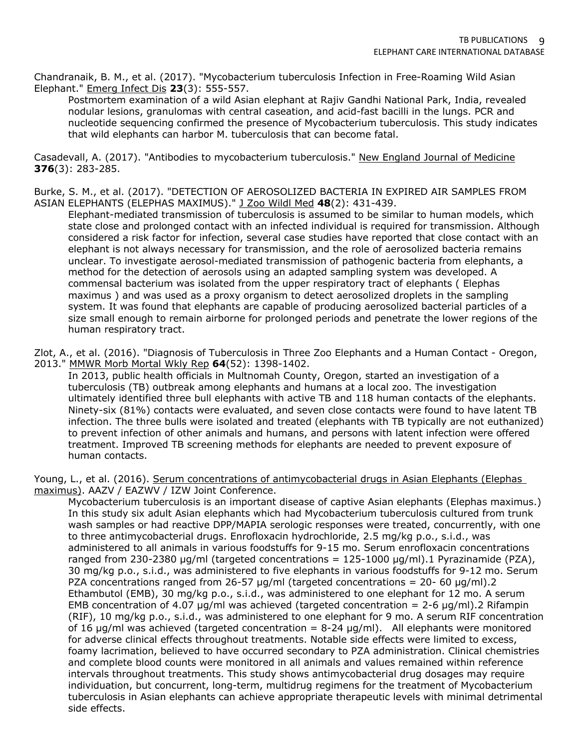Chandranaik, B. M., et al. (2017). "Mycobacterium tuberculosis Infection in Free-Roaming Wild Asian Elephant." Emerg Infect Dis **23**(3): 555-557.

Postmortem examination of a wild Asian elephant at Rajiv Gandhi National Park, India, revealed nodular lesions, granulomas with central caseation, and acid-fast bacilli in the lungs. PCR and nucleotide sequencing confirmed the presence of Mycobacterium tuberculosis. This study indicates that wild elephants can harbor M. tuberculosis that can become fatal.

Casadevall, A. (2017). "Antibodies to mycobacterium tuberculosis." New England Journal of Medicine **376**(3): 283-285.

Burke, S. M., et al. (2017). "DETECTION OF AEROSOLIZED BACTERIA IN EXPIRED AIR SAMPLES FROM ASIAN ELEPHANTS (ELEPHAS MAXIMUS)." J Zoo Wildl Med **48**(2): 431-439.

Elephant-mediated transmission of tuberculosis is assumed to be similar to human models, which state close and prolonged contact with an infected individual is required for transmission. Although considered a risk factor for infection, several case studies have reported that close contact with an elephant is not always necessary for transmission, and the role of aerosolized bacteria remains unclear. To investigate aerosol-mediated transmission of pathogenic bacteria from elephants, a method for the detection of aerosols using an adapted sampling system was developed. A commensal bacterium was isolated from the upper respiratory tract of elephants ( Elephas maximus ) and was used as a proxy organism to detect aerosolized droplets in the sampling system. It was found that elephants are capable of producing aerosolized bacterial particles of a size small enough to remain airborne for prolonged periods and penetrate the lower regions of the human respiratory tract.

Zlot, A., et al. (2016). "Diagnosis of Tuberculosis in Three Zoo Elephants and a Human Contact - Oregon, 2013." MMWR Morb Mortal Wkly Rep **64**(52): 1398-1402.

In 2013, public health officials in Multnomah County, Oregon, started an investigation of a tuberculosis (TB) outbreak among elephants and humans at a local zoo. The investigation ultimately identified three bull elephants with active TB and 118 human contacts of the elephants. Ninety-six (81%) contacts were evaluated, and seven close contacts were found to have latent TB infection. The three bulls were isolated and treated (elephants with TB typically are not euthanized) to prevent infection of other animals and humans, and persons with latent infection were offered treatment. Improved TB screening methods for elephants are needed to prevent exposure of human contacts.

Young, L., et al. (2016). Serum concentrations of antimycobacterial drugs in Asian Elephants (Elephas maximus). AAZV / EAZWV / IZW Joint Conference.

Mycobacterium tuberculosis is an important disease of captive Asian elephants (Elephas maximus.) In this study six adult Asian elephants which had Mycobacterium tuberculosis cultured from trunk wash samples or had reactive DPP/MAPIA serologic responses were treated, concurrently, with one to three antimycobacterial drugs. Enrofloxacin hydrochloride, 2.5 mg/kg p.o., s.i.d., was administered to all animals in various foodstuffs for 9-15 mo. Serum enrofloxacin concentrations ranged from 230-2380  $\mu$ g/ml (targeted concentrations = 125-1000  $\mu$ g/ml).1 Pyrazinamide (PZA), 30 mg/kg p.o., s.i.d., was administered to five elephants in various foodstuffs for 9-12 mo. Serum PZA concentrations ranged from 26-57  $\mu$ g/ml (targeted concentrations = 20- 60  $\mu$ g/ml).2 Ethambutol (EMB), 30 mg/kg p.o., s.i.d., was administered to one elephant for 12 mo. A serum EMB concentration of 4.07  $\mu$ g/ml was achieved (targeted concentration = 2-6  $\mu$ g/ml). 2 Rifampin (RIF), 10 mg/kg p.o., s.i.d., was administered to one elephant for 9 mo. A serum RIF concentration of 16  $\mu$ g/ml was achieved (targeted concentration = 8-24  $\mu$ g/ml). All elephants were monitored for adverse clinical effects throughout treatments. Notable side effects were limited to excess, foamy lacrimation, believed to have occurred secondary to PZA administration. Clinical chemistries and complete blood counts were monitored in all animals and values remained within reference intervals throughout treatments. This study shows antimycobacterial drug dosages may require individuation, but concurrent, long-term, multidrug regimens for the treatment of Mycobacterium tuberculosis in Asian elephants can achieve appropriate therapeutic levels with minimal detrimental side effects.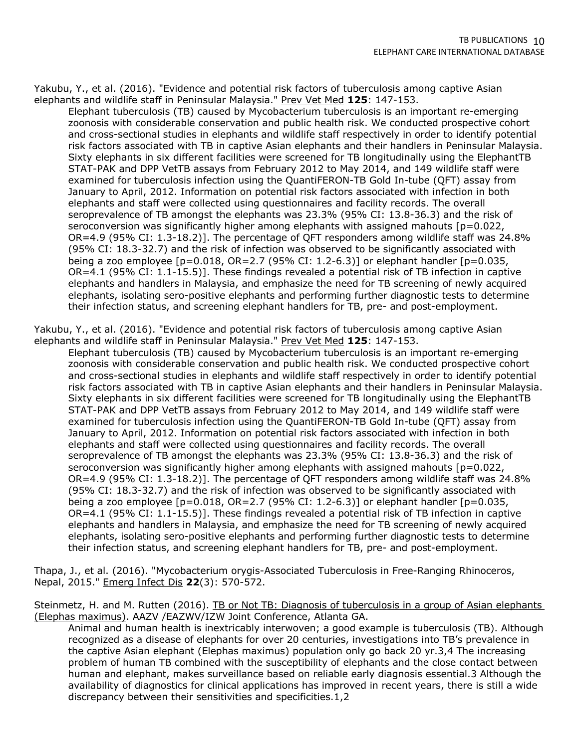Yakubu, Y., et al. (2016). "Evidence and potential risk factors of tuberculosis among captive Asian elephants and wildlife staff in Peninsular Malaysia." Prev Vet Med **125**: 147-153.

Elephant tuberculosis (TB) caused by Mycobacterium tuberculosis is an important re-emerging zoonosis with considerable conservation and public health risk. We conducted prospective cohort and cross-sectional studies in elephants and wildlife staff respectively in order to identify potential risk factors associated with TB in captive Asian elephants and their handlers in Peninsular Malaysia. Sixty elephants in six different facilities were screened for TB longitudinally using the ElephantTB STAT-PAK and DPP VetTB assays from February 2012 to May 2014, and 149 wildlife staff were examined for tuberculosis infection using the QuantiFERON-TB Gold In-tube (QFT) assay from January to April, 2012. Information on potential risk factors associated with infection in both elephants and staff were collected using questionnaires and facility records. The overall seroprevalence of TB amongst the elephants was 23.3% (95% CI: 13.8-36.3) and the risk of seroconversion was significantly higher among elephants with assigned mahouts  $[p=0.022]$ , OR=4.9 (95% CI: 1.3-18.2)]. The percentage of QFT responders among wildlife staff was 24.8% (95% CI: 18.3-32.7) and the risk of infection was observed to be significantly associated with being a zoo employee  $[p=0.018, OR=2.7 (95\% CI: 1.2-6.3)]$  or elephant handler  $[p=0.035,$ OR=4.1 (95% CI: 1.1-15.5)]. These findings revealed a potential risk of TB infection in captive elephants and handlers in Malaysia, and emphasize the need for TB screening of newly acquired elephants, isolating sero-positive elephants and performing further diagnostic tests to determine their infection status, and screening elephant handlers for TB, pre- and post-employment.

Yakubu, Y., et al. (2016). "Evidence and potential risk factors of tuberculosis among captive Asian elephants and wildlife staff in Peninsular Malaysia." Prev Vet Med **125**: 147-153.

Elephant tuberculosis (TB) caused by Mycobacterium tuberculosis is an important re-emerging zoonosis with considerable conservation and public health risk. We conducted prospective cohort and cross-sectional studies in elephants and wildlife staff respectively in order to identify potential risk factors associated with TB in captive Asian elephants and their handlers in Peninsular Malaysia. Sixty elephants in six different facilities were screened for TB longitudinally using the ElephantTB STAT-PAK and DPP VetTB assays from February 2012 to May 2014, and 149 wildlife staff were examined for tuberculosis infection using the QuantiFERON-TB Gold In-tube (QFT) assay from January to April, 2012. Information on potential risk factors associated with infection in both elephants and staff were collected using questionnaires and facility records. The overall seroprevalence of TB amongst the elephants was 23.3% (95% CI: 13.8-36.3) and the risk of seroconversion was significantly higher among elephants with assigned mahouts  $[p=0.022]$ , OR=4.9 (95% CI: 1.3-18.2)]. The percentage of QFT responders among wildlife staff was 24.8% (95% CI: 18.3-32.7) and the risk of infection was observed to be significantly associated with being a zoo employee  $[p=0.018, OR=2.7 (95\% CI: 1.2-6.3)]$  or elephant handler  $[p=0.035, P=0.035]$ OR=4.1 (95% CI: 1.1-15.5)]. These findings revealed a potential risk of TB infection in captive elephants and handlers in Malaysia, and emphasize the need for TB screening of newly acquired elephants, isolating sero-positive elephants and performing further diagnostic tests to determine their infection status, and screening elephant handlers for TB, pre- and post-employment.

Thapa, J., et al. (2016). "Mycobacterium orygis-Associated Tuberculosis in Free-Ranging Rhinoceros, Nepal, 2015." Emerg Infect Dis **22**(3): 570-572.

Steinmetz, H. and M. Rutten (2016). TB or Not TB: Diagnosis of tuberculosis in a group of Asian elephants (Elephas maximus). AAZV /EAZWV/IZW Joint Conference, Atlanta GA.

Animal and human health is inextricably interwoven; a good example is tuberculosis (TB). Although recognized as a disease of elephants for over 20 centuries, investigations into TB's prevalence in the captive Asian elephant (Elephas maximus) population only go back 20 yr.3,4 The increasing problem of human TB combined with the susceptibility of elephants and the close contact between human and elephant, makes surveillance based on reliable early diagnosis essential.3 Although the availability of diagnostics for clinical applications has improved in recent years, there is still a wide discrepancy between their sensitivities and specificities.1,2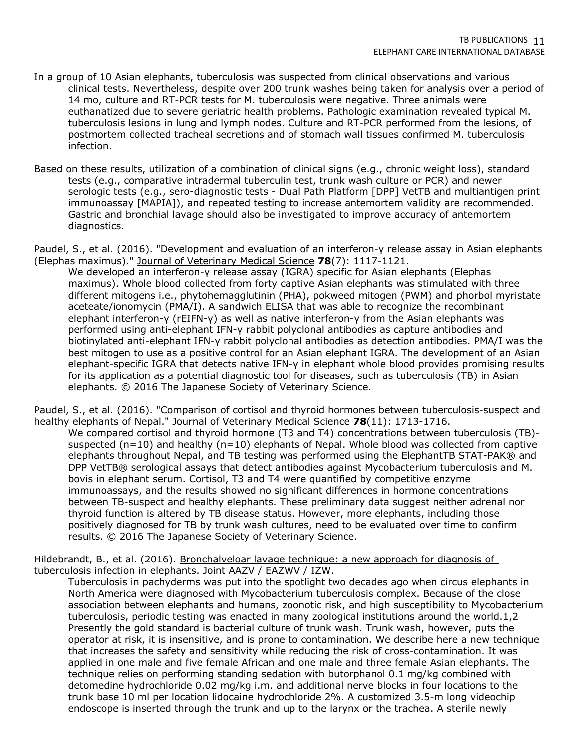- In a group of 10 Asian elephants, tuberculosis was suspected from clinical observations and various clinical tests. Nevertheless, despite over 200 trunk washes being taken for analysis over a period of 14 mo, culture and RT-PCR tests for M. tuberculosis were negative. Three animals were euthanatized due to severe geriatric health problems. Pathologic examination revealed typical M. tuberculosis lesions in lung and lymph nodes. Culture and RT-PCR performed from the lesions, of postmortem collected tracheal secretions and of stomach wall tissues confirmed M. tuberculosis infection.
- Based on these results, utilization of a combination of clinical signs (e.g., chronic weight loss), standard tests (e.g., comparative intradermal tuberculin test, trunk wash culture or PCR) and newer serologic tests (e.g., sero-diagnostic tests - Dual Path Platform [DPP] VetTB and multiantigen print immunoassay [MAPIA]), and repeated testing to increase antemortem validity are recommended. Gastric and bronchial lavage should also be investigated to improve accuracy of antemortem diagnostics.

Paudel, S., et al. (2016). "Development and evaluation of an interferon-γ release assay in Asian elephants (Elephas maximus)." Journal of Veterinary Medical Science **78**(7): 1117-1121.

We developed an interferon-γ release assay (IGRA) specific for Asian elephants (Elephas maximus). Whole blood collected from forty captive Asian elephants was stimulated with three different mitogens i.e., phytohemagglutinin (PHA), pokweed mitogen (PWM) and phorbol myristate aceteate/ionomycin (PMA/I). A sandwich ELISA that was able to recognize the recombinant elephant interferon-γ (rEIFN-γ) as well as native interferon-γ from the Asian elephants was performed using anti-elephant IFN-γ rabbit polyclonal antibodies as capture antibodies and biotinylated anti-elephant IFN-γ rabbit polyclonal antibodies as detection antibodies. PMA/I was the best mitogen to use as a positive control for an Asian elephant IGRA. The development of an Asian elephant-specific IGRA that detects native IFN-γ in elephant whole blood provides promising results for its application as a potential diagnostic tool for diseases, such as tuberculosis (TB) in Asian elephants. © 2016 The Japanese Society of Veterinary Science.

Paudel, S., et al. (2016). "Comparison of cortisol and thyroid hormones between tuberculosis-suspect and healthy elephants of Nepal." Journal of Veterinary Medical Science **78**(11): 1713-1716.

We compared cortisol and thyroid hormone (T3 and T4) concentrations between tuberculosis (TB) suspected ( $n=10$ ) and healthy ( $n=10$ ) elephants of Nepal. Whole blood was collected from captive elephants throughout Nepal, and TB testing was performed using the ElephantTB STAT-PAK® and DPP VetTB® serological assays that detect antibodies against Mycobacterium tuberculosis and M. bovis in elephant serum. Cortisol, T3 and T4 were quantified by competitive enzyme immunoassays, and the results showed no significant differences in hormone concentrations between TB-suspect and healthy elephants. These preliminary data suggest neither adrenal nor thyroid function is altered by TB disease status. However, more elephants, including those positively diagnosed for TB by trunk wash cultures, need to be evaluated over time to confirm results. © 2016 The Japanese Society of Veterinary Science.

Hildebrandt, B., et al. (2016). Bronchalveloar lavage technique: a new approach for diagnosis of tuberculosis infection in elephants. Joint AAZV / EAZWV / IZW.

Tuberculosis in pachyderms was put into the spotlight two decades ago when circus elephants in North America were diagnosed with Mycobacterium tuberculosis complex. Because of the close association between elephants and humans, zoonotic risk, and high susceptibility to Mycobacterium tuberculosis, periodic testing was enacted in many zoological institutions around the world.1,2 Presently the gold standard is bacterial culture of trunk wash. Trunk wash, however, puts the operator at risk, it is insensitive, and is prone to contamination. We describe here a new technique that increases the safety and sensitivity while reducing the risk of cross-contamination. It was applied in one male and five female African and one male and three female Asian elephants. The technique relies on performing standing sedation with butorphanol 0.1 mg/kg combined with detomedine hydrochloride 0.02 mg/kg i.m. and additional nerve blocks in four locations to the trunk base 10 ml per location lidocaine hydrochloride 2%. A customized 3.5-m long videochip endoscope is inserted through the trunk and up to the larynx or the trachea. A sterile newly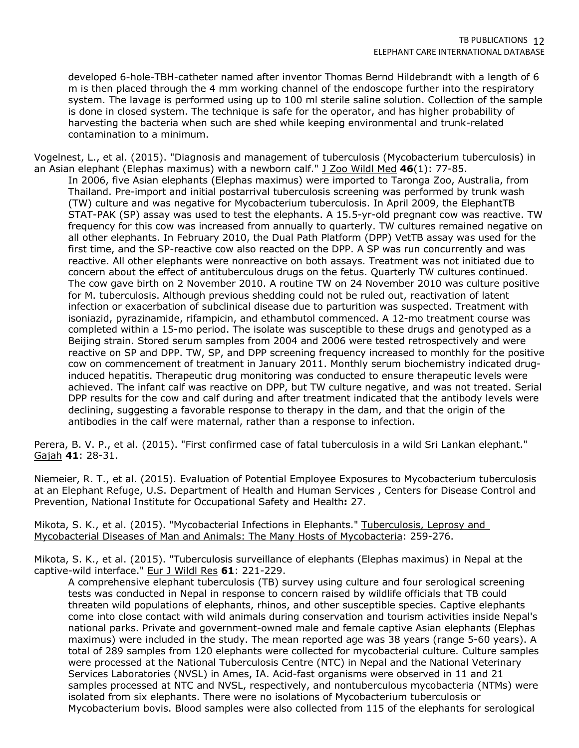developed 6-hole-TBH-catheter named after inventor Thomas Bernd Hildebrandt with a length of 6 m is then placed through the 4 mm working channel of the endoscope further into the respiratory system. The lavage is performed using up to 100 ml sterile saline solution. Collection of the sample is done in closed system. The technique is safe for the operator, and has higher probability of harvesting the bacteria when such are shed while keeping environmental and trunk-related contamination to a minimum.

Vogelnest, L., et al. (2015). "Diagnosis and management of tuberculosis (Mycobacterium tuberculosis) in an Asian elephant (Elephas maximus) with a newborn calf." J Zoo Wildl Med **46**(1): 77-85.

In 2006, five Asian elephants (Elephas maximus) were imported to Taronga Zoo, Australia, from Thailand. Pre-import and initial postarrival tuberculosis screening was performed by trunk wash (TW) culture and was negative for Mycobacterium tuberculosis. In April 2009, the ElephantTB STAT-PAK (SP) assay was used to test the elephants. A 15.5-yr-old pregnant cow was reactive. TW frequency for this cow was increased from annually to quarterly. TW cultures remained negative on all other elephants. In February 2010, the Dual Path Platform (DPP) VetTB assay was used for the first time, and the SP-reactive cow also reacted on the DPP. A SP was run concurrently and was reactive. All other elephants were nonreactive on both assays. Treatment was not initiated due to concern about the effect of antituberculous drugs on the fetus. Quarterly TW cultures continued. The cow gave birth on 2 November 2010. A routine TW on 24 November 2010 was culture positive for M. tuberculosis. Although previous shedding could not be ruled out, reactivation of latent infection or exacerbation of subclinical disease due to parturition was suspected. Treatment with isoniazid, pyrazinamide, rifampicin, and ethambutol commenced. A 12-mo treatment course was completed within a 15-mo period. The isolate was susceptible to these drugs and genotyped as a Beijing strain. Stored serum samples from 2004 and 2006 were tested retrospectively and were reactive on SP and DPP. TW, SP, and DPP screening frequency increased to monthly for the positive cow on commencement of treatment in January 2011. Monthly serum biochemistry indicated druginduced hepatitis. Therapeutic drug monitoring was conducted to ensure therapeutic levels were achieved. The infant calf was reactive on DPP, but TW culture negative, and was not treated. Serial DPP results for the cow and calf during and after treatment indicated that the antibody levels were declining, suggesting a favorable response to therapy in the dam, and that the origin of the antibodies in the calf were maternal, rather than a response to infection.

Perera, B. V. P., et al. (2015). "First confirmed case of fatal tuberculosis in a wild Sri Lankan elephant." Gajah **41**: 28-31.

Niemeier, R. T., et al. (2015). Evaluation of Potential Employee Exposures to Mycobacterium tuberculosis at an Elephant Refuge, U.S. Department of Health and Human Services , Centers for Disease Control and Prevention, National Institute for Occupational Safety and Health**:** 27.

Mikota, S. K., et al. (2015). "Mycobacterial Infections in Elephants." Tuberculosis, Leprosy and Mycobacterial Diseases of Man and Animals: The Many Hosts of Mycobacteria: 259-276.

Mikota, S. K., et al. (2015). "Tuberculosis surveillance of elephants (Elephas maximus) in Nepal at the captive-wild interface." Eur J Wildl Res **61**: 221-229.

A comprehensive elephant tuberculosis (TB) survey using culture and four serological screening tests was conducted in Nepal in response to concern raised by wildlife officials that TB could threaten wild populations of elephants, rhinos, and other susceptible species. Captive elephants come into close contact with wild animals during conservation and tourism activities inside Nepal's national parks. Private and government-owned male and female captive Asian elephants (Elephas maximus) were included in the study. The mean reported age was 38 years (range 5-60 years). A total of 289 samples from 120 elephants were collected for mycobacterial culture. Culture samples were processed at the National Tuberculosis Centre (NTC) in Nepal and the National Veterinary Services Laboratories (NVSL) in Ames, IA. Acid-fast organisms were observed in 11 and 21 samples processed at NTC and NVSL, respectively, and nontuberculous mycobacteria (NTMs) were isolated from six elephants. There were no isolations of Mycobacterium tuberculosis or Mycobacterium bovis. Blood samples were also collected from 115 of the elephants for serological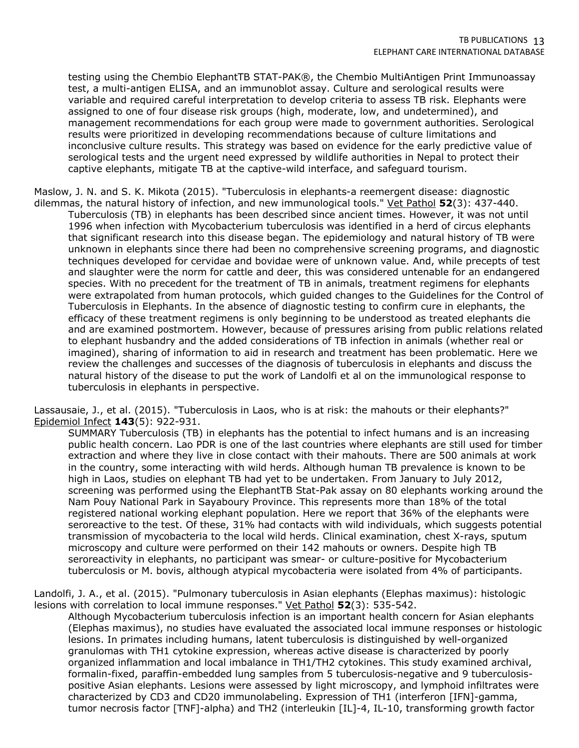testing using the Chembio ElephantTB STAT-PAK®, the Chembio MultiAntigen Print Immunoassay test, a multi-antigen ELISA, and an immunoblot assay. Culture and serological results were variable and required careful interpretation to develop criteria to assess TB risk. Elephants were assigned to one of four disease risk groups (high, moderate, low, and undetermined), and management recommendations for each group were made to government authorities. Serological results were prioritized in developing recommendations because of culture limitations and inconclusive culture results. This strategy was based on evidence for the early predictive value of serological tests and the urgent need expressed by wildlife authorities in Nepal to protect their captive elephants, mitigate TB at the captive-wild interface, and safeguard tourism.

Maslow, J. N. and S. K. Mikota (2015). "Tuberculosis in elephants-a reemergent disease: diagnostic dilemmas, the natural history of infection, and new immunological tools." Vet Pathol **52**(3): 437-440.

Tuberculosis (TB) in elephants has been described since ancient times. However, it was not until 1996 when infection with Mycobacterium tuberculosis was identified in a herd of circus elephants that significant research into this disease began. The epidemiology and natural history of TB were unknown in elephants since there had been no comprehensive screening programs, and diagnostic techniques developed for cervidae and bovidae were of unknown value. And, while precepts of test and slaughter were the norm for cattle and deer, this was considered untenable for an endangered species. With no precedent for the treatment of TB in animals, treatment regimens for elephants were extrapolated from human protocols, which guided changes to the Guidelines for the Control of Tuberculosis in Elephants. In the absence of diagnostic testing to confirm cure in elephants, the efficacy of these treatment regimens is only beginning to be understood as treated elephants die and are examined postmortem. However, because of pressures arising from public relations related to elephant husbandry and the added considerations of TB infection in animals (whether real or imagined), sharing of information to aid in research and treatment has been problematic. Here we review the challenges and successes of the diagnosis of tuberculosis in elephants and discuss the natural history of the disease to put the work of Landolfi et al on the immunological response to tuberculosis in elephants in perspective.

Lassausaie, J., et al. (2015). "Tuberculosis in Laos, who is at risk: the mahouts or their elephants?" Epidemiol Infect **143**(5): 922-931.

SUMMARY Tuberculosis (TB) in elephants has the potential to infect humans and is an increasing public health concern. Lao PDR is one of the last countries where elephants are still used for timber extraction and where they live in close contact with their mahouts. There are 500 animals at work in the country, some interacting with wild herds. Although human TB prevalence is known to be high in Laos, studies on elephant TB had yet to be undertaken. From January to July 2012, screening was performed using the ElephantTB Stat-Pak assay on 80 elephants working around the Nam Pouy National Park in Sayaboury Province. This represents more than 18% of the total registered national working elephant population. Here we report that 36% of the elephants were seroreactive to the test. Of these, 31% had contacts with wild individuals, which suggests potential transmission of mycobacteria to the local wild herds. Clinical examination, chest X-rays, sputum microscopy and culture were performed on their 142 mahouts or owners. Despite high TB seroreactivity in elephants, no participant was smear- or culture-positive for Mycobacterium tuberculosis or M. bovis, although atypical mycobacteria were isolated from 4% of participants.

Landolfi, J. A., et al. (2015). "Pulmonary tuberculosis in Asian elephants (Elephas maximus): histologic lesions with correlation to local immune responses." Vet Pathol **52**(3): 535-542.

Although Mycobacterium tuberculosis infection is an important health concern for Asian elephants (Elephas maximus), no studies have evaluated the associated local immune responses or histologic lesions. In primates including humans, latent tuberculosis is distinguished by well-organized granulomas with TH1 cytokine expression, whereas active disease is characterized by poorly organized inflammation and local imbalance in TH1/TH2 cytokines. This study examined archival, formalin-fixed, paraffin-embedded lung samples from 5 tuberculosis-negative and 9 tuberculosispositive Asian elephants. Lesions were assessed by light microscopy, and lymphoid infiltrates were characterized by CD3 and CD20 immunolabeling. Expression of TH1 (interferon [IFN]-gamma, tumor necrosis factor [TNF]-alpha) and TH2 (interleukin [IL]-4, IL-10, transforming growth factor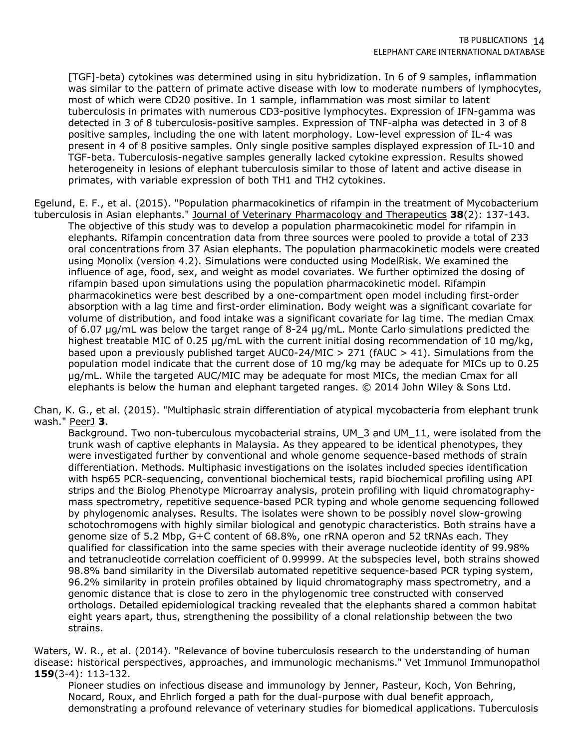[TGF]-beta) cytokines was determined using in situ hybridization. In 6 of 9 samples, inflammation was similar to the pattern of primate active disease with low to moderate numbers of lymphocytes, most of which were CD20 positive. In 1 sample, inflammation was most similar to latent tuberculosis in primates with numerous CD3-positive lymphocytes. Expression of IFN-gamma was detected in 3 of 8 tuberculosis-positive samples. Expression of TNF-alpha was detected in 3 of 8 positive samples, including the one with latent morphology. Low-level expression of IL-4 was present in 4 of 8 positive samples. Only single positive samples displayed expression of IL-10 and TGF-beta. Tuberculosis-negative samples generally lacked cytokine expression. Results showed heterogeneity in lesions of elephant tuberculosis similar to those of latent and active disease in primates, with variable expression of both TH1 and TH2 cytokines.

Egelund, E. F., et al. (2015). "Population pharmacokinetics of rifampin in the treatment of Mycobacterium tuberculosis in Asian elephants." Journal of Veterinary Pharmacology and Therapeutics **38**(2): 137-143.

The objective of this study was to develop a population pharmacokinetic model for rifampin in elephants. Rifampin concentration data from three sources were pooled to provide a total of 233 oral concentrations from 37 Asian elephants. The population pharmacokinetic models were created using Monolix (version 4.2). Simulations were conducted using ModelRisk. We examined the influence of age, food, sex, and weight as model covariates. We further optimized the dosing of rifampin based upon simulations using the population pharmacokinetic model. Rifampin pharmacokinetics were best described by a one-compartment open model including first-order absorption with a lag time and first-order elimination. Body weight was a significant covariate for volume of distribution, and food intake was a significant covariate for lag time. The median Cmax of 6.07 µg/mL was below the target range of 8-24 µg/mL. Monte Carlo simulations predicted the highest treatable MIC of 0.25 µg/mL with the current initial dosing recommendation of 10 mg/kg, based upon a previously published target AUC0-24/MIC > 271 (fAUC > 41). Simulations from the population model indicate that the current dose of 10 mg/kg may be adequate for MICs up to 0.25 µg/mL. While the targeted AUC/MIC may be adequate for most MICs, the median Cmax for all elephants is below the human and elephant targeted ranges. © 2014 John Wiley & Sons Ltd.

Chan, K. G., et al. (2015). "Multiphasic strain differentiation of atypical mycobacteria from elephant trunk wash." PeerJ **3**.

Background. Two non-tuberculous mycobacterial strains, UM\_3 and UM\_11, were isolated from the trunk wash of captive elephants in Malaysia. As they appeared to be identical phenotypes, they were investigated further by conventional and whole genome sequence-based methods of strain differentiation. Methods. Multiphasic investigations on the isolates included species identification with hsp65 PCR-sequencing, conventional biochemical tests, rapid biochemical profiling using API strips and the Biolog Phenotype Microarray analysis, protein profiling with liquid chromatographymass spectrometry, repetitive sequence-based PCR typing and whole genome sequencing followed by phylogenomic analyses. Results. The isolates were shown to be possibly novel slow-growing schotochromogens with highly similar biological and genotypic characteristics. Both strains have a genome size of 5.2 Mbp, G+C content of 68.8%, one rRNA operon and 52 tRNAs each. They qualified for classification into the same species with their average nucleotide identity of 99.98% and tetranucleotide correlation coefficient of 0.99999. At the subspecies level, both strains showed 98.8% band similarity in the Diversilab automated repetitive sequence-based PCR typing system, 96.2% similarity in protein profiles obtained by liquid chromatography mass spectrometry, and a genomic distance that is close to zero in the phylogenomic tree constructed with conserved orthologs. Detailed epidemiological tracking revealed that the elephants shared a common habitat eight years apart, thus, strengthening the possibility of a clonal relationship between the two strains.

Waters, W. R., et al. (2014). "Relevance of bovine tuberculosis research to the understanding of human disease: historical perspectives, approaches, and immunologic mechanisms." Vet Immunol Immunopathol **159**(3-4): 113-132.

Pioneer studies on infectious disease and immunology by Jenner, Pasteur, Koch, Von Behring, Nocard, Roux, and Ehrlich forged a path for the dual-purpose with dual benefit approach, demonstrating a profound relevance of veterinary studies for biomedical applications. Tuberculosis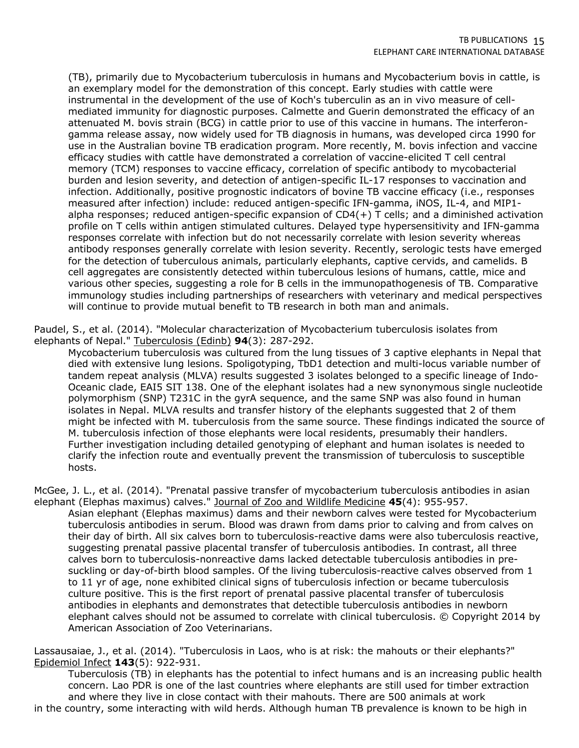(TB), primarily due to Mycobacterium tuberculosis in humans and Mycobacterium bovis in cattle, is an exemplary model for the demonstration of this concept. Early studies with cattle were instrumental in the development of the use of Koch's tuberculin as an in vivo measure of cellmediated immunity for diagnostic purposes. Calmette and Guerin demonstrated the efficacy of an attenuated M. bovis strain (BCG) in cattle prior to use of this vaccine in humans. The interferongamma release assay, now widely used for TB diagnosis in humans, was developed circa 1990 for use in the Australian bovine TB eradication program. More recently, M. bovis infection and vaccine efficacy studies with cattle have demonstrated a correlation of vaccine-elicited T cell central memory (TCM) responses to vaccine efficacy, correlation of specific antibody to mycobacterial burden and lesion severity, and detection of antigen-specific IL-17 responses to vaccination and infection. Additionally, positive prognostic indicators of bovine TB vaccine efficacy (i.e., responses measured after infection) include: reduced antigen-specific IFN-gamma, iNOS, IL-4, and MIP1 alpha responses; reduced antigen-specific expansion of CD4(+) T cells; and a diminished activation profile on T cells within antigen stimulated cultures. Delayed type hypersensitivity and IFN-gamma responses correlate with infection but do not necessarily correlate with lesion severity whereas antibody responses generally correlate with lesion severity. Recently, serologic tests have emerged for the detection of tuberculous animals, particularly elephants, captive cervids, and camelids. B cell aggregates are consistently detected within tuberculous lesions of humans, cattle, mice and various other species, suggesting a role for B cells in the immunopathogenesis of TB. Comparative immunology studies including partnerships of researchers with veterinary and medical perspectives will continue to provide mutual benefit to TB research in both man and animals.

Paudel, S., et al. (2014). "Molecular characterization of Mycobacterium tuberculosis isolates from elephants of Nepal." Tuberculosis (Edinb) **94**(3): 287-292.

Mycobacterium tuberculosis was cultured from the lung tissues of 3 captive elephants in Nepal that died with extensive lung lesions. Spoligotyping, TbD1 detection and multi-locus variable number of tandem repeat analysis (MLVA) results suggested 3 isolates belonged to a specific lineage of Indo-Oceanic clade, EAI5 SIT 138. One of the elephant isolates had a new synonymous single nucleotide polymorphism (SNP) T231C in the gyrA sequence, and the same SNP was also found in human isolates in Nepal. MLVA results and transfer history of the elephants suggested that 2 of them might be infected with M. tuberculosis from the same source. These findings indicated the source of M. tuberculosis infection of those elephants were local residents, presumably their handlers. Further investigation including detailed genotyping of elephant and human isolates is needed to clarify the infection route and eventually prevent the transmission of tuberculosis to susceptible hosts.

McGee, J. L., et al. (2014). "Prenatal passive transfer of mycobacterium tuberculosis antibodies in asian elephant (Elephas maximus) calves." Journal of Zoo and Wildlife Medicine **45**(4): 955-957.

Asian elephant (Elephas maximus) dams and their newborn calves were tested for Mycobacterium tuberculosis antibodies in serum. Blood was drawn from dams prior to calving and from calves on their day of birth. All six calves born to tuberculosis-reactive dams were also tuberculosis reactive, suggesting prenatal passive placental transfer of tuberculosis antibodies. In contrast, all three calves born to tuberculosis-nonreactive dams lacked detectable tuberculosis antibodies in presuckling or day-of-birth blood samples. Of the living tuberculosis-reactive calves observed from 1 to 11 yr of age, none exhibited clinical signs of tuberculosis infection or became tuberculosis culture positive. This is the first report of prenatal passive placental transfer of tuberculosis antibodies in elephants and demonstrates that detectible tuberculosis antibodies in newborn elephant calves should not be assumed to correlate with clinical tuberculosis. © Copyright 2014 by American Association of Zoo Veterinarians.

Lassausaiae, J., et al. (2014). "Tuberculosis in Laos, who is at risk: the mahouts or their elephants?" Epidemiol Infect **143**(5): 922-931.

Tuberculosis (TB) in elephants has the potential to infect humans and is an increasing public health concern. Lao PDR is one of the last countries where elephants are still used for timber extraction and where they live in close contact with their mahouts. There are 500 animals at work in the country, some interacting with wild herds. Although human TB prevalence is known to be high in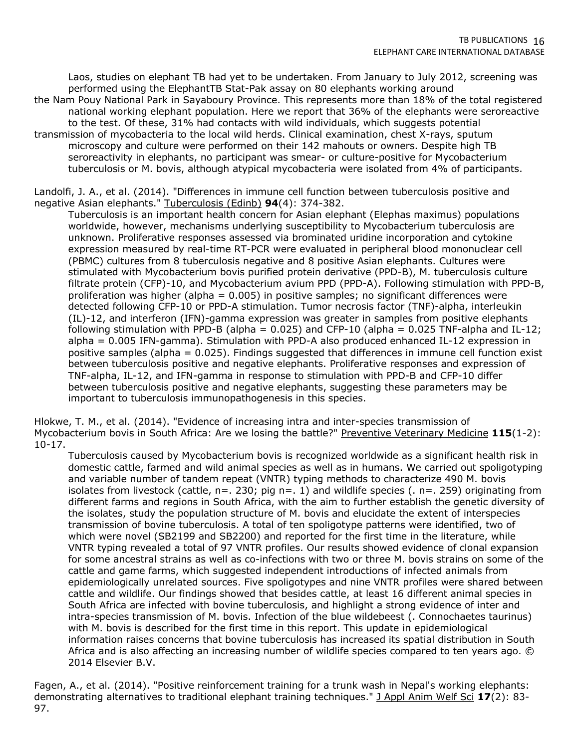Laos, studies on elephant TB had yet to be undertaken. From January to July 2012, screening was performed using the ElephantTB Stat-Pak assay on 80 elephants working around

- the Nam Pouy National Park in Sayaboury Province. This represents more than 18% of the total registered national working elephant population. Here we report that 36% of the elephants were seroreactive to the test. Of these, 31% had contacts with wild individuals, which suggests potential
- transmission of mycobacteria to the local wild herds. Clinical examination, chest X-rays, sputum microscopy and culture were performed on their 142 mahouts or owners. Despite high TB seroreactivity in elephants, no participant was smear- or culture-positive for Mycobacterium tuberculosis or M. bovis, although atypical mycobacteria were isolated from 4% of participants.

Landolfi, J. A., et al. (2014). "Differences in immune cell function between tuberculosis positive and negative Asian elephants." Tuberculosis (Edinb) **94**(4): 374-382.

Tuberculosis is an important health concern for Asian elephant (Elephas maximus) populations worldwide, however, mechanisms underlying susceptibility to Mycobacterium tuberculosis are unknown. Proliferative responses assessed via brominated uridine incorporation and cytokine expression measured by real-time RT-PCR were evaluated in peripheral blood mononuclear cell (PBMC) cultures from 8 tuberculosis negative and 8 positive Asian elephants. Cultures were stimulated with Mycobacterium bovis purified protein derivative (PPD-B), M. tuberculosis culture filtrate protein (CFP)-10, and Mycobacterium avium PPD (PPD-A). Following stimulation with PPD-B, proliferation was higher (alpha = 0.005) in positive samples; no significant differences were detected following CFP-10 or PPD-A stimulation. Tumor necrosis factor (TNF)-alpha, interleukin (IL)-12, and interferon (IFN)-gamma expression was greater in samples from positive elephants following stimulation with PPD-B (alpha =  $0.025$ ) and CFP-10 (alpha =  $0.025$  TNF-alpha and IL-12; alpha = 0.005 IFN-gamma). Stimulation with PPD-A also produced enhanced IL-12 expression in positive samples (alpha = 0.025). Findings suggested that differences in immune cell function exist between tuberculosis positive and negative elephants. Proliferative responses and expression of TNF-alpha, IL-12, and IFN-gamma in response to stimulation with PPD-B and CFP-10 differ between tuberculosis positive and negative elephants, suggesting these parameters may be important to tuberculosis immunopathogenesis in this species.

Hlokwe, T. M., et al. (2014). "Evidence of increasing intra and inter-species transmission of Mycobacterium bovis in South Africa: Are we losing the battle?" Preventive Veterinary Medicine 115(1-2): 10-17.

Tuberculosis caused by Mycobacterium bovis is recognized worldwide as a significant health risk in domestic cattle, farmed and wild animal species as well as in humans. We carried out spoligotyping and variable number of tandem repeat (VNTR) typing methods to characterize 490 M. bovis isolates from livestock (cattle,  $n=$  . 230; pig  $n=$  . 1) and wildlife species (.  $n=$  . 259) originating from different farms and regions in South Africa, with the aim to further establish the genetic diversity of the isolates, study the population structure of M. bovis and elucidate the extent of interspecies transmission of bovine tuberculosis. A total of ten spoligotype patterns were identified, two of which were novel (SB2199 and SB2200) and reported for the first time in the literature, while VNTR typing revealed a total of 97 VNTR profiles. Our results showed evidence of clonal expansion for some ancestral strains as well as co-infections with two or three M. bovis strains on some of the cattle and game farms, which suggested independent introductions of infected animals from epidemiologically unrelated sources. Five spoligotypes and nine VNTR profiles were shared between cattle and wildlife. Our findings showed that besides cattle, at least 16 different animal species in South Africa are infected with bovine tuberculosis, and highlight a strong evidence of inter and intra-species transmission of M. bovis. Infection of the blue wildebeest (. Connochaetes taurinus) with M. bovis is described for the first time in this report. This update in epidemiological information raises concerns that bovine tuberculosis has increased its spatial distribution in South Africa and is also affecting an increasing number of wildlife species compared to ten years ago. © 2014 Elsevier B.V.

Fagen, A., et al. (2014). "Positive reinforcement training for a trunk wash in Nepal's working elephants: demonstrating alternatives to traditional elephant training techniques." J Appl Anim Welf Sci **17**(2): 83- 97.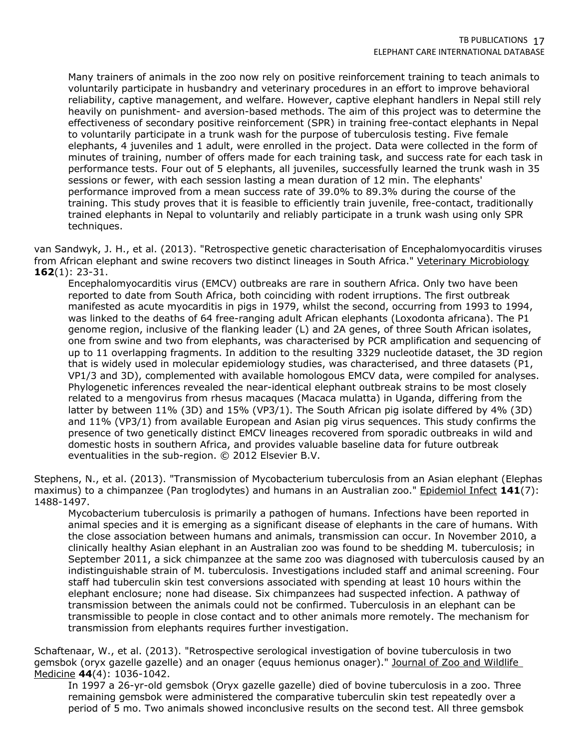Many trainers of animals in the zoo now rely on positive reinforcement training to teach animals to voluntarily participate in husbandry and veterinary procedures in an effort to improve behavioral reliability, captive management, and welfare. However, captive elephant handlers in Nepal still rely heavily on punishment- and aversion-based methods. The aim of this project was to determine the effectiveness of secondary positive reinforcement (SPR) in training free-contact elephants in Nepal to voluntarily participate in a trunk wash for the purpose of tuberculosis testing. Five female elephants, 4 juveniles and 1 adult, were enrolled in the project. Data were collected in the form of minutes of training, number of offers made for each training task, and success rate for each task in performance tests. Four out of 5 elephants, all juveniles, successfully learned the trunk wash in 35 sessions or fewer, with each session lasting a mean duration of 12 min. The elephants' performance improved from a mean success rate of 39.0% to 89.3% during the course of the training. This study proves that it is feasible to efficiently train juvenile, free-contact, traditionally trained elephants in Nepal to voluntarily and reliably participate in a trunk wash using only SPR techniques.

van Sandwyk, J. H., et al. (2013). "Retrospective genetic characterisation of Encephalomyocarditis viruses from African elephant and swine recovers two distinct lineages in South Africa." Veterinary Microbiology **162**(1): 23-31.

Encephalomyocarditis virus (EMCV) outbreaks are rare in southern Africa. Only two have been reported to date from South Africa, both coinciding with rodent irruptions. The first outbreak manifested as acute myocarditis in pigs in 1979, whilst the second, occurring from 1993 to 1994, was linked to the deaths of 64 free-ranging adult African elephants (Loxodonta africana). The P1 genome region, inclusive of the flanking leader (L) and 2A genes, of three South African isolates, one from swine and two from elephants, was characterised by PCR amplification and sequencing of up to 11 overlapping fragments. In addition to the resulting 3329 nucleotide dataset, the 3D region that is widely used in molecular epidemiology studies, was characterised, and three datasets (P1, VP1/3 and 3D), complemented with available homologous EMCV data, were compiled for analyses. Phylogenetic inferences revealed the near-identical elephant outbreak strains to be most closely related to a mengovirus from rhesus macaques (Macaca mulatta) in Uganda, differing from the latter by between 11% (3D) and 15% (VP3/1). The South African pig isolate differed by 4% (3D) and 11% (VP3/1) from available European and Asian pig virus sequences. This study confirms the presence of two genetically distinct EMCV lineages recovered from sporadic outbreaks in wild and domestic hosts in southern Africa, and provides valuable baseline data for future outbreak eventualities in the sub-region. © 2012 Elsevier B.V.

Stephens, N., et al. (2013). "Transmission of Mycobacterium tuberculosis from an Asian elephant (Elephas maximus) to a chimpanzee (Pan troglodytes) and humans in an Australian zoo." Epidemiol Infect **141**(7): 1488-1497.

Mycobacterium tuberculosis is primarily a pathogen of humans. Infections have been reported in animal species and it is emerging as a significant disease of elephants in the care of humans. With the close association between humans and animals, transmission can occur. In November 2010, a clinically healthy Asian elephant in an Australian zoo was found to be shedding M. tuberculosis; in September 2011, a sick chimpanzee at the same zoo was diagnosed with tuberculosis caused by an indistinguishable strain of M. tuberculosis. Investigations included staff and animal screening. Four staff had tuberculin skin test conversions associated with spending at least 10 hours within the elephant enclosure; none had disease. Six chimpanzees had suspected infection. A pathway of transmission between the animals could not be confirmed. Tuberculosis in an elephant can be transmissible to people in close contact and to other animals more remotely. The mechanism for transmission from elephants requires further investigation.

Schaftenaar, W., et al. (2013). "Retrospective serological investigation of bovine tuberculosis in two gemsbok (oryx gazelle gazelle) and an onager (equus hemionus onager)." Journal of Zoo and Wildlife Medicine **44**(4): 1036-1042.

In 1997 a 26-yr-old gemsbok (Oryx gazelle gazelle) died of bovine tuberculosis in a zoo. Three remaining gemsbok were administered the comparative tuberculin skin test repeatedly over a period of 5 mo. Two animals showed inconclusive results on the second test. All three gemsbok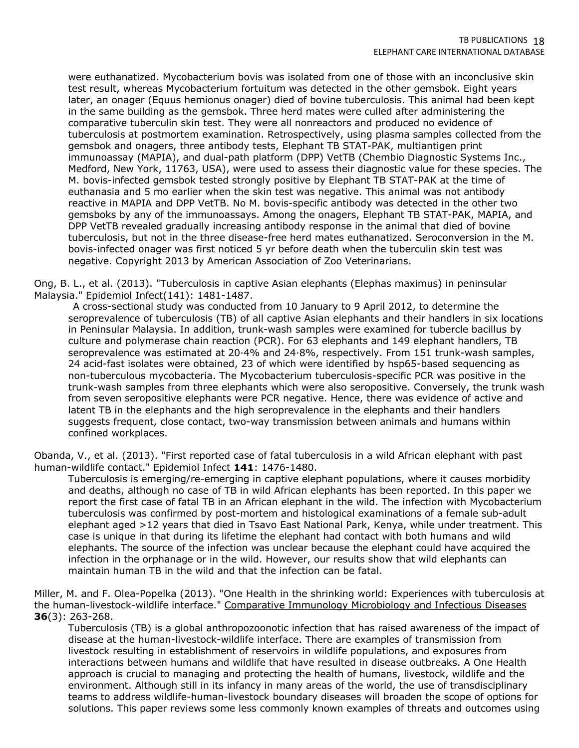were euthanatized. Mycobacterium bovis was isolated from one of those with an inconclusive skin test result, whereas Mycobacterium fortuitum was detected in the other gemsbok. Eight years later, an onager (Equus hemionus onager) died of bovine tuberculosis. This animal had been kept in the same building as the gemsbok. Three herd mates were culled after administering the comparative tuberculin skin test. They were all nonreactors and produced no evidence of tuberculosis at postmortem examination. Retrospectively, using plasma samples collected from the gemsbok and onagers, three antibody tests, Elephant TB STAT-PAK, multiantigen print immunoassay (MAPIA), and dual-path platform (DPP) VetTB (Chembio Diagnostic Systems Inc., Medford, New York, 11763, USA), were used to assess their diagnostic value for these species. The M. bovis-infected gemsbok tested strongly positive by Elephant TB STAT-PAK at the time of euthanasia and 5 mo earlier when the skin test was negative. This animal was not antibody reactive in MAPIA and DPP VetTB. No M. bovis-specific antibody was detected in the other two gemsboks by any of the immunoassays. Among the onagers, Elephant TB STAT-PAK, MAPIA, and DPP VetTB revealed gradually increasing antibody response in the animal that died of bovine tuberculosis, but not in the three disease-free herd mates euthanatized. Seroconversion in the M. bovis-infected onager was first noticed 5 yr before death when the tuberculin skin test was negative. Copyright 2013 by American Association of Zoo Veterinarians.

Ong, B. L., et al. (2013). "Tuberculosis in captive Asian elephants (Elephas maximus) in peninsular Malaysia." Epidemiol Infect(141): 1481-1487.

A cross-sectional study was conducted from 10 January to 9 April 2012, to determine the seroprevalence of tuberculosis (TB) of all captive Asian elephants and their handlers in six locations in Peninsular Malaysia. In addition, trunk-wash samples were examined for tubercle bacillus by culture and polymerase chain reaction (PCR). For 63 elephants and 149 elephant handlers, TB seroprevalence was estimated at 20·4% and 24·8%, respectively. From 151 trunk-wash samples, 24 acid-fast isolates were obtained, 23 of which were identified by hsp65-based sequencing as non-tuberculous mycobacteria. The Mycobacterium tuberculosis-specific PCR was positive in the trunk-wash samples from three elephants which were also seropositive. Conversely, the trunk wash from seven seropositive elephants were PCR negative. Hence, there was evidence of active and latent TB in the elephants and the high seroprevalence in the elephants and their handlers suggests frequent, close contact, two-way transmission between animals and humans within confined workplaces.

Obanda, V., et al. (2013). "First reported case of fatal tuberculosis in a wild African elephant with past human-wildlife contact." Epidemiol Infect **141**: 1476-1480.

Tuberculosis is emerging/re-emerging in captive elephant populations, where it causes morbidity and deaths, although no case of TB in wild African elephants has been reported. In this paper we report the first case of fatal TB in an African elephant in the wild. The infection with Mycobacterium tuberculosis was confirmed by post-mortem and histological examinations of a female sub-adult elephant aged >12 years that died in Tsavo East National Park, Kenya, while under treatment. This case is unique in that during its lifetime the elephant had contact with both humans and wild elephants. The source of the infection was unclear because the elephant could have acquired the infection in the orphanage or in the wild. However, our results show that wild elephants can maintain human TB in the wild and that the infection can be fatal.

Miller, M. and F. Olea-Popelka (2013). "One Health in the shrinking world: Experiences with tuberculosis at the human-livestock-wildlife interface." Comparative Immunology Microbiology and Infectious Diseases **36**(3): 263-268.

Tuberculosis (TB) is a global anthropozoonotic infection that has raised awareness of the impact of disease at the human-livestock-wildlife interface. There are examples of transmission from livestock resulting in establishment of reservoirs in wildlife populations, and exposures from interactions between humans and wildlife that have resulted in disease outbreaks. A One Health approach is crucial to managing and protecting the health of humans, livestock, wildlife and the environment. Although still in its infancy in many areas of the world, the use of transdisciplinary teams to address wildlife-human-livestock boundary diseases will broaden the scope of options for solutions. This paper reviews some less commonly known examples of threats and outcomes using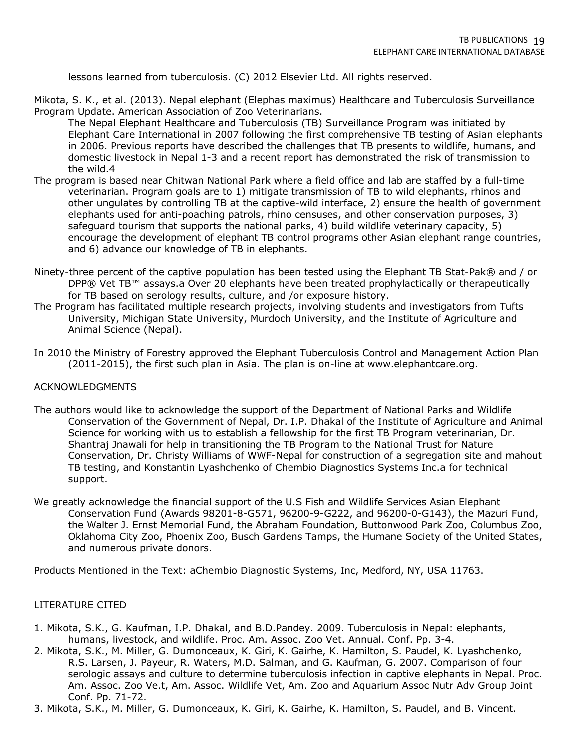lessons learned from tuberculosis. (C) 2012 Elsevier Ltd. All rights reserved.

Mikota, S. K., et al. (2013). Nepal elephant (Elephas maximus) Healthcare and Tuberculosis Surveillance Program Update. American Association of Zoo Veterinarians.

The Nepal Elephant Healthcare and Tuberculosis (TB) Surveillance Program was initiated by Elephant Care International in 2007 following the first comprehensive TB testing of Asian elephants in 2006. Previous reports have described the challenges that TB presents to wildlife, humans, and domestic livestock in Nepal 1-3 and a recent report has demonstrated the risk of transmission to the wild.4

- The program is based near Chitwan National Park where a field office and lab are staffed by a full-time veterinarian. Program goals are to 1) mitigate transmission of TB to wild elephants, rhinos and other ungulates by controlling TB at the captive-wild interface, 2) ensure the health of government elephants used for anti-poaching patrols, rhino censuses, and other conservation purposes, 3) safeguard tourism that supports the national parks, 4) build wildlife veterinary capacity, 5) encourage the development of elephant TB control programs other Asian elephant range countries, and 6) advance our knowledge of TB in elephants.
- Ninety-three percent of the captive population has been tested using the Elephant TB Stat-Pak® and / or DPP® Vet TB™ assays.a Over 20 elephants have been treated prophylactically or therapeutically for TB based on serology results, culture, and /or exposure history.
- The Program has facilitated multiple research projects, involving students and investigators from Tufts University, Michigan State University, Murdoch University, and the Institute of Agriculture and Animal Science (Nepal).
- In 2010 the Ministry of Forestry approved the Elephant Tuberculosis Control and Management Action Plan (2011-2015), the first such plan in Asia. The plan is on-line at www.elephantcare.org.

## ACKNOWLEDGMENTS

- The authors would like to acknowledge the support of the Department of National Parks and Wildlife Conservation of the Government of Nepal, Dr. I.P. Dhakal of the Institute of Agriculture and Animal Science for working with us to establish a fellowship for the first TB Program veterinarian, Dr. Shantraj Jnawali for help in transitioning the TB Program to the National Trust for Nature Conservation, Dr. Christy Williams of WWF-Nepal for construction of a segregation site and mahout TB testing, and Konstantin Lyashchenko of Chembio Diagnostics Systems Inc.a for technical support.
- We greatly acknowledge the financial support of the U.S Fish and Wildlife Services Asian Elephant Conservation Fund (Awards 98201-8-G571, 96200-9-G222, and 96200-0-G143), the Mazuri Fund, the Walter J. Ernst Memorial Fund, the Abraham Foundation, Buttonwood Park Zoo, Columbus Zoo, Oklahoma City Zoo, Phoenix Zoo, Busch Gardens Tamps, the Humane Society of the United States, and numerous private donors.

Products Mentioned in the Text: aChembio Diagnostic Systems, Inc, Medford, NY, USA 11763.

#### LITERATURE CITED

- 1. Mikota, S.K., G. Kaufman, I.P. Dhakal, and B.D.Pandey. 2009. Tuberculosis in Nepal: elephants, humans, livestock, and wildlife. Proc. Am. Assoc. Zoo Vet. Annual. Conf. Pp. 3-4.
- 2. Mikota, S.K., M. Miller, G. Dumonceaux, K. Giri, K. Gairhe, K. Hamilton, S. Paudel, K. Lyashchenko, R.S. Larsen, J. Payeur, R. Waters, M.D. Salman, and G. Kaufman, G. 2007. Comparison of four serologic assays and culture to determine tuberculosis infection in captive elephants in Nepal. Proc. Am. Assoc. Zoo Ve.t, Am. Assoc. Wildlife Vet, Am. Zoo and Aquarium Assoc Nutr Adv Group Joint Conf. Pp. 71-72.
- 3. Mikota, S.K., M. Miller, G. Dumonceaux, K. Giri, K. Gairhe, K. Hamilton, S. Paudel, and B. Vincent.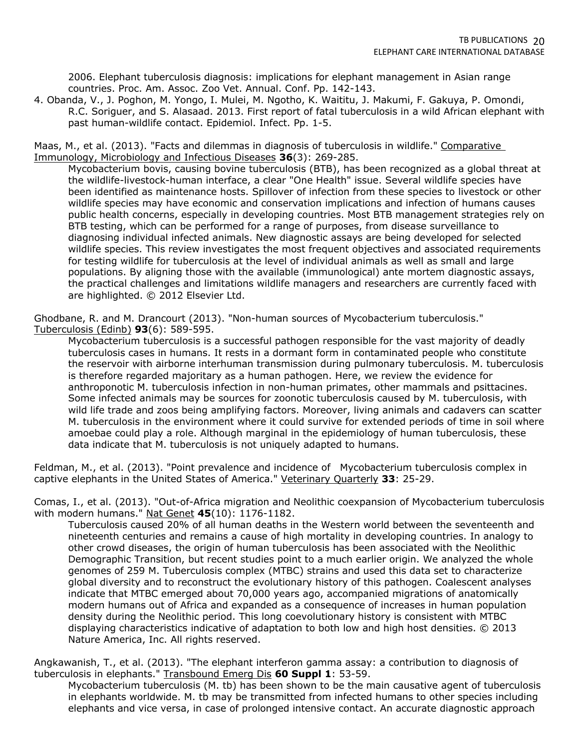2006. Elephant tuberculosis diagnosis: implications for elephant management in Asian range countries. Proc. Am. Assoc. Zoo Vet. Annual. Conf. Pp. 142-143.

4. Obanda, V., J. Poghon, M. Yongo, I. Mulei, M. Ngotho, K. Waititu, J. Makumi, F. Gakuya, P. Omondi, R.C. Soriguer, and S. Alasaad. 2013. First report of fatal tuberculosis in a wild African elephant with past human-wildlife contact. Epidemiol. Infect. Pp. 1-5.

Maas, M., et al. (2013). "Facts and dilemmas in diagnosis of tuberculosis in wildlife." Comparative Immunology, Microbiology and Infectious Diseases **36**(3): 269-285.

Mycobacterium bovis, causing bovine tuberculosis (BTB), has been recognized as a global threat at the wildlife-livestock-human interface, a clear "One Health" issue. Several wildlife species have been identified as maintenance hosts. Spillover of infection from these species to livestock or other wildlife species may have economic and conservation implications and infection of humans causes public health concerns, especially in developing countries. Most BTB management strategies rely on BTB testing, which can be performed for a range of purposes, from disease surveillance to diagnosing individual infected animals. New diagnostic assays are being developed for selected wildlife species. This review investigates the most frequent objectives and associated requirements for testing wildlife for tuberculosis at the level of individual animals as well as small and large populations. By aligning those with the available (immunological) ante mortem diagnostic assays, the practical challenges and limitations wildlife managers and researchers are currently faced with are highlighted. © 2012 Elsevier Ltd.

Ghodbane, R. and M. Drancourt (2013). "Non-human sources of Mycobacterium tuberculosis." Tuberculosis (Edinb) **93**(6): 589-595.

Mycobacterium tuberculosis is a successful pathogen responsible for the vast majority of deadly tuberculosis cases in humans. It rests in a dormant form in contaminated people who constitute the reservoir with airborne interhuman transmission during pulmonary tuberculosis. M. tuberculosis is therefore regarded majoritary as a human pathogen. Here, we review the evidence for anthroponotic M. tuberculosis infection in non-human primates, other mammals and psittacines. Some infected animals may be sources for zoonotic tuberculosis caused by M. tuberculosis, with wild life trade and zoos being amplifying factors. Moreover, living animals and cadavers can scatter M. tuberculosis in the environment where it could survive for extended periods of time in soil where amoebae could play a role. Although marginal in the epidemiology of human tuberculosis, these data indicate that M. tuberculosis is not uniquely adapted to humans.

Feldman, M., et al. (2013). "Point prevalence and incidence of Mycobacterium tuberculosis complex in captive elephants in the United States of America." Veterinary Quarterly **33**: 25-29.

Comas, I., et al. (2013). "Out-of-Africa migration and Neolithic coexpansion of Mycobacterium tuberculosis with modern humans." Nat Genet **45**(10): 1176-1182.

Tuberculosis caused 20% of all human deaths in the Western world between the seventeenth and nineteenth centuries and remains a cause of high mortality in developing countries. In analogy to other crowd diseases, the origin of human tuberculosis has been associated with the Neolithic Demographic Transition, but recent studies point to a much earlier origin. We analyzed the whole genomes of 259 M. Tuberculosis complex (MTBC) strains and used this data set to characterize global diversity and to reconstruct the evolutionary history of this pathogen. Coalescent analyses indicate that MTBC emerged about 70,000 years ago, accompanied migrations of anatomically modern humans out of Africa and expanded as a consequence of increases in human population density during the Neolithic period. This long coevolutionary history is consistent with MTBC displaying characteristics indicative of adaptation to both low and high host densities. © 2013 Nature America, Inc. All rights reserved.

Angkawanish, T., et al. (2013). "The elephant interferon gamma assay: a contribution to diagnosis of tuberculosis in elephants." Transbound Emerg Dis **60 Suppl 1**: 53-59.

Mycobacterium tuberculosis (M. tb) has been shown to be the main causative agent of tuberculosis in elephants worldwide. M. tb may be transmitted from infected humans to other species including elephants and vice versa, in case of prolonged intensive contact. An accurate diagnostic approach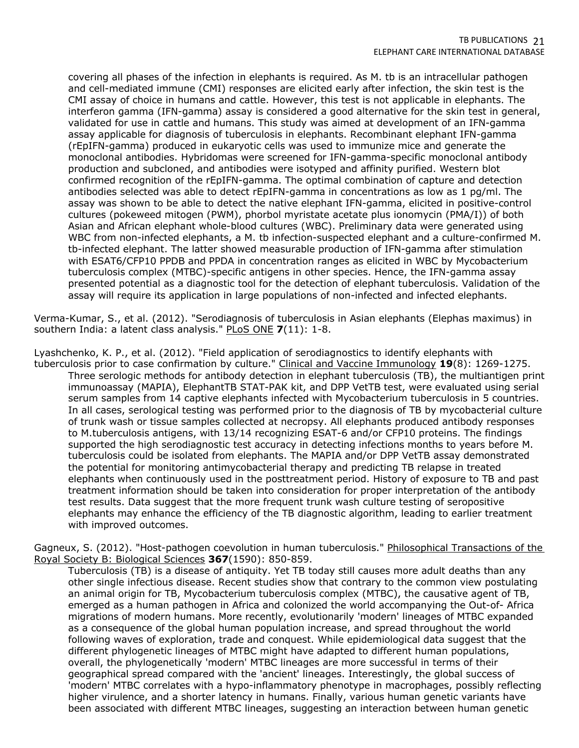covering all phases of the infection in elephants is required. As M. tb is an intracellular pathogen and cell-mediated immune (CMI) responses are elicited early after infection, the skin test is the CMI assay of choice in humans and cattle. However, this test is not applicable in elephants. The interferon gamma (IFN-gamma) assay is considered a good alternative for the skin test in general, validated for use in cattle and humans. This study was aimed at development of an IFN-gamma assay applicable for diagnosis of tuberculosis in elephants. Recombinant elephant IFN-gamma (rEpIFN-gamma) produced in eukaryotic cells was used to immunize mice and generate the monoclonal antibodies. Hybridomas were screened for IFN-gamma-specific monoclonal antibody production and subcloned, and antibodies were isotyped and affinity purified. Western blot confirmed recognition of the rEpIFN-gamma. The optimal combination of capture and detection antibodies selected was able to detect rEpIFN-gamma in concentrations as low as 1 pg/ml. The assay was shown to be able to detect the native elephant IFN-gamma, elicited in positive-control cultures (pokeweed mitogen (PWM), phorbol myristate acetate plus ionomycin (PMA/I)) of both Asian and African elephant whole-blood cultures (WBC). Preliminary data were generated using WBC from non-infected elephants, a M. tb infection-suspected elephant and a culture-confirmed M. tb-infected elephant. The latter showed measurable production of IFN-gamma after stimulation with ESAT6/CFP10 PPDB and PPDA in concentration ranges as elicited in WBC by Mycobacterium tuberculosis complex (MTBC)-specific antigens in other species. Hence, the IFN-gamma assay presented potential as a diagnostic tool for the detection of elephant tuberculosis. Validation of the assay will require its application in large populations of non-infected and infected elephants.

Verma-Kumar, S., et al. (2012). "Serodiagnosis of tuberculosis in Asian elephants (Elephas maximus) in southern India: a latent class analysis." PLoS ONE **7**(11): 1-8.

Lyashchenko, K. P., et al. (2012). "Field application of serodiagnostics to identify elephants with tuberculosis prior to case confirmation by culture." Clinical and Vaccine Immunology **19**(8): 1269-1275. Three serologic methods for antibody detection in elephant tuberculosis (TB), the multiantigen print immunoassay (MAPIA), ElephantTB STAT-PAK kit, and DPP VetTB test, were evaluated using serial serum samples from 14 captive elephants infected with Mycobacterium tuberculosis in 5 countries. In all cases, serological testing was performed prior to the diagnosis of TB by mycobacterial culture of trunk wash or tissue samples collected at necropsy. All elephants produced antibody responses to M.tuberculosis antigens, with 13/14 recognizing ESAT-6 and/or CFP10 proteins. The findings supported the high serodiagnostic test accuracy in detecting infections months to years before M. tuberculosis could be isolated from elephants. The MAPIA and/or DPP VetTB assay demonstrated the potential for monitoring antimycobacterial therapy and predicting TB relapse in treated elephants when continuously used in the posttreatment period. History of exposure to TB and past treatment information should be taken into consideration for proper interpretation of the antibody test results. Data suggest that the more frequent trunk wash culture testing of seropositive elephants may enhance the efficiency of the TB diagnostic algorithm, leading to earlier treatment with improved outcomes.

Gagneux, S. (2012). "Host-pathogen coevolution in human tuberculosis." Philosophical Transactions of the Royal Society B: Biological Sciences **367**(1590): 850-859.

Tuberculosis (TB) is a disease of antiquity. Yet TB today still causes more adult deaths than any other single infectious disease. Recent studies show that contrary to the common view postulating an animal origin for TB, Mycobacterium tuberculosis complex (MTBC), the causative agent of TB, emerged as a human pathogen in Africa and colonized the world accompanying the Out-of- Africa migrations of modern humans. More recently, evolutionarily 'modern' lineages of MTBC expanded as a consequence of the global human population increase, and spread throughout the world following waves of exploration, trade and conquest. While epidemiological data suggest that the different phylogenetic lineages of MTBC might have adapted to different human populations, overall, the phylogenetically 'modern' MTBC lineages are more successful in terms of their geographical spread compared with the 'ancient' lineages. Interestingly, the global success of 'modern' MTBC correlates with a hypo-inflammatory phenotype in macrophages, possibly reflecting higher virulence, and a shorter latency in humans. Finally, various human genetic variants have been associated with different MTBC lineages, suggesting an interaction between human genetic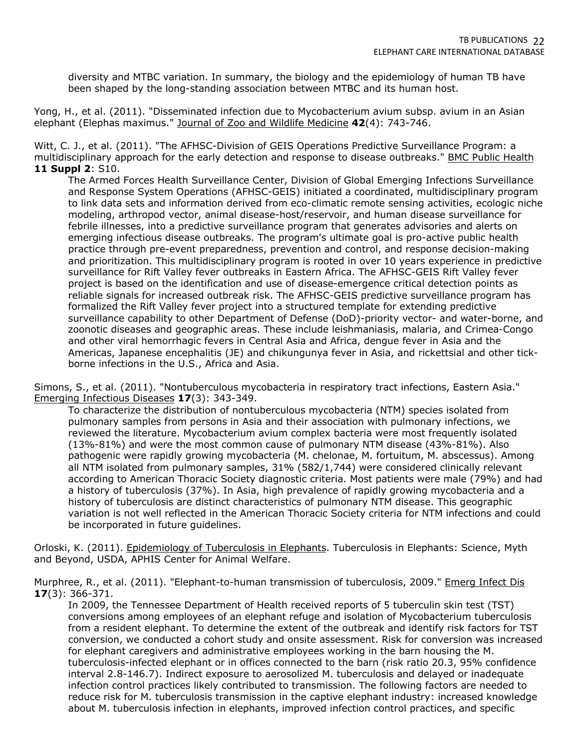diversity and MTBC variation. In summary, the biology and the epidemiology of human TB have been shaped by the long-standing association between MTBC and its human host.

Yong, H., et al. (2011). "Disseminated infection due to Mycobacterium avium subsp. avium in an Asian elephant (Elephas maximus." Journal of Zoo and Wildlife Medicine **42**(4): 743-746.

Witt, C. J., et al. (2011). "The AFHSC-Division of GEIS Operations Predictive Surveillance Program: a multidisciplinary approach for the early detection and response to disease outbreaks." BMC Public Health **11 Suppl 2**: S10.

The Armed Forces Health Surveillance Center, Division of Global Emerging Infections Surveillance and Response System Operations (AFHSC-GEIS) initiated a coordinated, multidisciplinary program to link data sets and information derived from eco-climatic remote sensing activities, ecologic niche modeling, arthropod vector, animal disease-host/reservoir, and human disease surveillance for febrile illnesses, into a predictive surveillance program that generates advisories and alerts on emerging infectious disease outbreaks. The program's ultimate goal is pro-active public health practice through pre-event preparedness, prevention and control, and response decision-making and prioritization. This multidisciplinary program is rooted in over 10 years experience in predictive surveillance for Rift Valley fever outbreaks in Eastern Africa. The AFHSC-GEIS Rift Valley fever project is based on the identification and use of disease-emergence critical detection points as reliable signals for increased outbreak risk. The AFHSC-GEIS predictive surveillance program has formalized the Rift Valley fever project into a structured template for extending predictive surveillance capability to other Department of Defense (DoD)-priority vector- and water-borne, and zoonotic diseases and geographic areas. These include leishmaniasis, malaria, and Crimea-Congo and other viral hemorrhagic fevers in Central Asia and Africa, dengue fever in Asia and the Americas, Japanese encephalitis (JE) and chikungunya fever in Asia, and rickettsial and other tickborne infections in the U.S., Africa and Asia.

Simons, S., et al. (2011). "Nontuberculous mycobacteria in respiratory tract infections, Eastern Asia." Emerging Infectious Diseases **17**(3): 343-349.

To characterize the distribution of nontuberculous mycobacteria (NTM) species isolated from pulmonary samples from persons in Asia and their association with pulmonary infections, we reviewed the literature. Mycobacterium avium complex bacteria were most frequently isolated (13%-81%) and were the most common cause of pulmonary NTM disease (43%-81%). Also pathogenic were rapidly growing mycobacteria (M. chelonae, M. fortuitum, M. abscessus). Among all NTM isolated from pulmonary samples, 31% (582/1,744) were considered clinically relevant according to American Thoracic Society diagnostic criteria. Most patients were male (79%) and had a history of tuberculosis (37%). In Asia, high prevalence of rapidly growing mycobacteria and a history of tuberculosis are distinct characteristics of pulmonary NTM disease. This geographic variation is not well reflected in the American Thoracic Society criteria for NTM infections and could be incorporated in future guidelines.

Orloski, K. (2011). Epidemiology of Tuberculosis in Elephants. Tuberculosis in Elephants: Science, Myth and Beyond, USDA, APHIS Center for Animal Welfare.

Murphree, R., et al. (2011). "Elephant-to-human transmission of tuberculosis, 2009." Emerg Infect Dis **17**(3): 366-371.

In 2009, the Tennessee Department of Health received reports of 5 tuberculin skin test (TST) conversions among employees of an elephant refuge and isolation of Mycobacterium tuberculosis from a resident elephant. To determine the extent of the outbreak and identify risk factors for TST conversion, we conducted a cohort study and onsite assessment. Risk for conversion was increased for elephant caregivers and administrative employees working in the barn housing the M. tuberculosis-infected elephant or in offices connected to the barn (risk ratio 20.3, 95% confidence interval 2.8-146.7). Indirect exposure to aerosolized M. tuberculosis and delayed or inadequate infection control practices likely contributed to transmission. The following factors are needed to reduce risk for M. tuberculosis transmission in the captive elephant industry: increased knowledge about M. tuberculosis infection in elephants, improved infection control practices, and specific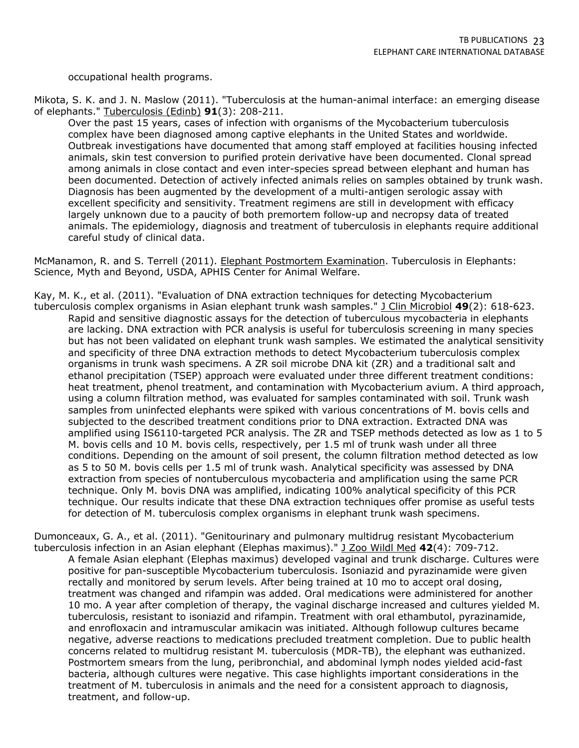occupational health programs.

Mikota, S. K. and J. N. Maslow (2011). "Tuberculosis at the human-animal interface: an emerging disease of elephants." Tuberculosis (Edinb) **91**(3): 208-211.

Over the past 15 years, cases of infection with organisms of the Mycobacterium tuberculosis complex have been diagnosed among captive elephants in the United States and worldwide. Outbreak investigations have documented that among staff employed at facilities housing infected animals, skin test conversion to purified protein derivative have been documented. Clonal spread among animals in close contact and even inter-species spread between elephant and human has been documented. Detection of actively infected animals relies on samples obtained by trunk wash. Diagnosis has been augmented by the development of a multi-antigen serologic assay with excellent specificity and sensitivity. Treatment regimens are still in development with efficacy largely unknown due to a paucity of both premortem follow-up and necropsy data of treated animals. The epidemiology, diagnosis and treatment of tuberculosis in elephants require additional careful study of clinical data.

McManamon, R. and S. Terrell (2011). Elephant Postmortem Examination. Tuberculosis in Elephants: Science, Myth and Beyond, USDA, APHIS Center for Animal Welfare.

Kay, M. K., et al. (2011). "Evaluation of DNA extraction techniques for detecting Mycobacterium tuberculosis complex organisms in Asian elephant trunk wash samples." J Clin Microbiol **49**(2): 618-623. Rapid and sensitive diagnostic assays for the detection of tuberculous mycobacteria in elephants are lacking. DNA extraction with PCR analysis is useful for tuberculosis screening in many species but has not been validated on elephant trunk wash samples. We estimated the analytical sensitivity and specificity of three DNA extraction methods to detect Mycobacterium tuberculosis complex organisms in trunk wash specimens. A ZR soil microbe DNA kit (ZR) and a traditional salt and ethanol precipitation (TSEP) approach were evaluated under three different treatment conditions: heat treatment, phenol treatment, and contamination with Mycobacterium avium. A third approach, using a column filtration method, was evaluated for samples contaminated with soil. Trunk wash samples from uninfected elephants were spiked with various concentrations of M. bovis cells and subjected to the described treatment conditions prior to DNA extraction. Extracted DNA was amplified using IS6110-targeted PCR analysis. The ZR and TSEP methods detected as low as 1 to 5 M. bovis cells and 10 M. bovis cells, respectively, per 1.5 ml of trunk wash under all three conditions. Depending on the amount of soil present, the column filtration method detected as low as 5 to 50 M. bovis cells per 1.5 ml of trunk wash. Analytical specificity was assessed by DNA extraction from species of nontuberculous mycobacteria and amplification using the same PCR technique. Only M. bovis DNA was amplified, indicating 100% analytical specificity of this PCR technique. Our results indicate that these DNA extraction techniques offer promise as useful tests for detection of M. tuberculosis complex organisms in elephant trunk wash specimens.

Dumonceaux, G. A., et al. (2011). "Genitourinary and pulmonary multidrug resistant Mycobacterium tuberculosis infection in an Asian elephant (Elephas maximus)." J Zoo Wildl Med **42**(4): 709-712. A female Asian elephant (Elephas maximus) developed vaginal and trunk discharge. Cultures were positive for pan-susceptible Mycobacterium tuberculosis. Isoniazid and pyrazinamide were given rectally and monitored by serum levels. After being trained at 10 mo to accept oral dosing, treatment was changed and rifampin was added. Oral medications were administered for another 10 mo. A year after completion of therapy, the vaginal discharge increased and cultures yielded M. tuberculosis, resistant to isoniazid and rifampin. Treatment with oral ethambutol, pyrazinamide, and enrofloxacin and intramuscular amikacin was initiated. Although followup cultures became negative, adverse reactions to medications precluded treatment completion. Due to public health concerns related to multidrug resistant M. tuberculosis (MDR-TB), the elephant was euthanized. Postmortem smears from the lung, peribronchial, and abdominal lymph nodes yielded acid-fast bacteria, although cultures were negative. This case highlights important considerations in the treatment of M. tuberculosis in animals and the need for a consistent approach to diagnosis, treatment, and follow-up.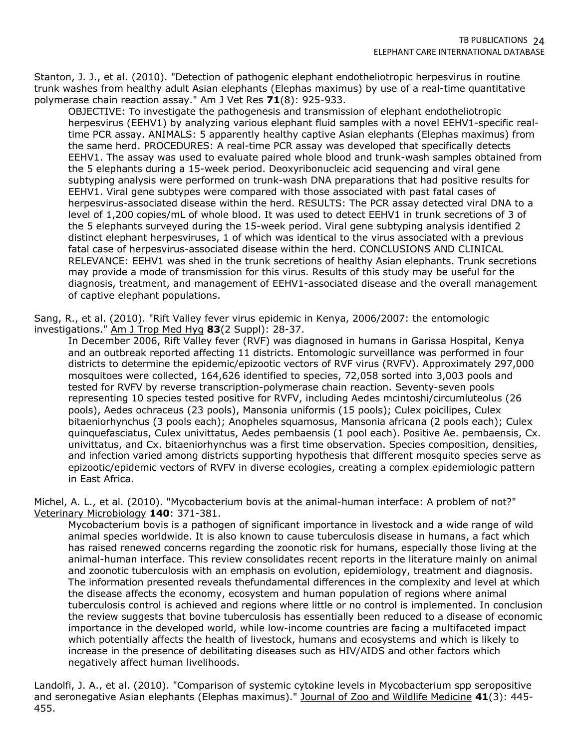Stanton, J. J., et al. (2010). "Detection of pathogenic elephant endotheliotropic herpesvirus in routine trunk washes from healthy adult Asian elephants (Elephas maximus) by use of a real-time quantitative polymerase chain reaction assay." Am J Vet Res **71**(8): 925-933.

OBJECTIVE: To investigate the pathogenesis and transmission of elephant endotheliotropic herpesvirus (EEHV1) by analyzing various elephant fluid samples with a novel EEHV1-specific realtime PCR assay. ANIMALS: 5 apparently healthy captive Asian elephants (Elephas maximus) from the same herd. PROCEDURES: A real-time PCR assay was developed that specifically detects EEHV1. The assay was used to evaluate paired whole blood and trunk-wash samples obtained from the 5 elephants during a 15-week period. Deoxyribonucleic acid sequencing and viral gene subtyping analysis were performed on trunk-wash DNA preparations that had positive results for EEHV1. Viral gene subtypes were compared with those associated with past fatal cases of herpesvirus-associated disease within the herd. RESULTS: The PCR assay detected viral DNA to a level of 1,200 copies/mL of whole blood. It was used to detect EEHV1 in trunk secretions of 3 of the 5 elephants surveyed during the 15-week period. Viral gene subtyping analysis identified 2 distinct elephant herpesviruses, 1 of which was identical to the virus associated with a previous fatal case of herpesvirus-associated disease within the herd. CONCLUSIONS AND CLINICAL RELEVANCE: EEHV1 was shed in the trunk secretions of healthy Asian elephants. Trunk secretions may provide a mode of transmission for this virus. Results of this study may be useful for the diagnosis, treatment, and management of EEHV1-associated disease and the overall management of captive elephant populations.

Sang, R., et al. (2010). "Rift Valley fever virus epidemic in Kenya, 2006/2007: the entomologic investigations." Am J Trop Med Hyg **83**(2 Suppl): 28-37.

In December 2006, Rift Valley fever (RVF) was diagnosed in humans in Garissa Hospital, Kenya and an outbreak reported affecting 11 districts. Entomologic surveillance was performed in four districts to determine the epidemic/epizootic vectors of RVF virus (RVFV). Approximately 297,000 mosquitoes were collected, 164,626 identified to species, 72,058 sorted into 3,003 pools and tested for RVFV by reverse transcription-polymerase chain reaction. Seventy-seven pools representing 10 species tested positive for RVFV, including Aedes mcintoshi/circumluteolus (26 pools), Aedes ochraceus (23 pools), Mansonia uniformis (15 pools); Culex poicilipes, Culex bitaeniorhynchus (3 pools each); Anopheles squamosus, Mansonia africana (2 pools each); Culex quinquefasciatus, Culex univittatus, Aedes pembaensis (1 pool each). Positive Ae. pembaensis, Cx. univittatus, and Cx. bitaeniorhynchus was a first time observation. Species composition, densities, and infection varied among districts supporting hypothesis that different mosquito species serve as epizootic/epidemic vectors of RVFV in diverse ecologies, creating a complex epidemiologic pattern in East Africa.

Michel, A. L., et al. (2010). "Mycobacterium bovis at the animal-human interface: A problem of not?" Veterinary Microbiology **140**: 371-381.

Mycobacterium bovis is a pathogen of significant importance in livestock and a wide range of wild animal species worldwide. It is also known to cause tuberculosis disease in humans, a fact which has raised renewed concerns regarding the zoonotic risk for humans, especially those living at the animal-human interface. This review consolidates recent reports in the literature mainly on animal and zoonotic tuberculosis with an emphasis on evolution, epidemiology, treatment and diagnosis. The information presented reveals thefundamental differences in the complexity and level at which the disease affects the economy, ecosystem and human population of regions where animal tuberculosis control is achieved and regions where little or no control is implemented. In conclusion the review suggests that bovine tuberculosis has essentially been reduced to a disease of economic importance in the developed world, while low-income countries are facing a multifaceted impact which potentially affects the health of livestock, humans and ecosystems and which is likely to increase in the presence of debilitating diseases such as HIV/AIDS and other factors which negatively affect human livelihoods.

Landolfi, J. A., et al. (2010). "Comparison of systemic cytokine levels in Mycobacterium spp seropositive and seronegative Asian elephants (Elephas maximus)." Journal of Zoo and Wildlife Medicine **41**(3): 445- 455.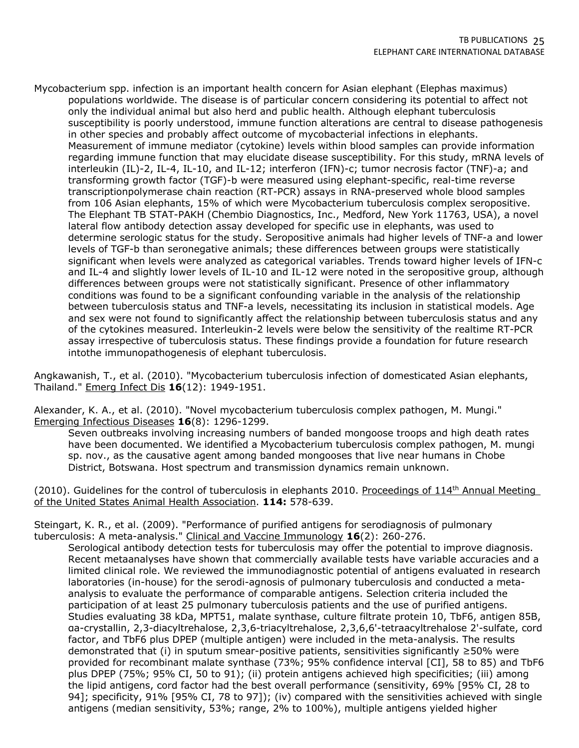Mycobacterium spp. infection is an important health concern for Asian elephant (Elephas maximus) populations worldwide. The disease is of particular concern considering its potential to affect not only the individual animal but also herd and public health. Although elephant tuberculosis susceptibility is poorly understood, immune function alterations are central to disease pathogenesis in other species and probably affect outcome of mycobacterial infections in elephants. Measurement of immune mediator (cytokine) levels within blood samples can provide information regarding immune function that may elucidate disease susceptibility. For this study, mRNA levels of interleukin (IL)-2, IL-4, IL-10, and IL-12; interferon (IFN)-c; tumor necrosis factor (TNF)-a; and transforming growth factor (TGF)-b were measured using elephant-specific, real-time reverse transcriptionpolymerase chain reaction (RT-PCR) assays in RNA-preserved whole blood samples from 106 Asian elephants, 15% of which were Mycobacterium tuberculosis complex seropositive. The Elephant TB STAT-PAKH (Chembio Diagnostics, Inc., Medford, New York 11763, USA), a novel lateral flow antibody detection assay developed for specific use in elephants, was used to determine serologic status for the study. Seropositive animals had higher levels of TNF-a and lower levels of TGF-b than seronegative animals; these differences between groups were statistically significant when levels were analyzed as categorical variables. Trends toward higher levels of IFN-c and IL-4 and slightly lower levels of IL-10 and IL-12 were noted in the seropositive group, although differences between groups were not statistically significant. Presence of other inflammatory conditions was found to be a significant confounding variable in the analysis of the relationship between tuberculosis status and TNF-a levels, necessitating its inclusion in statistical models. Age and sex were not found to significantly affect the relationship between tuberculosis status and any of the cytokines measured. Interleukin-2 levels were below the sensitivity of the realtime RT-PCR assay irrespective of tuberculosis status. These findings provide a foundation for future research intothe immunopathogenesis of elephant tuberculosis.

Angkawanish, T., et al. (2010). "Mycobacterium tuberculosis infection of domesticated Asian elephants, Thailand." Emerg Infect Dis **16**(12): 1949-1951.

Alexander, K. A., et al. (2010). "Novel mycobacterium tuberculosis complex pathogen, M. Mungi." Emerging Infectious Diseases **16**(8): 1296-1299.

Seven outbreaks involving increasing numbers of banded mongoose troops and high death rates have been documented. We identified a Mycobacterium tuberculosis complex pathogen, M. mungi sp. nov., as the causative agent among banded mongooses that live near humans in Chobe District, Botswana. Host spectrum and transmission dynamics remain unknown.

(2010). Guidelines for the control of tuberculosis in elephants 2010. Proceedings of  $114<sup>th</sup>$  Annual Meeting of the United States Animal Health Association. **114:** 578-639.

Steingart, K. R., et al. (2009). "Performance of purified antigens for serodiagnosis of pulmonary tuberculosis: A meta-analysis." Clinical and Vaccine Immunology **16**(2): 260-276.

Serological antibody detection tests for tuberculosis may offer the potential to improve diagnosis. Recent metaanalyses have shown that commercially available tests have variable accuracies and a limited clinical role. We reviewed the immunodiagnostic potential of antigens evaluated in research laboratories (in-house) for the serodi-agnosis of pulmonary tuberculosis and conducted a metaanalysis to evaluate the performance of comparable antigens. Selection criteria included the participation of at least 25 pulmonary tuberculosis patients and the use of purified antigens. Studies evaluating 38 kDa, MPT51, malate synthase, culture filtrate protein 10, TbF6, antigen 85B, αa-crystallin, 2,3-diacyltrehalose, 2,3,6-triacyltrehalose, 2,3,6,6'-tetraacyltrehalose 2'-sulfate, cord factor, and TbF6 plus DPEP (multiple antigen) were included in the meta-analysis. The results demonstrated that (i) in sputum smear-positive patients, sensitivities significantly ≥50% were provided for recombinant malate synthase (73%; 95% confidence interval [CI], 58 to 85) and TbF6 plus DPEP (75%; 95% CI, 50 to 91); (ii) protein antigens achieved high specificities; (iii) among the lipid antigens, cord factor had the best overall performance (sensitivity, 69% [95% CI, 28 to 94]; specificity, 91% [95% CI, 78 to 97]); (iv) compared with the sensitivities achieved with single antigens (median sensitivity, 53%; range, 2% to 100%), multiple antigens yielded higher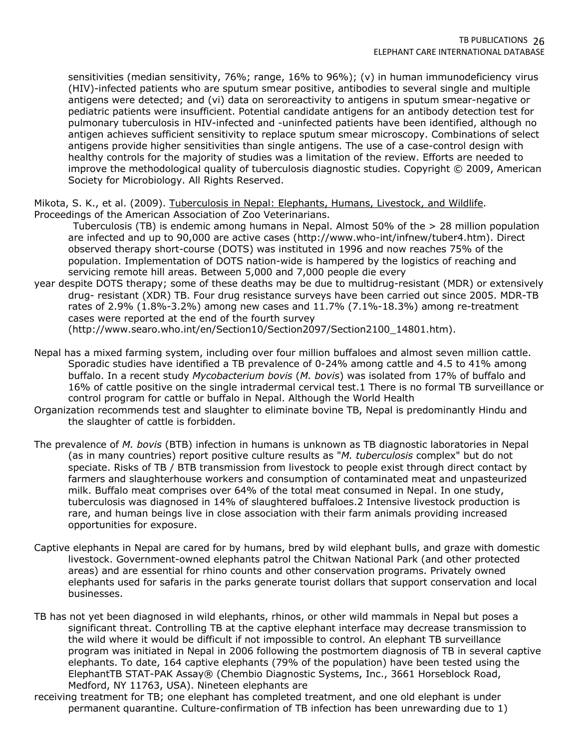sensitivities (median sensitivity, 76%; range, 16% to 96%); (v) in human immunodeficiency virus (HIV)-infected patients who are sputum smear positive, antibodies to several single and multiple antigens were detected; and (vi) data on seroreactivity to antigens in sputum smear-negative or pediatric patients were insufficient. Potential candidate antigens for an antibody detection test for pulmonary tuberculosis in HIV-infected and -uninfected patients have been identified, although no antigen achieves sufficient sensitivity to replace sputum smear microscopy. Combinations of select antigens provide higher sensitivities than single antigens. The use of a case-control design with healthy controls for the majority of studies was a limitation of the review. Efforts are needed to improve the methodological quality of tuberculosis diagnostic studies. Copyright © 2009, American Society for Microbiology. All Rights Reserved.

Mikota, S. K., et al. (2009). Tuberculosis in Nepal: Elephants, Humans, Livestock, and Wildlife. Proceedings of the American Association of Zoo Veterinarians.

Tuberculosis (TB) is endemic among humans in Nepal. Almost 50% of the > 28 million population are infected and up to 90,000 are active cases (http://www.who-int/infnew/tuber4.htm). Direct observed therapy short-course (DOTS) was instituted in 1996 and now reaches 75% of the population. Implementation of DOTS nation-wide is hampered by the logistics of reaching and servicing remote hill areas. Between 5,000 and 7,000 people die every

- year despite DOTS therapy; some of these deaths may be due to multidrug-resistant (MDR) or extensively drug- resistant (XDR) TB. Four drug resistance surveys have been carried out since 2005. MDR-TB rates of 2.9% (1.8%-3.2%) among new cases and 11.7% (7.1%-18.3%) among re-treatment cases were reported at the end of the fourth survey (http://www.searo.who.int/en/Section10/Section2097/Section2100\_14801.htm).
- Nepal has a mixed farming system, including over four million buffaloes and almost seven million cattle. Sporadic studies have identified a TB prevalence of 0-24% among cattle and 4.5 to 41% among buffalo. In a recent study *Mycobacterium bovis* (*M. bovis*) was isolated from 17% of buffalo and 16% of cattle positive on the single intradermal cervical test.1 There is no formal TB surveillance or control program for cattle or buffalo in Nepal. Although the World Health
- Organization recommends test and slaughter to eliminate bovine TB, Nepal is predominantly Hindu and the slaughter of cattle is forbidden.
- The prevalence of *M. bovis* (BTB) infection in humans is unknown as TB diagnostic laboratories in Nepal (as in many countries) report positive culture results as "*M. tuberculosis* complex" but do not speciate. Risks of TB / BTB transmission from livestock to people exist through direct contact by farmers and slaughterhouse workers and consumption of contaminated meat and unpasteurized milk. Buffalo meat comprises over 64% of the total meat consumed in Nepal. In one study, tuberculosis was diagnosed in 14% of slaughtered buffaloes.2 Intensive livestock production is rare, and human beings live in close association with their farm animals providing increased opportunities for exposure.
- Captive elephants in Nepal are cared for by humans, bred by wild elephant bulls, and graze with domestic livestock. Government-owned elephants patrol the Chitwan National Park (and other protected areas) and are essential for rhino counts and other conservation programs. Privately owned elephants used for safaris in the parks generate tourist dollars that support conservation and local businesses.
- TB has not yet been diagnosed in wild elephants, rhinos, or other wild mammals in Nepal but poses a significant threat. Controlling TB at the captive elephant interface may decrease transmission to the wild where it would be difficult if not impossible to control. An elephant TB surveillance program was initiated in Nepal in 2006 following the postmortem diagnosis of TB in several captive elephants. To date, 164 captive elephants (79% of the population) have been tested using the ElephantTB STAT-PAK Assay® (Chembio Diagnostic Systems, Inc., 3661 Horseblock Road, Medford, NY 11763, USA). Nineteen elephants are
- receiving treatment for TB; one elephant has completed treatment, and one old elephant is under permanent quarantine. Culture-confirmation of TB infection has been unrewarding due to 1)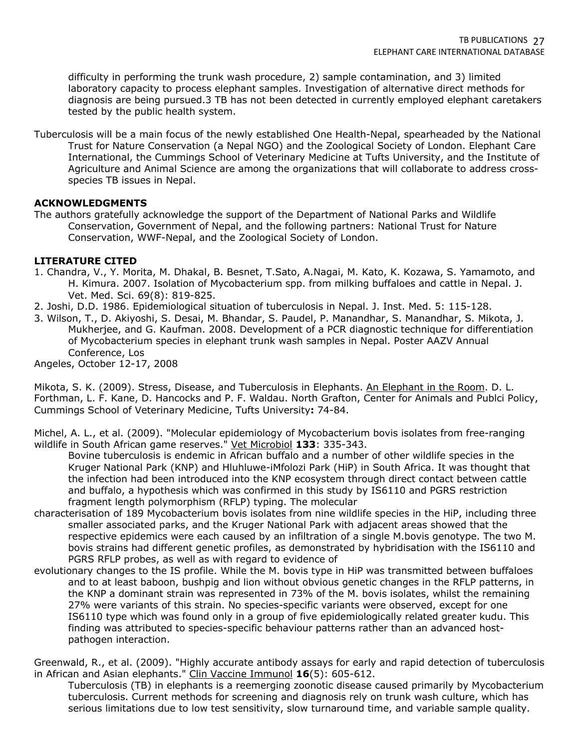difficulty in performing the trunk wash procedure, 2) sample contamination, and 3) limited laboratory capacity to process elephant samples. Investigation of alternative direct methods for diagnosis are being pursued.3 TB has not been detected in currently employed elephant caretakers tested by the public health system.

Tuberculosis will be a main focus of the newly established One Health-Nepal, spearheaded by the National Trust for Nature Conservation (a Nepal NGO) and the Zoological Society of London. Elephant Care International, the Cummings School of Veterinary Medicine at Tufts University, and the Institute of Agriculture and Animal Science are among the organizations that will collaborate to address crossspecies TB issues in Nepal.

## **ACKNOWLEDGMENTS**

The authors gratefully acknowledge the support of the Department of National Parks and Wildlife Conservation, Government of Nepal, and the following partners: National Trust for Nature Conservation, WWF-Nepal, and the Zoological Society of London.

## **LITERATURE CITED**

- 1. Chandra, V., Y. Morita, M. Dhakal, B. Besnet, T.Sato, A.Nagai, M. Kato, K. Kozawa, S. Yamamoto, and H. Kimura. 2007. Isolation of Mycobacterium spp. from milking buffaloes and cattle in Nepal. J. Vet. Med. Sci. 69(8): 819-825.
- 2. Joshi, D.D. 1986. Epidemiological situation of tuberculosis in Nepal. J. Inst. Med. 5: 115-128.
- 3. Wilson, T., D. Akiyoshi, S. Desai, M. Bhandar, S. Paudel, P. Manandhar, S. Manandhar, S. Mikota, J. Mukherjee, and G. Kaufman. 2008. Development of a PCR diagnostic technique for differentiation of Mycobacterium species in elephant trunk wash samples in Nepal. Poster AAZV Annual Conference, Los

Angeles, October 12-17, 2008

Mikota, S. K. (2009). Stress, Disease, and Tuberculosis in Elephants. An Elephant in the Room. D. L. Forthman, L. F. Kane, D. Hancocks and P. F. Waldau. North Grafton, Center for Animals and Publci Policy, Cummings School of Veterinary Medicine, Tufts University**:** 74-84.

Michel, A. L., et al. (2009). "Molecular epidemiology of Mycobacterium bovis isolates from free-ranging wildlife in South African game reserves." Vet Microbiol **133**: 335-343.

- Bovine tuberculosis is endemic in African buffalo and a number of other wildlife species in the Kruger National Park (KNP) and Hluhluwe-iMfolozi Park (HiP) in South Africa. It was thought that the infection had been introduced into the KNP ecosystem through direct contact between cattle and buffalo, a hypothesis which was confirmed in this study by IS6110 and PGRS restriction fragment length polymorphism (RFLP) typing. The molecular
- characterisation of 189 Mycobacterium bovis isolates from nine wildlife species in the HiP, including three smaller associated parks, and the Kruger National Park with adjacent areas showed that the respective epidemics were each caused by an infiltration of a single M.bovis genotype. The two M. bovis strains had different genetic profiles, as demonstrated by hybridisation with the IS6110 and PGRS RFLP probes, as well as with regard to evidence of
- evolutionary changes to the IS profile. While the M. bovis type in HiP was transmitted between buffaloes and to at least baboon, bushpig and lion without obvious genetic changes in the RFLP patterns, in the KNP a dominant strain was represented in 73% of the M. bovis isolates, whilst the remaining 27% were variants of this strain. No species-specific variants were observed, except for one IS6110 type which was found only in a group of five epidemiologically related greater kudu. This finding was attributed to species-specific behaviour patterns rather than an advanced hostpathogen interaction.

Greenwald, R., et al. (2009). "Highly accurate antibody assays for early and rapid detection of tuberculosis in African and Asian elephants." Clin Vaccine Immunol **16**(5): 605-612.

Tuberculosis (TB) in elephants is a reemerging zoonotic disease caused primarily by Mycobacterium tuberculosis. Current methods for screening and diagnosis rely on trunk wash culture, which has serious limitations due to low test sensitivity, slow turnaround time, and variable sample quality.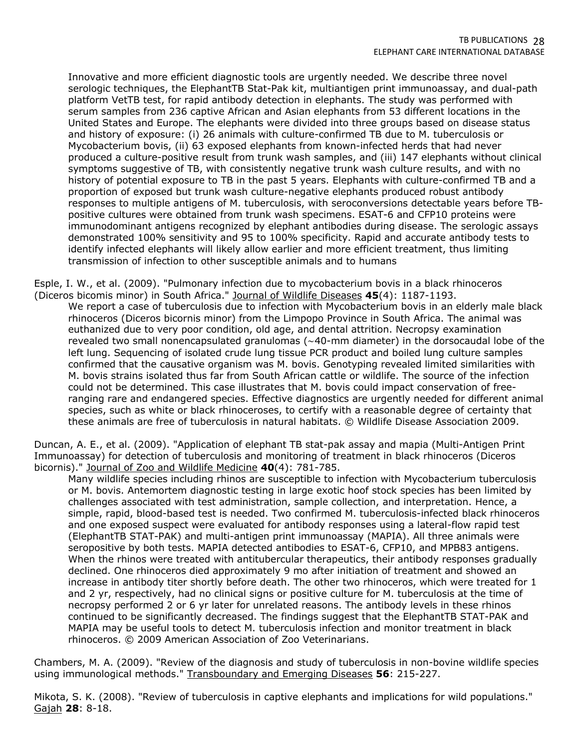Innovative and more efficient diagnostic tools are urgently needed. We describe three novel serologic techniques, the ElephantTB Stat-Pak kit, multiantigen print immunoassay, and dual-path platform VetTB test, for rapid antibody detection in elephants. The study was performed with serum samples from 236 captive African and Asian elephants from 53 different locations in the United States and Europe. The elephants were divided into three groups based on disease status and history of exposure: (i) 26 animals with culture-confirmed TB due to M. tuberculosis or Mycobacterium bovis, (ii) 63 exposed elephants from known-infected herds that had never produced a culture-positive result from trunk wash samples, and (iii) 147 elephants without clinical symptoms suggestive of TB, with consistently negative trunk wash culture results, and with no history of potential exposure to TB in the past 5 years. Elephants with culture-confirmed TB and a proportion of exposed but trunk wash culture-negative elephants produced robust antibody responses to multiple antigens of M. tuberculosis, with seroconversions detectable years before TBpositive cultures were obtained from trunk wash specimens. ESAT-6 and CFP10 proteins were immunodominant antigens recognized by elephant antibodies during disease. The serologic assays demonstrated 100% sensitivity and 95 to 100% specificity. Rapid and accurate antibody tests to identify infected elephants will likely allow earlier and more efficient treatment, thus limiting transmission of infection to other susceptible animals and to humans

Esple, I. W., et al. (2009). "Pulmonary infection due to mycobacterium bovis in a black rhinoceros (Diceros bicomis minor) in South Africa." Journal of Wildlife Diseases **45**(4): 1187-1193.

We report a case of tuberculosis due to infection with Mycobacterium bovis in an elderly male black rhinoceros (Diceros bicornis minor) from the Limpopo Province in South Africa. The animal was euthanized due to very poor condition, old age, and dental attrition. Necropsy examination revealed two small nonencapsulated granulomas (∼40-mm diameter) in the dorsocaudal lobe of the left lung. Sequencing of isolated crude lung tissue PCR product and boiled lung culture samples confirmed that the causative organism was M. bovis. Genotyping revealed limited similarities with M. bovis strains isolated thus far from South African cattle or wildlife. The source of the infection could not be determined. This case illustrates that M. bovis could impact conservation of freeranging rare and endangered species. Effective diagnostics are urgently needed for different animal species, such as white or black rhinoceroses, to certify with a reasonable degree of certainty that these animals are free of tuberculosis in natural habitats. © Wildlife Disease Association 2009.

Duncan, A. E., et al. (2009). "Application of elephant TB stat-pak assay and mapia (Multi-Antigen Print Immunoassay) for detection of tuberculosis and monitoring of treatment in black rhinoceros (Diceros bicornis)." Journal of Zoo and Wildlife Medicine **40**(4): 781-785.

Many wildlife species including rhinos are susceptible to infection with Mycobacterium tuberculosis or M. bovis. Antemortem diagnostic testing in large exotic hoof stock species has been limited by challenges associated with test administration, sample collection, and interpretation. Hence, a simple, rapid, blood-based test is needed. Two confirmed M. tuberculosis-infected black rhinoceros and one exposed suspect were evaluated for antibody responses using a lateral-flow rapid test (ElephantTB STAT-PAK) and multi-antigen print immunoassay (MAPIA). All three animals were seropositive by both tests. MAPIA detected antibodies to ESAT-6, CFP10, and MPB83 antigens. When the rhinos were treated with antitubercular therapeutics, their antibody responses gradually declined. One rhinoceros died approximately 9 mo after initiation of treatment and showed an increase in antibody titer shortly before death. The other two rhinoceros, which were treated for 1 and 2 yr, respectively, had no clinical signs or positive culture for M. tuberculosis at the time of necropsy performed 2 or 6 yr later for unrelated reasons. The antibody levels in these rhinos continued to be significantly decreased. The findings suggest that the ElephantTB STAT-PAK and MAPIA may be useful tools to detect M. tuberculosis infection and monitor treatment in black rhinoceros. © 2009 American Association of Zoo Veterinarians.

Chambers, M. A. (2009). "Review of the diagnosis and study of tuberculosis in non-bovine wildlife species using immunological methods." Transboundary and Emerging Diseases **56**: 215-227.

Mikota, S. K. (2008). "Review of tuberculosis in captive elephants and implications for wild populations." Gajah **28**: 8-18.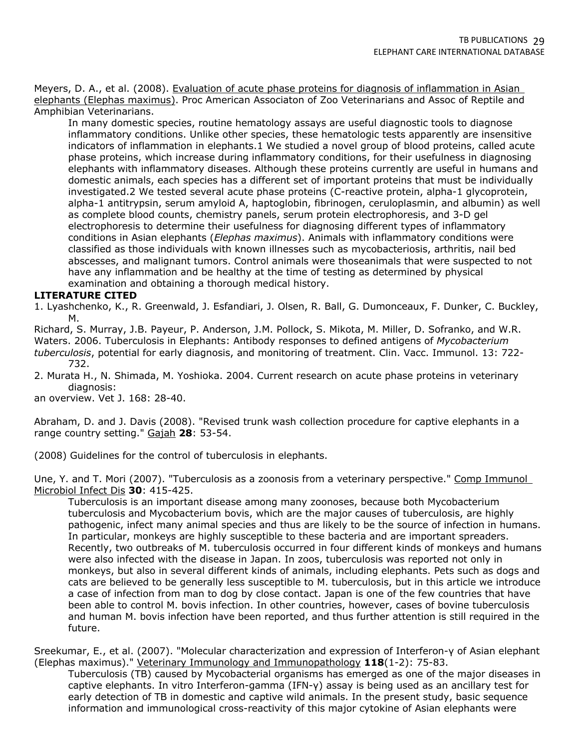Meyers, D. A., et al. (2008). Evaluation of acute phase proteins for diagnosis of inflammation in Asian elephants (Elephas maximus). Proc American Associaton of Zoo Veterinarians and Assoc of Reptile and Amphibian Veterinarians.

In many domestic species, routine hematology assays are useful diagnostic tools to diagnose inflammatory conditions. Unlike other species, these hematologic tests apparently are insensitive indicators of inflammation in elephants.1 We studied a novel group of blood proteins, called acute phase proteins, which increase during inflammatory conditions, for their usefulness in diagnosing elephants with inflammatory diseases. Although these proteins currently are useful in humans and domestic animals, each species has a different set of important proteins that must be individually investigated.2 We tested several acute phase proteins (C-reactive protein, alpha-1 glycoprotein, alpha-1 antitrypsin, serum amyloid A, haptoglobin, fibrinogen, ceruloplasmin, and albumin) as well as complete blood counts, chemistry panels, serum protein electrophoresis, and 3-D gel electrophoresis to determine their usefulness for diagnosing different types of inflammatory conditions in Asian elephants (*Elephas maximus*). Animals with inflammatory conditions were classified as those individuals with known illnesses such as mycobacteriosis, arthritis, nail bed abscesses, and malignant tumors. Control animals were thoseanimals that were suspected to not have any inflammation and be healthy at the time of testing as determined by physical examination and obtaining a thorough medical history.

## **LITERATURE CITED**

1. Lyashchenko, K., R. Greenwald, J. Esfandiari, J. Olsen, R. Ball, G. Dumonceaux, F. Dunker, C. Buckley, M.

Richard, S. Murray, J.B. Payeur, P. Anderson, J.M. Pollock, S. Mikota, M. Miller, D. Sofranko, and W.R. Waters. 2006. Tuberculosis in Elephants: Antibody responses to defined antigens of *Mycobacterium tuberculosis*, potential for early diagnosis, and monitoring of treatment. Clin. Vacc. Immunol. 13: 722- 732.

2. Murata H., N. Shimada, M. Yoshioka. 2004. Current research on acute phase proteins in veterinary diagnosis:

an overview. Vet J. 168: 28-40.

Abraham, D. and J. Davis (2008). "Revised trunk wash collection procedure for captive elephants in a range country setting." Gajah **28**: 53-54.

(2008) Guidelines for the control of tuberculosis in elephants.

Une, Y. and T. Mori (2007). "Tuberculosis as a zoonosis from a veterinary perspective." Comp Immunol Microbiol Infect Dis **30**: 415-425.

Tuberculosis is an important disease among many zoonoses, because both Mycobacterium tuberculosis and Mycobacterium bovis, which are the major causes of tuberculosis, are highly pathogenic, infect many animal species and thus are likely to be the source of infection in humans. In particular, monkeys are highly susceptible to these bacteria and are important spreaders. Recently, two outbreaks of M. tuberculosis occurred in four different kinds of monkeys and humans were also infected with the disease in Japan. In zoos, tuberculosis was reported not only in monkeys, but also in several different kinds of animals, including elephants. Pets such as dogs and cats are believed to be generally less susceptible to M. tuberculosis, but in this article we introduce a case of infection from man to dog by close contact. Japan is one of the few countries that have been able to control M. bovis infection. In other countries, however, cases of bovine tuberculosis and human M. bovis infection have been reported, and thus further attention is still required in the future.

Sreekumar, E., et al. (2007). "Molecular characterization and expression of Interferon-γ of Asian elephant (Elephas maximus)." Veterinary Immunology and Immunopathology **118**(1-2): 75-83.

Tuberculosis (TB) caused by Mycobacterial organisms has emerged as one of the major diseases in captive elephants. In vitro Interferon-gamma (IFN-γ) assay is being used as an ancillary test for early detection of TB in domestic and captive wild animals. In the present study, basic sequence information and immunological cross-reactivity of this major cytokine of Asian elephants were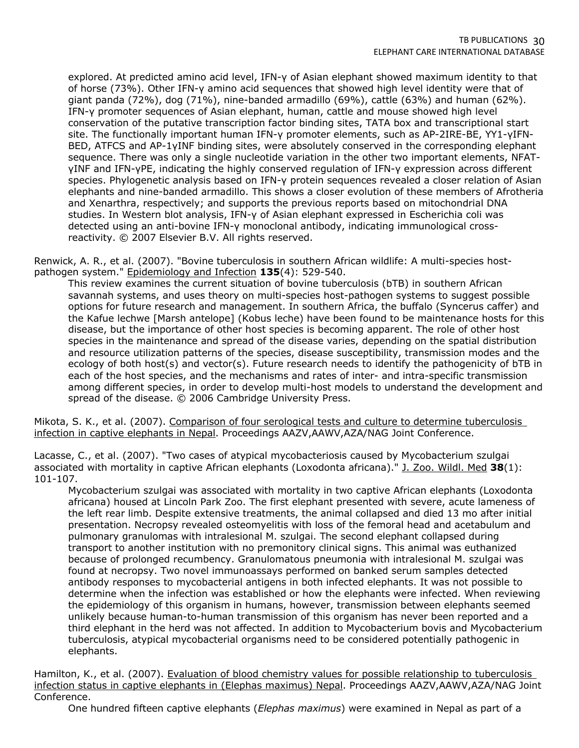explored. At predicted amino acid level, IFN-γ of Asian elephant showed maximum identity to that of horse (73%). Other IFN-γ amino acid sequences that showed high level identity were that of giant panda (72%), dog (71%), nine-banded armadillo (69%), cattle (63%) and human (62%). IFN-γ promoter sequences of Asian elephant, human, cattle and mouse showed high level conservation of the putative transcription factor binding sites, TATA box and transcriptional start site. The functionally important human IFN-γ promoter elements, such as AP-2IRE-BE, YY1-γIFN-BED, ATFCS and AP-1yINF binding sites, were absolutely conserved in the corresponding elephant sequence. There was only a single nucleotide variation in the other two important elements, NFATγINF and IFN-γPE, indicating the highly conserved regulation of IFN-γ expression across different species. Phylogenetic analysis based on IFN-γ protein sequences revealed a closer relation of Asian elephants and nine-banded armadillo. This shows a closer evolution of these members of Afrotheria and Xenarthra, respectively; and supports the previous reports based on mitochondrial DNA studies. In Western blot analysis, IFN-γ of Asian elephant expressed in Escherichia coli was detected using an anti-bovine IFN-γ monoclonal antibody, indicating immunological crossreactivity. © 2007 Elsevier B.V. All rights reserved.

Renwick, A. R., et al. (2007). "Bovine tuberculosis in southern African wildlife: A multi-species hostpathogen system." Epidemiology and Infection **135**(4): 529-540.

This review examines the current situation of bovine tuberculosis (bTB) in southern African savannah systems, and uses theory on multi-species host-pathogen systems to suggest possible options for future research and management. In southern Africa, the buffalo (Syncerus caffer) and the Kafue lechwe [Marsh antelope] (Kobus leche) have been found to be maintenance hosts for this disease, but the importance of other host species is becoming apparent. The role of other host species in the maintenance and spread of the disease varies, depending on the spatial distribution and resource utilization patterns of the species, disease susceptibility, transmission modes and the ecology of both host(s) and vector(s). Future research needs to identify the pathogenicity of bTB in each of the host species, and the mechanisms and rates of inter- and intra-specific transmission among different species, in order to develop multi-host models to understand the development and spread of the disease. © 2006 Cambridge University Press.

Mikota, S. K., et al. (2007). Comparison of four serological tests and culture to determine tuberculosis infection in captive elephants in Nepal. Proceedings AAZV,AAWV,AZA/NAG Joint Conference.

Lacasse, C., et al. (2007). "Two cases of atypical mycobacteriosis caused by Mycobacterium szulgai associated with mortality in captive African elephants (Loxodonta africana)." J. Zoo. Wildl. Med **38**(1): 101-107.

Mycobacterium szulgai was associated with mortality in two captive African elephants (Loxodonta africana) housed at Lincoln Park Zoo. The first elephant presented with severe, acute lameness of the left rear limb. Despite extensive treatments, the animal collapsed and died 13 mo after initial presentation. Necropsy revealed osteomyelitis with loss of the femoral head and acetabulum and pulmonary granulomas with intralesional M. szulgai. The second elephant collapsed during transport to another institution with no premonitory clinical signs. This animal was euthanized because of prolonged recumbency. Granulomatous pneumonia with intralesional M. szulgai was found at necropsy. Two novel immunoassays performed on banked serum samples detected antibody responses to mycobacterial antigens in both infected elephants. It was not possible to determine when the infection was established or how the elephants were infected. When reviewing the epidemiology of this organism in humans, however, transmission between elephants seemed unlikely because human-to-human transmission of this organism has never been reported and a third elephant in the herd was not affected. In addition to Mycobacterium bovis and Mycobacterium tuberculosis, atypical mycobacterial organisms need to be considered potentially pathogenic in elephants.

Hamilton, K., et al. (2007). Evaluation of blood chemistry values for possible relationship to tuberculosis infection status in captive elephants in (Elephas maximus) Nepal. Proceedings AAZV,AAWV,AZA/NAG Joint Conference.

One hundred fifteen captive elephants (*Elephas maximus*) were examined in Nepal as part of a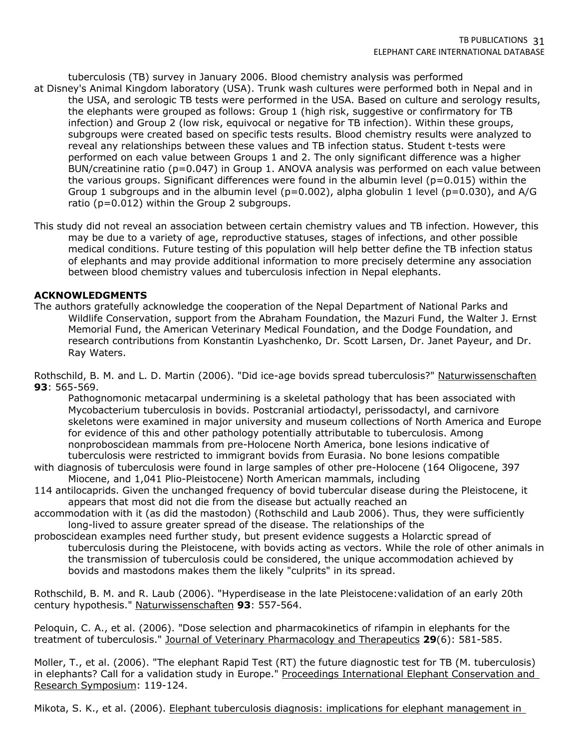tuberculosis (TB) survey in January 2006. Blood chemistry analysis was performed at Disney's Animal Kingdom laboratory (USA). Trunk wash cultures were performed both in Nepal and in the USA, and serologic TB tests were performed in the USA. Based on culture and serology results, the elephants were grouped as follows: Group 1 (high risk, suggestive or confirmatory for TB infection) and Group 2 (low risk, equivocal or negative for TB infection). Within these groups, subgroups were created based on specific tests results. Blood chemistry results were analyzed to reveal any relationships between these values and TB infection status. Student t-tests were performed on each value between Groups 1 and 2. The only significant difference was a higher BUN/creatinine ratio ( $p=0.047$ ) in Group 1. ANOVA analysis was performed on each value between the various groups. Significant differences were found in the albumin level  $(p=0.015)$  within the Group 1 subgroups and in the albumin level ( $p=0.002$ ), alpha globulin 1 level ( $p=0.030$ ), and A/G ratio (p=0.012) within the Group 2 subgroups.

This study did not reveal an association between certain chemistry values and TB infection. However, this may be due to a variety of age, reproductive statuses, stages of infections, and other possible medical conditions. Future testing of this population will help better define the TB infection status of elephants and may provide additional information to more precisely determine any association between blood chemistry values and tuberculosis infection in Nepal elephants.

## **ACKNOWLEDGMENTS**

The authors gratefully acknowledge the cooperation of the Nepal Department of National Parks and Wildlife Conservation, support from the Abraham Foundation, the Mazuri Fund, the Walter J. Ernst Memorial Fund, the American Veterinary Medical Foundation, and the Dodge Foundation, and research contributions from Konstantin Lyashchenko, Dr. Scott Larsen, Dr. Janet Payeur, and Dr. Ray Waters.

Rothschild, B. M. and L. D. Martin (2006). "Did ice-age bovids spread tuberculosis?" Naturwissenschaften **93**: 565-569.

Pathognomonic metacarpal undermining is a skeletal pathology that has been associated with Mycobacterium tuberculosis in bovids. Postcranial artiodactyl, perissodactyl, and carnivore skeletons were examined in major university and museum collections of North America and Europe for evidence of this and other pathology potentially attributable to tuberculosis. Among nonproboscidean mammals from pre-Holocene North America, bone lesions indicative of tuberculosis were restricted to immigrant bovids from Eurasia. No bone lesions compatible

- with diagnosis of tuberculosis were found in large samples of other pre-Holocene (164 Oligocene, 397 Miocene, and 1,041 Plio-Pleistocene) North American mammals, including
- 114 antilocaprids. Given the unchanged frequency of bovid tubercular disease during the Pleistocene, it appears that most did not die from the disease but actually reached an
- accommodation with it (as did the mastodon) (Rothschild and Laub 2006). Thus, they were sufficiently long-lived to assure greater spread of the disease. The relationships of the
- proboscidean examples need further study, but present evidence suggests a Holarctic spread of tuberculosis during the Pleistocene, with bovids acting as vectors. While the role of other animals in the transmission of tuberculosis could be considered, the unique accommodation achieved by bovids and mastodons makes them the likely "culprits" in its spread.

Rothschild, B. M. and R. Laub (2006). "Hyperdisease in the late Pleistocene:validation of an early 20th century hypothesis." Naturwissenschaften **93**: 557-564.

Peloquin, C. A., et al. (2006). "Dose selection and pharmacokinetics of rifampin in elephants for the treatment of tuberculosis." Journal of Veterinary Pharmacology and Therapeutics **29**(6): 581-585.

Moller, T., et al. (2006). "The elephant Rapid Test (RT) the future diagnostic test for TB (M. tuberculosis) in elephants? Call for a validation study in Europe." Proceedings International Elephant Conservation and Research Symposium: 119-124.

Mikota, S. K., et al. (2006). Elephant tuberculosis diagnosis: implications for elephant management in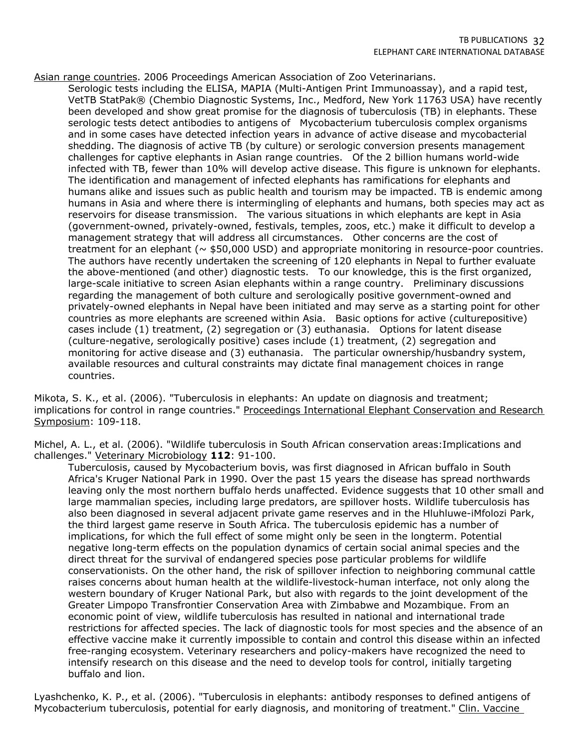Asian range countries. 2006 Proceedings American Association of Zoo Veterinarians.

Serologic tests including the ELISA, MAPIA (Multi-Antigen Print Immunoassay), and a rapid test, VetTB StatPak® (Chembio Diagnostic Systems, Inc., Medford, New York 11763 USA) have recently been developed and show great promise for the diagnosis of tuberculosis (TB) in elephants. These serologic tests detect antibodies to antigens of Mycobacterium tuberculosis complex organisms and in some cases have detected infection years in advance of active disease and mycobacterial shedding. The diagnosis of active TB (by culture) or serologic conversion presents management challenges for captive elephants in Asian range countries. Of the 2 billion humans world-wide infected with TB, fewer than 10% will develop active disease. This figure is unknown for elephants. The identification and management of infected elephants has ramifications for elephants and humans alike and issues such as public health and tourism may be impacted. TB is endemic among humans in Asia and where there is intermingling of elephants and humans, both species may act as reservoirs for disease transmission. The various situations in which elephants are kept in Asia (government-owned, privately-owned, festivals, temples, zoos, etc.) make it difficult to develop a management strategy that will address all circumstances. Other concerns are the cost of treatment for an elephant ( $\sim$  \$50,000 USD) and appropriate monitoring in resource-poor countries. The authors have recently undertaken the screening of 120 elephants in Nepal to further evaluate the above-mentioned (and other) diagnostic tests. To our knowledge, this is the first organized, large-scale initiative to screen Asian elephants within a range country. Preliminary discussions regarding the management of both culture and serologically positive government-owned and privately-owned elephants in Nepal have been initiated and may serve as a starting point for other countries as more elephants are screened within Asia. Basic options for active (culturepositive) cases include (1) treatment, (2) segregation or (3) euthanasia. Options for latent disease (culture-negative, serologically positive) cases include (1) treatment, (2) segregation and monitoring for active disease and (3) euthanasia. The particular ownership/husbandry system, available resources and cultural constraints may dictate final management choices in range countries.

Mikota, S. K., et al. (2006). "Tuberculosis in elephants: An update on diagnosis and treatment; implications for control in range countries." Proceedings International Elephant Conservation and Research Symposium: 109-118.

Michel, A. L., et al. (2006). "Wildlife tuberculosis in South African conservation areas:Implications and challenges." Veterinary Microbiology **112**: 91-100.

Tuberculosis, caused by Mycobacterium bovis, was first diagnosed in African buffalo in South Africa's Kruger National Park in 1990. Over the past 15 years the disease has spread northwards leaving only the most northern buffalo herds unaffected. Evidence suggests that 10 other small and large mammalian species, including large predators, are spillover hosts. Wildlife tuberculosis has also been diagnosed in several adjacent private game reserves and in the Hluhluwe-iMfolozi Park, the third largest game reserve in South Africa. The tuberculosis epidemic has a number of implications, for which the full effect of some might only be seen in the longterm. Potential negative long-term effects on the population dynamics of certain social animal species and the direct threat for the survival of endangered species pose particular problems for wildlife conservationists. On the other hand, the risk of spillover infection to neighboring communal cattle raises concerns about human health at the wildlife-livestock-human interface, not only along the western boundary of Kruger National Park, but also with regards to the joint development of the Greater Limpopo Transfrontier Conservation Area with Zimbabwe and Mozambique. From an economic point of view, wildlife tuberculosis has resulted in national and international trade restrictions for affected species. The lack of diagnostic tools for most species and the absence of an effective vaccine make it currently impossible to contain and control this disease within an infected free-ranging ecosystem. Veterinary researchers and policy-makers have recognized the need to intensify research on this disease and the need to develop tools for control, initially targeting buffalo and lion.

Lyashchenko, K. P., et al. (2006). "Tuberculosis in elephants: antibody responses to defined antigens of Mycobacterium tuberculosis, potential for early diagnosis, and monitoring of treatment." Clin. Vaccine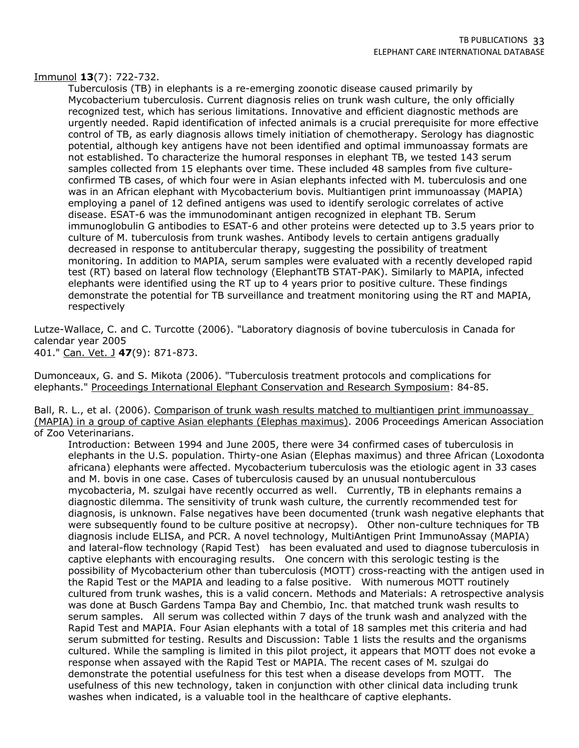## Immunol **13**(7): 722-732.

Tuberculosis (TB) in elephants is a re-emerging zoonotic disease caused primarily by Mycobacterium tuberculosis. Current diagnosis relies on trunk wash culture, the only officially recognized test, which has serious limitations. Innovative and efficient diagnostic methods are urgently needed. Rapid identification of infected animals is a crucial prerequisite for more effective control of TB, as early diagnosis allows timely initiation of chemotherapy. Serology has diagnostic potential, although key antigens have not been identified and optimal immunoassay formats are not established. To characterize the humoral responses in elephant TB, we tested 143 serum samples collected from 15 elephants over time. These included 48 samples from five cultureconfirmed TB cases, of which four were in Asian elephants infected with M. tuberculosis and one was in an African elephant with Mycobacterium bovis. Multiantigen print immunoassay (MAPIA) employing a panel of 12 defined antigens was used to identify serologic correlates of active disease. ESAT-6 was the immunodominant antigen recognized in elephant TB. Serum immunoglobulin G antibodies to ESAT-6 and other proteins were detected up to 3.5 years prior to culture of M. tuberculosis from trunk washes. Antibody levels to certain antigens gradually decreased in response to antitubercular therapy, suggesting the possibility of treatment monitoring. In addition to MAPIA, serum samples were evaluated with a recently developed rapid test (RT) based on lateral flow technology (ElephantTB STAT-PAK). Similarly to MAPIA, infected elephants were identified using the RT up to 4 years prior to positive culture. These findings demonstrate the potential for TB surveillance and treatment monitoring using the RT and MAPIA, respectively

Lutze-Wallace, C. and C. Turcotte (2006). "Laboratory diagnosis of bovine tuberculosis in Canada for calendar year 2005

401." Can. Vet. J **47**(9): 871-873.

Dumonceaux, G. and S. Mikota (2006). "Tuberculosis treatment protocols and complications for elephants." Proceedings International Elephant Conservation and Research Symposium: 84-85.

Ball, R. L., et al. (2006). Comparison of trunk wash results matched to multiantigen print immunoassay (MAPIA) in a group of captive Asian elephants (Elephas maximus). 2006 Proceedings American Association of Zoo Veterinarians.

Introduction: Between 1994 and June 2005, there were 34 confirmed cases of tuberculosis in elephants in the U.S. population. Thirty-one Asian (Elephas maximus) and three African (Loxodonta africana) elephants were affected. Mycobacterium tuberculosis was the etiologic agent in 33 cases and M. bovis in one case. Cases of tuberculosis caused by an unusual nontuberculous mycobacteria, M. szulgai have recently occurred as well. Currently, TB in elephants remains a diagnostic dilemma. The sensitivity of trunk wash culture, the currently recommended test for diagnosis, is unknown. False negatives have been documented (trunk wash negative elephants that were subsequently found to be culture positive at necropsy). Other non-culture techniques for TB diagnosis include ELISA, and PCR. A novel technology, MultiAntigen Print ImmunoAssay (MAPIA) and lateral-flow technology (Rapid Test) has been evaluated and used to diagnose tuberculosis in captive elephants with encouraging results. One concern with this serologic testing is the possibility of Mycobacterium other than tuberculosis (MOTT) cross-reacting with the antigen used in the Rapid Test or the MAPIA and leading to a false positive. With numerous MOTT routinely cultured from trunk washes, this is a valid concern. Methods and Materials: A retrospective analysis was done at Busch Gardens Tampa Bay and Chembio, Inc. that matched trunk wash results to serum samples. All serum was collected within 7 days of the trunk wash and analyzed with the Rapid Test and MAPIA. Four Asian elephants with a total of 18 samples met this criteria and had serum submitted for testing. Results and Discussion: Table 1 lists the results and the organisms cultured. While the sampling is limited in this pilot project, it appears that MOTT does not evoke a response when assayed with the Rapid Test or MAPIA. The recent cases of M. szulgai do demonstrate the potential usefulness for this test when a disease develops from MOTT. The usefulness of this new technology, taken in conjunction with other clinical data including trunk washes when indicated, is a valuable tool in the healthcare of captive elephants.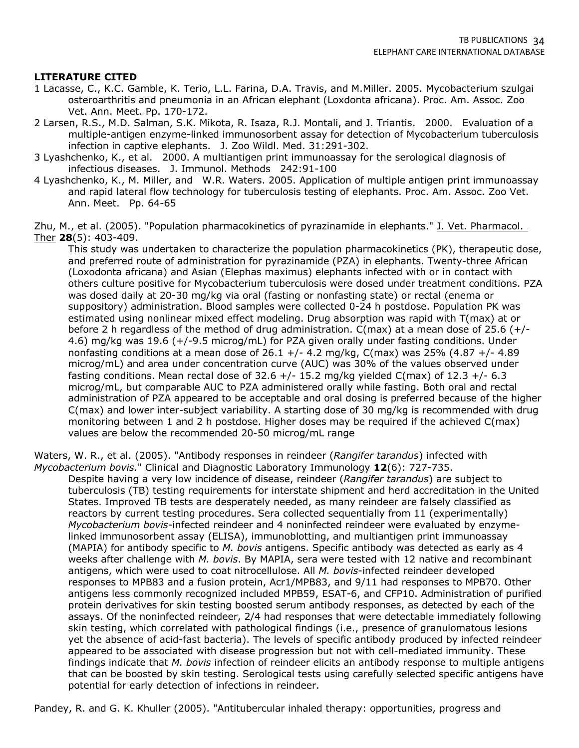## **LITERATURE CITED**

- 1 Lacasse, C., K.C. Gamble, K. Terio, L.L. Farina, D.A. Travis, and M.Miller. 2005. Mycobacterium szulgai osteroarthritis and pneumonia in an African elephant (Loxdonta africana). Proc. Am. Assoc. Zoo Vet. Ann. Meet. Pp. 170-172.
- 2 Larsen, R.S., M.D. Salman, S.K. Mikota, R. Isaza, R.J. Montali, and J. Triantis. 2000. Evaluation of a multiple-antigen enzyme-linked immunosorbent assay for detection of Mycobacterium tuberculosis infection in captive elephants. J. Zoo Wildl. Med. 31:291-302.
- 3 Lyashchenko, K., et al. 2000. A multiantigen print immunoassay for the serological diagnosis of infectious diseases. J. Immunol. Methods 242:91-100
- 4 Lyashchenko, K., M. Miller, and W.R. Waters. 2005. Application of multiple antigen print immunoassay and rapid lateral flow technology for tuberculosis testing of elephants. Proc. Am. Assoc. Zoo Vet. Ann. Meet. Pp. 64-65

Zhu, M., et al. (2005). "Population pharmacokinetics of pyrazinamide in elephants." J. Vet. Pharmacol. Ther **28**(5): 403-409.

This study was undertaken to characterize the population pharmacokinetics (PK), therapeutic dose, and preferred route of administration for pyrazinamide (PZA) in elephants. Twenty-three African (Loxodonta africana) and Asian (Elephas maximus) elephants infected with or in contact with others culture positive for Mycobacterium tuberculosis were dosed under treatment conditions. PZA was dosed daily at 20-30 mg/kg via oral (fasting or nonfasting state) or rectal (enema or suppository) administration. Blood samples were collected 0-24 h postdose. Population PK was estimated using nonlinear mixed effect modeling. Drug absorption was rapid with T(max) at or before 2 h regardless of the method of drug administration. C(max) at a mean dose of 25.6 (+/- 4.6) mg/kg was 19.6 (+/-9.5 microg/mL) for PZA given orally under fasting conditions. Under nonfasting conditions at a mean dose of 26.1 +/- 4.2 mg/kg, C(max) was 25% (4.87 +/- 4.89 microg/mL) and area under concentration curve (AUC) was 30% of the values observed under fasting conditions. Mean rectal dose of  $32.6 +/- 15.2$  mg/kg yielded C(max) of  $12.3 +/- 6.3$ microg/mL, but comparable AUC to PZA administered orally while fasting. Both oral and rectal administration of PZA appeared to be acceptable and oral dosing is preferred because of the higher C(max) and lower inter-subject variability. A starting dose of 30 mg/kg is recommended with drug monitoring between 1 and 2 h postdose. Higher doses may be required if the achieved C(max) values are below the recommended 20-50 microg/mL range

Waters, W. R., et al. (2005). "Antibody responses in reindeer (*Rangifer tarandus*) infected with *Mycobacterium bovis.*" Clinical and Diagnostic Laboratory Immunology **12**(6): 727-735.

Despite having a very low incidence of disease, reindeer (*Rangifer tarandus*) are subject to tuberculosis (TB) testing requirements for interstate shipment and herd accreditation in the United States. Improved TB tests are desperately needed, as many reindeer are falsely classified as reactors by current testing procedures. Sera collected sequentially from 11 (experimentally) *Mycobacterium bovis*-infected reindeer and 4 noninfected reindeer were evaluated by enzymelinked immunosorbent assay (ELISA), immunoblotting, and multiantigen print immunoassay (MAPIA) for antibody specific to *M. bovis* antigens. Specific antibody was detected as early as 4 weeks after challenge with *M. bovis*. By MAPIA, sera were tested with 12 native and recombinant antigens, which were used to coat nitrocellulose. All *M. bovis*-infected reindeer developed responses to MPB83 and a fusion protein, Acr1/MPB83, and 9/11 had responses to MPB70. Other antigens less commonly recognized included MPB59, ESAT-6, and CFP10. Administration of purified protein derivatives for skin testing boosted serum antibody responses, as detected by each of the assays. Of the noninfected reindeer, 2/4 had responses that were detectable immediately following skin testing, which correlated with pathological findings (i.e., presence of granulomatous lesions yet the absence of acid-fast bacteria). The levels of specific antibody produced by infected reindeer appeared to be associated with disease progression but not with cell-mediated immunity. These findings indicate that *M. bovis* infection of reindeer elicits an antibody response to multiple antigens that can be boosted by skin testing. Serological tests using carefully selected specific antigens have potential for early detection of infections in reindeer.

Pandey, R. and G. K. Khuller (2005). "Antitubercular inhaled therapy: opportunities, progress and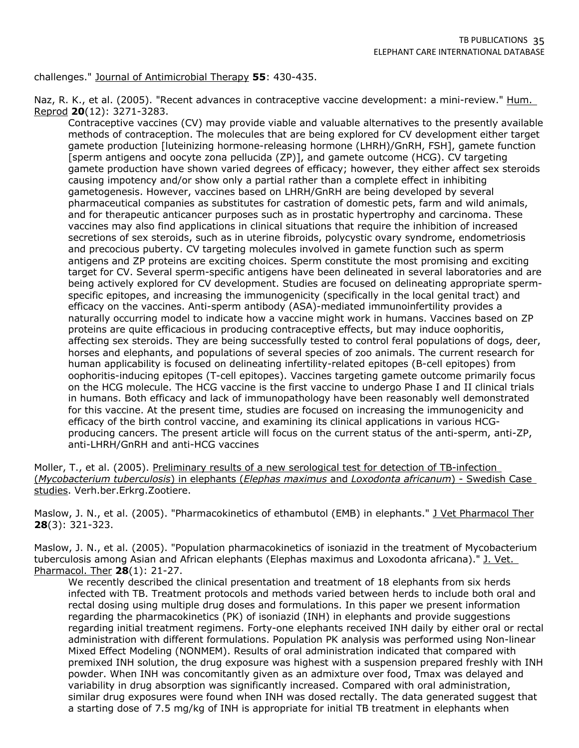challenges." Journal of Antimicrobial Therapy **55**: 430-435.

Naz, R. K., et al. (2005). "Recent advances in contraceptive vaccine development: a mini-review." Hum. Reprod **20**(12): 3271-3283.

Contraceptive vaccines (CV) may provide viable and valuable alternatives to the presently available methods of contraception. The molecules that are being explored for CV development either target gamete production [luteinizing hormone-releasing hormone (LHRH)/GnRH, FSH], gamete function [sperm antigens and oocyte zona pellucida (ZP)], and gamete outcome (HCG). CV targeting gamete production have shown varied degrees of efficacy; however, they either affect sex steroids causing impotency and/or show only a partial rather than a complete effect in inhibiting gametogenesis. However, vaccines based on LHRH/GnRH are being developed by several pharmaceutical companies as substitutes for castration of domestic pets, farm and wild animals, and for therapeutic anticancer purposes such as in prostatic hypertrophy and carcinoma. These vaccines may also find applications in clinical situations that require the inhibition of increased secretions of sex steroids, such as in uterine fibroids, polycystic ovary syndrome, endometriosis and precocious puberty. CV targeting molecules involved in gamete function such as sperm antigens and ZP proteins are exciting choices. Sperm constitute the most promising and exciting target for CV. Several sperm-specific antigens have been delineated in several laboratories and are being actively explored for CV development. Studies are focused on delineating appropriate spermspecific epitopes, and increasing the immunogenicity (specifically in the local genital tract) and efficacy on the vaccines. Anti-sperm antibody (ASA)-mediated immunoinfertility provides a naturally occurring model to indicate how a vaccine might work in humans. Vaccines based on ZP proteins are quite efficacious in producing contraceptive effects, but may induce oophoritis, affecting sex steroids. They are being successfully tested to control feral populations of dogs, deer, horses and elephants, and populations of several species of zoo animals. The current research for human applicability is focused on delineating infertility-related epitopes (B-cell epitopes) from oophoritis-inducing epitopes (T-cell epitopes). Vaccines targeting gamete outcome primarily focus on the HCG molecule. The HCG vaccine is the first vaccine to undergo Phase I and II clinical trials in humans. Both efficacy and lack of immunopathology have been reasonably well demonstrated for this vaccine. At the present time, studies are focused on increasing the immunogenicity and efficacy of the birth control vaccine, and examining its clinical applications in various HCGproducing cancers. The present article will focus on the current status of the anti-sperm, anti-ZP, anti-LHRH/GnRH and anti-HCG vaccines

Moller, T., et al. (2005). Preliminary results of a new serological test for detection of TB-infection (*Mycobacterium tuberculosis*) in elephants (*Elephas maximus* and *Loxodonta africanum*) - Swedish Case studies. Verh.ber.Erkrg.Zootiere.

Maslow, J. N., et al. (2005). "Pharmacokinetics of ethambutol (EMB) in elephants." J Vet Pharmacol Ther **28**(3): 321-323.

Maslow, J. N., et al. (2005). "Population pharmacokinetics of isoniazid in the treatment of Mycobacterium tuberculosis among Asian and African elephants (Elephas maximus and Loxodonta africana)." J. Vet. Pharmacol. Ther **28**(1): 21-27.

We recently described the clinical presentation and treatment of 18 elephants from six herds infected with TB. Treatment protocols and methods varied between herds to include both oral and rectal dosing using multiple drug doses and formulations. In this paper we present information regarding the pharmacokinetics (PK) of isoniazid (INH) in elephants and provide suggestions regarding initial treatment regimens. Forty-one elephants received INH daily by either oral or rectal administration with different formulations. Population PK analysis was performed using Non-linear Mixed Effect Modeling (NONMEM). Results of oral administration indicated that compared with premixed INH solution, the drug exposure was highest with a suspension prepared freshly with INH powder. When INH was concomitantly given as an admixture over food, Tmax was delayed and variability in drug absorption was significantly increased. Compared with oral administration, similar drug exposures were found when INH was dosed rectally. The data generated suggest that a starting dose of 7.5 mg/kg of INH is appropriate for initial TB treatment in elephants when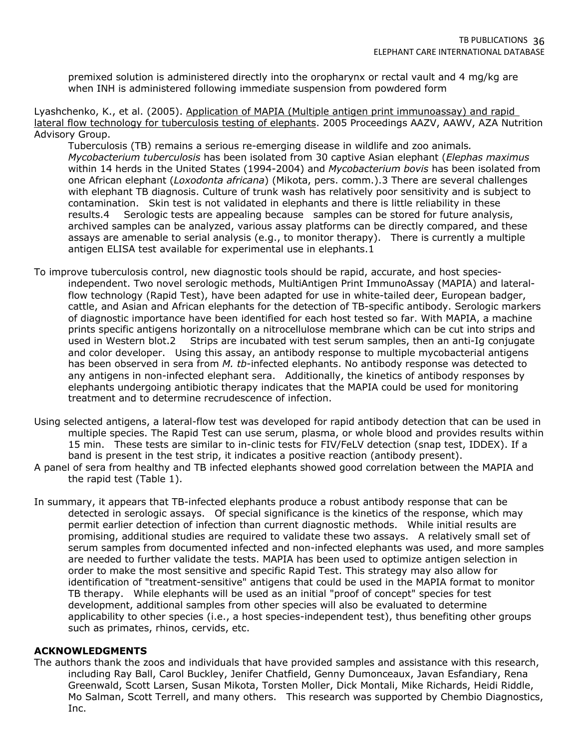premixed solution is administered directly into the oropharynx or rectal vault and 4 mg/kg are when INH is administered following immediate suspension from powdered form

Lyashchenko, K., et al. (2005). Application of MAPIA (Multiple antigen print immunoassay) and rapid lateral flow technology for tuberculosis testing of elephants. 2005 Proceedings AAZV, AAWV, AZA Nutrition Advisory Group.

Tuberculosis (TB) remains a serious re-emerging disease in wildlife and zoo animals*. Mycobacterium tuberculosis* has been isolated from 30 captive Asian elephant (*Elephas maximus*  within 14 herds in the United States (1994-2004) and *Mycobacterium bovis* has been isolated from one African elephant (*Loxodonta africana*) (Mikota, pers. comm.).3 There are several challenges with elephant TB diagnosis. Culture of trunk wash has relatively poor sensitivity and is subject to contamination. Skin test is not validated in elephants and there is little reliability in these results.4 Serologic tests are appealing because samples can be stored for future analysis, archived samples can be analyzed, various assay platforms can be directly compared, and these assays are amenable to serial analysis (e.g., to monitor therapy). There is currently a multiple antigen ELISA test available for experimental use in elephants.1

- To improve tuberculosis control, new diagnostic tools should be rapid, accurate, and host speciesindependent. Two novel serologic methods, MultiAntigen Print ImmunoAssay (MAPIA) and lateralflow technology (Rapid Test), have been adapted for use in white-tailed deer, European badger, cattle, and Asian and African elephants for the detection of TB-specific antibody. Serologic markers of diagnostic importance have been identified for each host tested so far. With MAPIA, a machine prints specific antigens horizontally on a nitrocellulose membrane which can be cut into strips and used in Western blot.2 Strips are incubated with test serum samples, then an anti-Ig conjugate and color developer. Using this assay, an antibody response to multiple mycobacterial antigens has been observed in sera from *M. tb*-infected elephants. No antibody response was detected to any antigens in non-infected elephant sera. Additionally, the kinetics of antibody responses by elephants undergoing antibiotic therapy indicates that the MAPIA could be used for monitoring treatment and to determine recrudescence of infection.
- Using selected antigens, a lateral-flow test was developed for rapid antibody detection that can be used in multiple species. The Rapid Test can use serum, plasma, or whole blood and provides results within 15 min. These tests are similar to in-clinic tests for FIV/FeLV detection (snap test, IDDEX). If a band is present in the test strip, it indicates a positive reaction (antibody present).
- A panel of sera from healthy and TB infected elephants showed good correlation between the MAPIA and the rapid test (Table 1).
- In summary, it appears that TB-infected elephants produce a robust antibody response that can be detected in serologic assays. Of special significance is the kinetics of the response, which may permit earlier detection of infection than current diagnostic methods. While initial results are promising, additional studies are required to validate these two assays. A relatively small set of serum samples from documented infected and non-infected elephants was used, and more samples are needed to further validate the tests. MAPIA has been used to optimize antigen selection in order to make the most sensitive and specific Rapid Test. This strategy may also allow for identification of "treatment-sensitive" antigens that could be used in the MAPIA format to monitor TB therapy. While elephants will be used as an initial "proof of concept" species for test development, additional samples from other species will also be evaluated to determine applicability to other species (i.e., a host species-independent test), thus benefiting other groups such as primates, rhinos, cervids, etc.

#### **ACKNOWLEDGMENTS**

The authors thank the zoos and individuals that have provided samples and assistance with this research, including Ray Ball, Carol Buckley, Jenifer Chatfield, Genny Dumonceaux, Javan Esfandiary, Rena Greenwald, Scott Larsen, Susan Mikota, Torsten Moller, Dick Montali, Mike Richards, Heidi Riddle, Mo Salman, Scott Terrell, and many others. This research was supported by Chembio Diagnostics, Inc.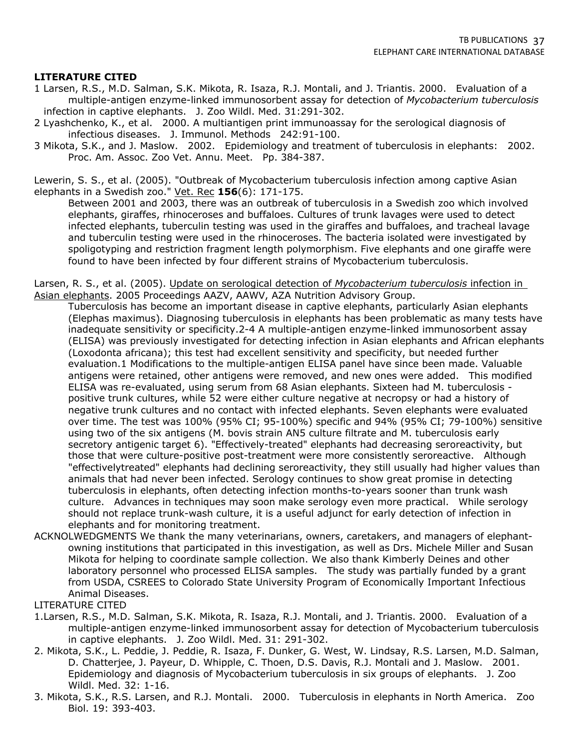## **LITERATURE CITED**

- 1 Larsen, R.S., M.D. Salman, S.K. Mikota, R. Isaza, R.J. Montali, and J. Triantis. 2000. Evaluation of a multiple-antigen enzyme-linked immunosorbent assay for detection of *Mycobacterium tuberculosis* infection in captive elephants. J. Zoo Wildl. Med. 31:291-302.
- 2 Lyashchenko, K., et al. 2000. A multiantigen print immunoassay for the serological diagnosis of infectious diseases. J. Immunol. Methods 242:91-100.
- 3 Mikota, S.K., and J. Maslow. 2002. Epidemiology and treatment of tuberculosis in elephants: 2002. Proc. Am. Assoc. Zoo Vet. Annu. Meet. Pp. 384-387.

Lewerin, S. S., et al. (2005). "Outbreak of Mycobacterium tuberculosis infection among captive Asian elephants in a Swedish zoo." Vet. Rec **156**(6): 171-175.

Between 2001 and 2003, there was an outbreak of tuberculosis in a Swedish zoo which involved elephants, giraffes, rhinoceroses and buffaloes. Cultures of trunk lavages were used to detect infected elephants, tuberculin testing was used in the giraffes and buffaloes, and tracheal lavage and tuberculin testing were used in the rhinoceroses. The bacteria isolated were investigated by spoligotyping and restriction fragment length polymorphism. Five elephants and one giraffe were found to have been infected by four different strains of Mycobacterium tuberculosis.

#### Larsen, R. S., et al. (2005). Update on serological detection of *Mycobacterium tuberculosis* infection in Asian elephants. 2005 Proceedings AAZV, AAWV, AZA Nutrition Advisory Group.

- Tuberculosis has become an important disease in captive elephants, particularly Asian elephants (Elephas maximus). Diagnosing tuberculosis in elephants has been problematic as many tests have inadequate sensitivity or specificity.2-4 A multiple-antigen enzyme-linked immunosorbent assay (ELISA) was previously investigated for detecting infection in Asian elephants and African elephants (Loxodonta africana); this test had excellent sensitivity and specificity, but needed further evaluation.1 Modifications to the multiple-antigen ELISA panel have since been made. Valuable antigens were retained, other antigens were removed, and new ones were added. This modified ELISA was re-evaluated, using serum from 68 Asian elephants. Sixteen had M. tuberculosis positive trunk cultures, while 52 were either culture negative at necropsy or had a history of negative trunk cultures and no contact with infected elephants. Seven elephants were evaluated over time. The test was 100% (95% CI; 95-100%) specific and 94% (95% CI; 79-100%) sensitive using two of the six antigens (M. bovis strain AN5 culture filtrate and M. tuberculosis early secretory antigenic target 6). "Effectively-treated" elephants had decreasing seroreactivity, but those that were culture-positive post-treatment were more consistently seroreactive. Although "effectivelytreated" elephants had declining seroreactivity, they still usually had higher values than animals that had never been infected. Serology continues to show great promise in detecting tuberculosis in elephants, often detecting infection months-to-years sooner than trunk wash culture. Advances in techniques may soon make serology even more practical. While serology should not replace trunk-wash culture, it is a useful adjunct for early detection of infection in elephants and for monitoring treatment.
- ACKNOLWEDGMENTS We thank the many veterinarians, owners, caretakers, and managers of elephantowning institutions that participated in this investigation, as well as Drs. Michele Miller and Susan Mikota for helping to coordinate sample collection. We also thank Kimberly Deines and other laboratory personnel who processed ELISA samples. The study was partially funded by a grant from USDA, CSREES to Colorado State University Program of Economically Important Infectious Animal Diseases.

#### LITERATURE CITED

- 1.Larsen, R.S., M.D. Salman, S.K. Mikota, R. Isaza, R.J. Montali, and J. Triantis. 2000. Evaluation of a multiple-antigen enzyme-linked immunosorbent assay for detection of Mycobacterium tuberculosis in captive elephants. J. Zoo Wildl. Med. 31: 291-302.
- 2. Mikota, S.K., L. Peddie, J. Peddie, R. Isaza, F. Dunker, G. West, W. Lindsay, R.S. Larsen, M.D. Salman, D. Chatterjee, J. Payeur, D. Whipple, C. Thoen, D.S. Davis, R.J. Montali and J. Maslow. 2001. Epidemiology and diagnosis of Mycobacterium tuberculosis in six groups of elephants. J. Zoo Wildl. Med. 32: 1-16.
- 3. Mikota, S.K., R.S. Larsen, and R.J. Montali. 2000. Tuberculosis in elephants in North America. Zoo Biol. 19: 393-403.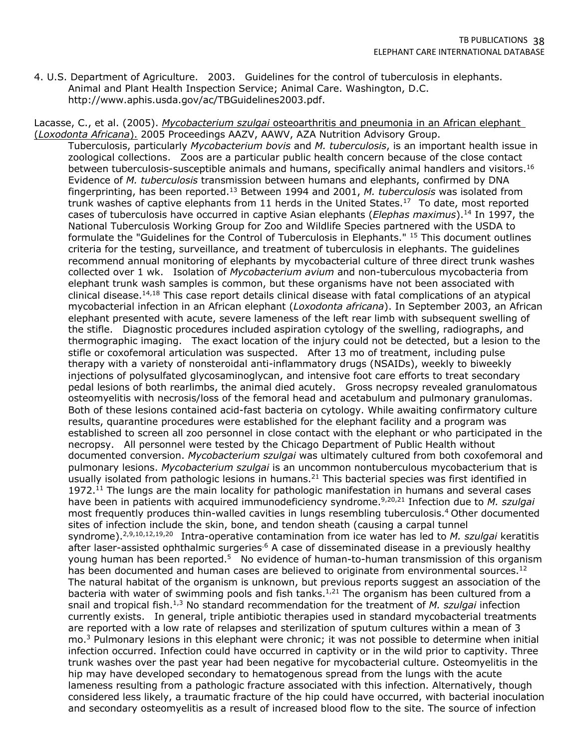4. U.S. Department of Agriculture. 2003. Guidelines for the control of tuberculosis in elephants. Animal and Plant Health Inspection Service; Animal Care. Washington, D.C. http://www.aphis.usda.gov/ac/TBGuidelines2003.pdf.

Lacasse, C., et al. (2005). *Mycobacterium szulgai* osteoarthritis and pneumonia in an African elephant (*Loxodonta Africana*). 2005 Proceedings AAZV, AAWV, AZA Nutrition Advisory Group.

Tuberculosis, particularly *Mycobacterium bovis* and *M. tuberculosis*, is an important health issue in zoological collections. Zoos are a particular public health concern because of the close contact between tuberculosis-susceptible animals and humans, specifically animal handlers and visitors.<sup>16</sup> Evidence of *M. tuberculosis* transmission between humans and elephants, confirmed by DNA fingerprinting, has been reported.13 Between 1994 and 2001, *M. tuberculosis* was isolated from trunk washes of captive elephants from 11 herds in the United States.<sup>17</sup> To date, most reported cases of tuberculosis have occurred in captive Asian elephants (*Elephas maximus*).14 In 1997, the National Tuberculosis Working Group for Zoo and Wildlife Species partnered with the USDA to formulate the "Guidelines for the Control of Tuberculosis in Elephants." 15 This document outlines criteria for the testing, surveillance, and treatment of tuberculosis in elephants. The guidelines recommend annual monitoring of elephants by mycobacterial culture of three direct trunk washes collected over 1 wk. Isolation of *Mycobacterium avium* and non-tuberculous mycobacteria from elephant trunk wash samples is common, but these organisms have not been associated with clinical disease.14,18 This case report details clinical disease with fatal complications of an atypical mycobacterial infection in an African elephant (*Loxodonta africana*). In September 2003, an African elephant presented with acute, severe lameness of the left rear limb with subsequent swelling of the stifle. Diagnostic procedures included aspiration cytology of the swelling, radiographs, and thermographic imaging. The exact location of the injury could not be detected, but a lesion to the stifle or coxofemoral articulation was suspected. After 13 mo of treatment, including pulse therapy with a variety of nonsteroidal anti-inflammatory drugs (NSAIDs), weekly to biweekly injections of polysulfated glycosaminoglycan, and intensive foot care efforts to treat secondary pedal lesions of both rearlimbs, the animal died acutely. Gross necropsy revealed granulomatous osteomyelitis with necrosis/loss of the femoral head and acetabulum and pulmonary granulomas. Both of these lesions contained acid-fast bacteria on cytology. While awaiting confirmatory culture results, quarantine procedures were established for the elephant facility and a program was established to screen all zoo personnel in close contact with the elephant or who participated in the necropsy. All personnel were tested by the Chicago Department of Public Health without documented conversion. *Mycobacterium szulgai* was ultimately cultured from both coxofemoral and pulmonary lesions. *Mycobacterium szulgai* is an uncommon nontuberculous mycobacterium that is usually isolated from pathologic lesions in humans.<sup>21</sup> This bacterial species was first identified in 1972.<sup>11</sup> The lungs are the main locality for pathologic manifestation in humans and several cases have been in patients with acquired immunodeficiency syndrome.<sup>9,20,21</sup> Infection due to *M. szulgai* most frequently produces thin-walled cavities in lungs resembling tuberculosis.4 Other documented sites of infection include the skin, bone, and tendon sheath (causing a carpal tunnel syndrome).2,9,10,12,19,20 Intra-operative contamination from ice water has led to *M. szulgai* keratitis after laser-assisted ophthalmic surgeries.<sup>6</sup> A case of disseminated disease in a previously healthy young human has been reported.<sup>5</sup> No evidence of human-to-human transmission of this organism has been documented and human cases are believed to originate from environmental sources.<sup>12</sup> The natural habitat of the organism is unknown, but previous reports suggest an association of the bacteria with water of swimming pools and fish tanks.<sup>1,21</sup> The organism has been cultured from a snail and tropical fish.1,3 No standard recommendation for the treatment of *M. szulgai* infection currently exists. In general, triple antibiotic therapies used in standard mycobacterial treatments are reported with a low rate of relapses and sterilization of sputum cultures within a mean of 3 mo.3 Pulmonary lesions in this elephant were chronic; it was not possible to determine when initial infection occurred. Infection could have occurred in captivity or in the wild prior to captivity. Three trunk washes over the past year had been negative for mycobacterial culture. Osteomyelitis in the hip may have developed secondary to hematogenous spread from the lungs with the acute lameness resulting from a pathologic fracture associated with this infection. Alternatively, though considered less likely, a traumatic fracture of the hip could have occurred, with bacterial inoculation and secondary osteomyelitis as a result of increased blood flow to the site. The source of infection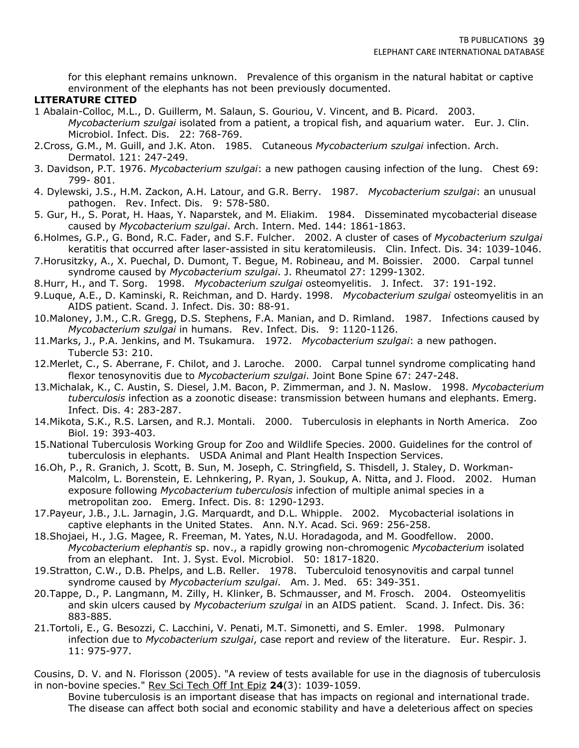for this elephant remains unknown. Prevalence of this organism in the natural habitat or captive environment of the elephants has not been previously documented.

## **LITERATURE CITED**

- 1 Abalain-Colloc, M.L., D. Guillerm, M. Salaun, S. Gouriou, V. Vincent, and B. Picard. 2003. *Mycobacterium szulgai* isolated from a patient, a tropical fish, and aquarium water. Eur. J. Clin. Microbiol. Infect. Dis. 22: 768-769.
- 2.Cross, G.M., M. Guill, and J.K. Aton. 1985. Cutaneous *Mycobacterium szulgai* infection. Arch. Dermatol. 121: 247-249.
- 3. Davidson, P.T. 1976. *Mycobacterium szulgai*: a new pathogen causing infection of the lung. Chest 69: 799- 801.
- 4. Dylewski, J.S., H.M. Zackon, A.H. Latour, and G.R. Berry. 1987. *Mycobacterium szulgai*: an unusual pathogen. Rev. Infect. Dis. 9: 578-580.
- 5. Gur, H., S. Porat, H. Haas, Y. Naparstek, and M. Eliakim. 1984. Disseminated mycobacterial disease caused by *Mycobacterium szulgai*. Arch. Intern. Med. 144: 1861-1863.
- 6.Holmes, G.P., G. Bond, R.C. Fader, and S.F. Fulcher. 2002. A cluster of cases of *Mycobacterium szulgai*  keratitis that occurred after laser-assisted in situ keratomileusis. Clin. Infect. Dis. 34: 1039-1046.
- 7.Horusitzky, A., X. Puechal, D. Dumont, T. Begue, M. Robineau, and M. Boissier. 2000. Carpal tunnel syndrome caused by *Mycobacterium szulgai*. J. Rheumatol 27: 1299-1302.
- 8.Hurr, H., and T. Sorg. 1998. *Mycobacterium szulgai* osteomyelitis. J. Infect. 37: 191-192.
- 9.Luque, A.E., D. Kaminski, R. Reichman, and D. Hardy. 1998. *Mycobacterium szulgai* osteomyelitis in an AIDS patient. Scand. J. Infect. Dis. 30: 88-91.
- 10.Maloney, J.M., C.R. Gregg, D.S. Stephens, F.A. Manian, and D. Rimland. 1987. Infections caused by *Mycobacterium szulgai* in humans. Rev. Infect. Dis. 9: 1120-1126.
- 11.Marks, J., P.A. Jenkins, and M. Tsukamura. 1972. *Mycobacterium szulgai*: a new pathogen. Tubercle 53: 210.
- 12.Merlet, C., S. Aberrane, F. Chilot, and J. Laroche. 2000. Carpal tunnel syndrome complicating hand flexor tenosynovitis due to *Mycobacterium szulgai*. Joint Bone Spine 67: 247-248.
- 13.Michalak, K., C. Austin, S. Diesel, J.M. Bacon, P. Zimmerman, and J. N. Maslow. 1998. *Mycobacterium tuberculosis* infection as a zoonotic disease: transmission between humans and elephants. Emerg. Infect. Dis. 4: 283-287.
- 14.Mikota, S.K., R.S. Larsen, and R.J. Montali. 2000. Tuberculosis in elephants in North America. Zoo Biol. 19: 393-403.
- 15.National Tuberculosis Working Group for Zoo and Wildlife Species. 2000. Guidelines for the control of tuberculosis in elephants. USDA Animal and Plant Health Inspection Services.
- 16.Oh, P., R. Granich, J. Scott, B. Sun, M. Joseph, C. Stringfield, S. Thisdell, J. Staley, D. Workman-Malcolm, L. Borenstein, E. Lehnkering, P. Ryan, J. Soukup, A. Nitta, and J. Flood. 2002. Human exposure following *Mycobacterium tuberculosis* infection of multiple animal species in a metropolitan zoo. Emerg. Infect. Dis. 8: 1290-1293.
- 17.Payeur, J.B., J.L. Jarnagin, J.G. Marquardt, and D.L. Whipple. 2002. Mycobacterial isolations in captive elephants in the United States. Ann. N.Y. Acad. Sci. 969: 256-258.
- 18.Shojaei, H., J.G. Magee, R. Freeman, M. Yates, N.U. Horadagoda, and M. Goodfellow. 2000. *Mycobacterium elephantis* sp. nov., a rapidly growing non-chromogenic *Mycobacterium* isolated from an elephant. Int. J. Syst. Evol. Microbiol. 50: 1817-1820.
- 19.Stratton, C.W., D.B. Phelps, and L.B. Reller. 1978. Tuberculoid tenosynovitis and carpal tunnel syndrome caused by *Mycobacterium szulgai*. Am. J. Med. 65: 349-351.
- 20.Tappe, D., P. Langmann, M. Zilly, H. Klinker, B. Schmausser, and M. Frosch. 2004. Osteomyelitis and skin ulcers caused by *Mycobacterium szulgai* in an AIDS patient. Scand. J. Infect. Dis. 36: 883-885.
- 21.Tortoli, E., G. Besozzi, C. Lacchini, V. Penati, M.T. Simonetti, and S. Emler. 1998. Pulmonary infection due to *Mycobacterium szulgai*, case report and review of the literature. Eur. Respir. J. 11: 975-977.

Cousins, D. V. and N. Florisson (2005). "A review of tests available for use in the diagnosis of tuberculosis in non-bovine species." Rev Sci Tech Off Int Epiz **24**(3): 1039-1059.

Bovine tuberculosis is an important disease that has impacts on regional and international trade. The disease can affect both social and economic stability and have a deleterious affect on species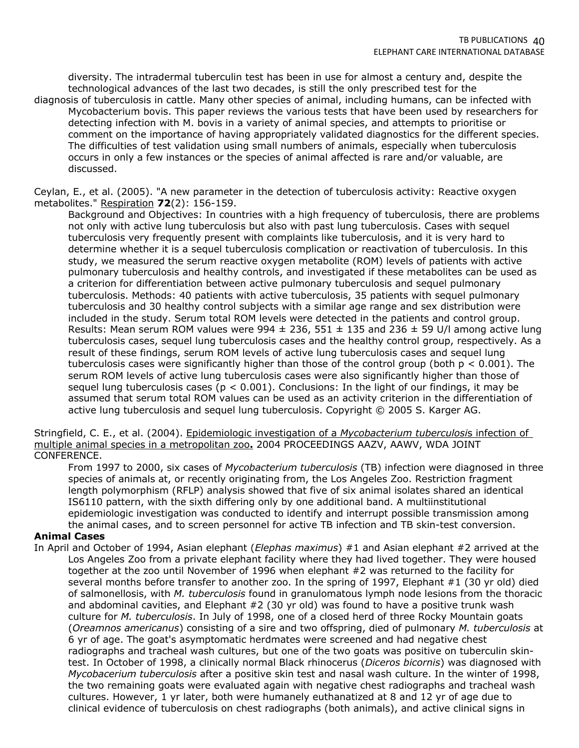diversity. The intradermal tuberculin test has been in use for almost a century and, despite the technological advances of the last two decades, is still the only prescribed test for the

diagnosis of tuberculosis in cattle. Many other species of animal, including humans, can be infected with Mycobacterium bovis. This paper reviews the various tests that have been used by researchers for detecting infection with M. bovis in a variety of animal species, and attempts to prioritise or comment on the importance of having appropriately validated diagnostics for the different species. The difficulties of test validation using small numbers of animals, especially when tuberculosis occurs in only a few instances or the species of animal affected is rare and/or valuable, are discussed.

Ceylan, E., et al. (2005). "A new parameter in the detection of tuberculosis activity: Reactive oxygen metabolites." Respiration **72**(2): 156-159.

Background and Objectives: In countries with a high frequency of tuberculosis, there are problems not only with active lung tuberculosis but also with past lung tuberculosis. Cases with sequel tuberculosis very frequently present with complaints like tuberculosis, and it is very hard to determine whether it is a sequel tuberculosis complication or reactivation of tuberculosis. In this study, we measured the serum reactive oxygen metabolite (ROM) levels of patients with active pulmonary tuberculosis and healthy controls, and investigated if these metabolites can be used as a criterion for differentiation between active pulmonary tuberculosis and sequel pulmonary tuberculosis. Methods: 40 patients with active tuberculosis, 35 patients with sequel pulmonary tuberculosis and 30 healthy control subjects with a similar age range and sex distribution were included in the study. Serum total ROM levels were detected in the patients and control group. Results: Mean serum ROM values were 994  $\pm$  236, 551  $\pm$  135 and 236  $\pm$  59 U/l among active lung tuberculosis cases, sequel lung tuberculosis cases and the healthy control group, respectively. As a result of these findings, serum ROM levels of active lung tuberculosis cases and sequel lung tuberculosis cases were significantly higher than those of the control group (both  $p < 0.001$ ). The serum ROM levels of active lung tuberculosis cases were also significantly higher than those of sequel lung tuberculosis cases ( $p < 0.001$ ). Conclusions: In the light of our findings, it may be assumed that serum total ROM values can be used as an activity criterion in the differentiation of active lung tuberculosis and sequel lung tuberculosis. Copyright © 2005 S. Karger AG.

Stringfield, C. E., et al. (2004). Epidemiologic investigation of a *Mycobacterium tuberculosi*s infection of multiple animal species in a metropolitan zoo**.** 2004 PROCEEDINGS AAZV, AAWV, WDA JOINT CONFERENCE.

From 1997 to 2000, six cases of *Mycobacterium tuberculosis* (TB) infection were diagnosed in three species of animals at, or recently originating from, the Los Angeles Zoo. Restriction fragment length polymorphism (RFLP) analysis showed that five of six animal isolates shared an identical IS6110 pattern, with the sixth differing only by one additional band. A multiinstitutional epidemiologic investigation was conducted to identify and interrupt possible transmission among the animal cases, and to screen personnel for active TB infection and TB skin-test conversion.

## **Animal Cases**

In April and October of 1994, Asian elephant (*Elephas maximus*) #1 and Asian elephant #2 arrived at the Los Angeles Zoo from a private elephant facility where they had lived together. They were housed together at the zoo until November of 1996 when elephant #2 was returned to the facility for several months before transfer to another zoo. In the spring of 1997, Elephant #1 (30 yr old) died of salmonellosis, with *M. tuberculosis* found in granulomatous lymph node lesions from the thoracic and abdominal cavities, and Elephant #2 (30 yr old) was found to have a positive trunk wash culture for *M. tuberculosis*. In July of 1998, one of a closed herd of three Rocky Mountain goats (*Oreamnos americanus*) consisting of a sire and two offspring, died of pulmonary *M. tuberculosis* at 6 yr of age. The goat's asymptomatic herdmates were screened and had negative chest radiographs and tracheal wash cultures, but one of the two goats was positive on tuberculin skintest. In October of 1998, a clinically normal Black rhinocerus (*Diceros bicornis*) was diagnosed with *Mycobacerium tuberculosis* after a positive skin test and nasal wash culture. In the winter of 1998, the two remaining goats were evaluated again with negative chest radiographs and tracheal wash cultures. However, 1 yr later, both were humanely euthanatized at 8 and 12 yr of age due to clinical evidence of tuberculosis on chest radiographs (both animals), and active clinical signs in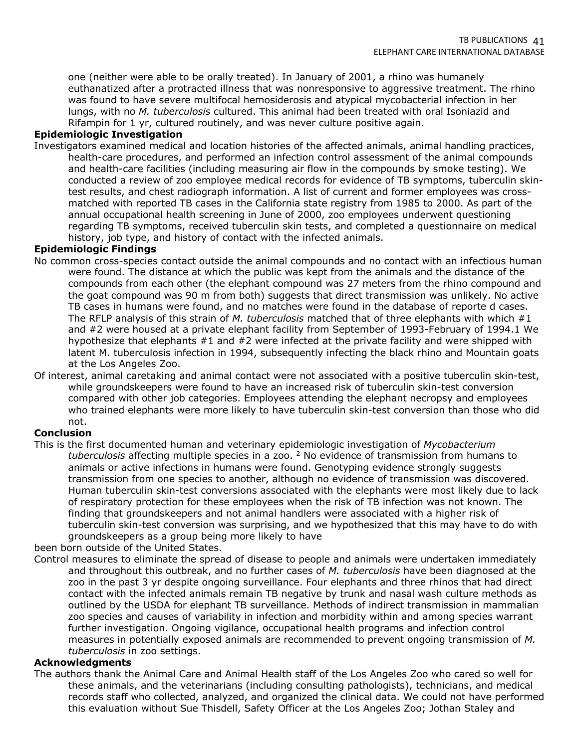one (neither were able to be orally treated). In January of 2001, a rhino was humanely euthanatized after a protracted illness that was nonresponsive to aggressive treatment. The rhino was found to have severe multifocal hemosiderosis and atypical mycobacterial infection in her lungs, with no *M. tuberculosis* cultured. This animal had been treated with oral Isoniazid and Rifampin for 1 yr, cultured routinely, and was never culture positive again.

# **Epidemiologic Investigation**

Investigators examined medical and location histories of the affected animals, animal handling practices, health-care procedures, and performed an infection control assessment of the animal compounds and health-care facilities (including measuring air flow in the compounds by smoke testing). We conducted a review of zoo employee medical records for evidence of TB symptoms, tuberculin skintest results, and chest radiograph information. A list of current and former employees was crossmatched with reported TB cases in the California state registry from 1985 to 2000. As part of the annual occupational health screening in June of 2000, zoo employees underwent questioning regarding TB symptoms, received tuberculin skin tests, and completed a questionnaire on medical history, job type, and history of contact with the infected animals.

## **Epidemiologic Findings**

- No common cross-species contact outside the animal compounds and no contact with an infectious human were found. The distance at which the public was kept from the animals and the distance of the compounds from each other (the elephant compound was 27 meters from the rhino compound and the goat compound was 90 m from both) suggests that direct transmission was unlikely. No active TB cases in humans were found, and no matches were found in the database of reporte d cases. The RFLP analysis of this strain of *M. tuberculosis* matched that of three elephants with which #1 and #2 were housed at a private elephant facility from September of 1993-February of 1994.1 We hypothesize that elephants  $#1$  and  $#2$  were infected at the private facility and were shipped with latent M. tuberculosis infection in 1994, subsequently infecting the black rhino and Mountain goats at the Los Angeles Zoo.
- Of interest, animal caretaking and animal contact were not associated with a positive tuberculin skin-test, while groundskeepers were found to have an increased risk of tuberculin skin-test conversion compared with other job categories. Employees attending the elephant necropsy and employees who trained elephants were more likely to have tuberculin skin-test conversion than those who did not.

## **Conclusion**

This is the first documented human and veterinary epidemiologic investigation of *Mycobacterium tuberculosis* affecting multiple species in a zoo. 2 No evidence of transmission from humans to animals or active infections in humans were found. Genotyping evidence strongly suggests transmission from one species to another, although no evidence of transmission was discovered. Human tuberculin skin-test conversions associated with the elephants were most likely due to lack of respiratory protection for these employees when the risk of TB infection was not known. The finding that groundskeepers and not animal handlers were associated with a higher risk of tuberculin skin-test conversion was surprising, and we hypothesized that this may have to do with groundskeepers as a group being more likely to have

been born outside of the United States.

Control measures to eliminate the spread of disease to people and animals were undertaken immediately and throughout this outbreak, and no further cases of *M. tuberculosis* have been diagnosed at the zoo in the past 3 yr despite ongoing surveillance. Four elephants and three rhinos that had direct contact with the infected animals remain TB negative by trunk and nasal wash culture methods as outlined by the USDA for elephant TB surveillance. Methods of indirect transmission in mammalian zoo species and causes of variability in infection and morbidity within and among species warrant further investigation. Ongoing vigilance, occupational health programs and infection control measures in potentially exposed animals are recommended to prevent ongoing transmission of *M. tuberculosis* in zoo settings.

# **Acknowledgments**

The authors thank the Animal Care and Animal Health staff of the Los Angeles Zoo who cared so well for these animals, and the veterinarians (including consulting pathologists), technicians, and medical records staff who collected, analyzed, and organized the clinical data. We could not have performed this evaluation without Sue Thisdell, Safety Officer at the Los Angeles Zoo; Jothan Staley and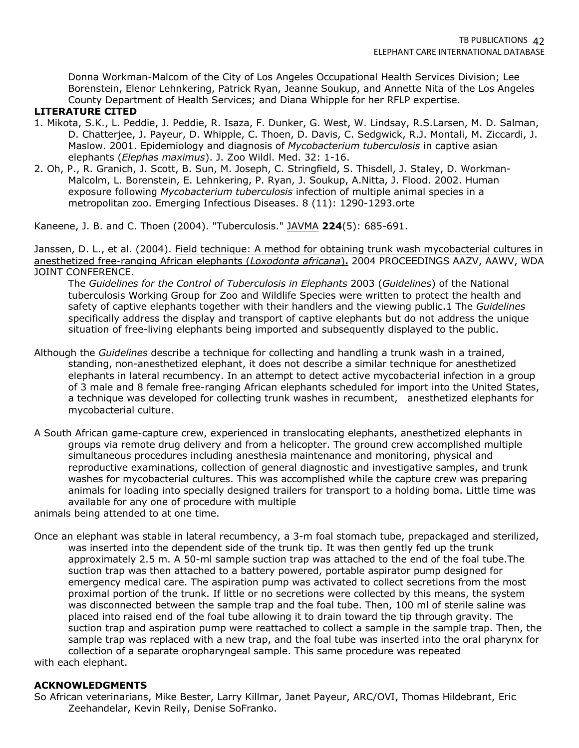Donna Workman-Malcom of the City of Los Angeles Occupational Health Services Division; Lee Borenstein, Elenor Lehnkering, Patrick Ryan, Jeanne Soukup, and Annette Nita of the Los Angeles County Department of Health Services; and Diana Whipple for her RFLP expertise.

### **LITERATURE CITED**

- 1. Mikota, S.K., L. Peddie, J. Peddie, R. Isaza, F. Dunker, G. West, W. Lindsay, R.S.Larsen, M. D. Salman, D. Chatterjee, J. Payeur, D. Whipple, C. Thoen, D. Davis, C. Sedgwick, R.J. Montali, M. Ziccardi, J. Maslow. 2001. Epidemiology and diagnosis of *Mycobacterium tuberculosis* in captive asian elephants (*Elephas maximus*). J. Zoo Wildl. Med. 32: 1-16.
- 2. Oh, P., R. Granich, J. Scott, B. Sun, M. Joseph, C. Stringfield, S. Thisdell, J. Staley, D. Workman-Malcolm, L. Borenstein, E. Lehnkering, P. Ryan, J. Soukup, A.Nitta, J. Flood. 2002. Human exposure following *Mycobacterium tuberculosis* infection of multiple animal species in a metropolitan zoo. Emerging Infectious Diseases. 8 (11): 1290-1293.orte

Kaneene, J. B. and C. Thoen (2004). "Tuberculosis." JAVMA **224**(5): 685-691.

Janssen, D. L., et al. (2004). Field technique: A method for obtaining trunk wash mycobacterial cultures in anesthetized free-ranging African elephants (*Loxodonta africana*)**.** 2004 PROCEEDINGS AAZV, AAWV, WDA JOINT CONFERENCE.

The *Guidelines for the Control of Tuberculosis in Elephants* 2003 (*Guidelines*) of the National tuberculosis Working Group for Zoo and Wildlife Species were written to protect the health and safety of captive elephants together with their handlers and the viewing public.1 The *Guidelines*  specifically address the display and transport of captive elephants but do not address the unique situation of free-living elephants being imported and subsequently displayed to the public.

- Although the *Guidelines* describe a technique for collecting and handling a trunk wash in a trained, standing, non-anesthetized elephant, it does not describe a similar technique for anesthetized elephants in lateral recumbency. In an attempt to detect active mycobacterial infection in a group of 3 male and 8 female free-ranging African elephants scheduled for import into the United States, a technique was developed for collecting trunk washes in recumbent, anesthetized elephants for mycobacterial culture.
- A South African game-capture crew, experienced in translocating elephants, anesthetized elephants in groups via remote drug delivery and from a helicopter. The ground crew accomplished multiple simultaneous procedures including anesthesia maintenance and monitoring, physical and reproductive examinations, collection of general diagnostic and investigative samples, and trunk washes for mycobacterial cultures. This was accomplished while the capture crew was preparing animals for loading into specially designed trailers for transport to a holding boma. Little time was available for any one of procedure with multiple

animals being attended to at one time.

Once an elephant was stable in lateral recumbency, a 3-m foal stomach tube, prepackaged and sterilized, was inserted into the dependent side of the trunk tip. It was then gently fed up the trunk approximately 2.5 m. A 50-ml sample suction trap was attached to the end of the foal tube.The suction trap was then attached to a battery powered, portable aspirator pump designed for emergency medical care. The aspiration pump was activated to collect secretions from the most proximal portion of the trunk. If little or no secretions were collected by this means, the system was disconnected between the sample trap and the foal tube. Then, 100 ml of sterile saline was placed into raised end of the foal tube allowing it to drain toward the tip through gravity. The suction trap and aspiration pump were reattached to collect a sample in the sample trap. Then, the sample trap was replaced with a new trap, and the foal tube was inserted into the oral pharynx for collection of a separate oropharyngeal sample. This same procedure was repeated with each elephant.

### **ACKNOWLEDGMENTS**

So African veterinarians, Mike Bester, Larry Killmar, Janet Payeur, ARC/OVI, Thomas Hildebrant, Eric Zeehandelar, Kevin Reily, Denise SoFranko.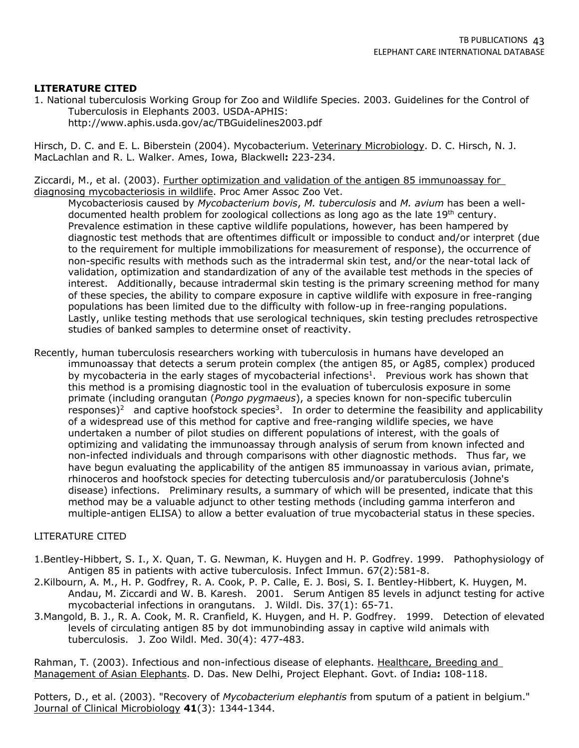## **LITERATURE CITED**

1. National tuberculosis Working Group for Zoo and Wildlife Species. 2003. Guidelines for the Control of Tuberculosis in Elephants 2003. USDA-APHIS: http://www.aphis.usda.gov/ac/TBGuidelines2003.pdf

Hirsch, D. C. and E. L. Biberstein (2004). Mycobacterium. Veterinary Microbiology. D. C. Hirsch, N. J. MacLachlan and R. L. Walker. Ames, Iowa, Blackwell**:** 223-234.

Ziccardi, M., et al. (2003). Further optimization and validation of the antigen 85 immunoassay for diagnosing mycobacteriosis in wildlife. Proc Amer Assoc Zoo Vet.

Mycobacteriosis caused by *Mycobacterium bovis*, *M. tuberculosis* and *M. avium* has been a welldocumented health problem for zoological collections as long ago as the late 19th century. Prevalence estimation in these captive wildlife populations, however, has been hampered by diagnostic test methods that are oftentimes difficult or impossible to conduct and/or interpret (due to the requirement for multiple immobilizations for measurement of response), the occurrence of non-specific results with methods such as the intradermal skin test, and/or the near-total lack of validation, optimization and standardization of any of the available test methods in the species of interest. Additionally, because intradermal skin testing is the primary screening method for many of these species, the ability to compare exposure in captive wildlife with exposure in free-ranging populations has been limited due to the difficulty with follow-up in free-ranging populations. Lastly, unlike testing methods that use serological techniques, skin testing precludes retrospective studies of banked samples to determine onset of reactivity.

Recently, human tuberculosis researchers working with tuberculosis in humans have developed an immunoassay that detects a serum protein complex (the antigen 85, or Ag85, complex) produced by mycobacteria in the early stages of mycobacterial infections<sup>1</sup>. Previous work has shown that this method is a promising diagnostic tool in the evaluation of tuberculosis exposure in some primate (including orangutan (*Pongo pygmaeus*), a species known for non-specific tuberculin responses)<sup>2</sup> and captive hoofstock species<sup>3</sup>. In order to determine the feasibility and applicability of a widespread use of this method for captive and free-ranging wildlife species, we have undertaken a number of pilot studies on different populations of interest, with the goals of optimizing and validating the immunoassay through analysis of serum from known infected and non-infected individuals and through comparisons with other diagnostic methods. Thus far, we have begun evaluating the applicability of the antigen 85 immunoassay in various avian, primate, rhinoceros and hoofstock species for detecting tuberculosis and/or paratuberculosis (Johne's disease) infections. Preliminary results, a summary of which will be presented, indicate that this method may be a valuable adjunct to other testing methods (including gamma interferon and multiple-antigen ELISA) to allow a better evaluation of true mycobacterial status in these species.

## LITERATURE CITED

- 1.Bentley-Hibbert, S. I., X. Quan, T. G. Newman, K. Huygen and H. P. Godfrey. 1999. Pathophysiology of Antigen 85 in patients with active tuberculosis. Infect Immun. 67(2):581-8.
- 2.Kilbourn, A. M., H. P. Godfrey, R. A. Cook, P. P. Calle, E. J. Bosi, S. I. Bentley-Hibbert, K. Huygen, M. Andau, M. Ziccardi and W. B. Karesh. 2001. Serum Antigen 85 levels in adjunct testing for active mycobacterial infections in orangutans. J. Wildl. Dis. 37(1): 65-71.
- 3.Mangold, B. J., R. A. Cook, M. R. Cranfield, K. Huygen, and H. P. Godfrey. 1999. Detection of elevated levels of circulating antigen 85 by dot immunobinding assay in captive wild animals with tuberculosis. J. Zoo Wildl. Med. 30(4): 477-483.

Rahman, T. (2003). Infectious and non-infectious disease of elephants. Healthcare, Breeding and Management of Asian Elephants. D. Das. New Delhi, Project Elephant. Govt. of India**:** 108-118.

Potters, D., et al. (2003). "Recovery of *Mycobacterium elephantis* from sputum of a patient in belgium." Journal of Clinical Microbiology **41**(3): 1344-1344.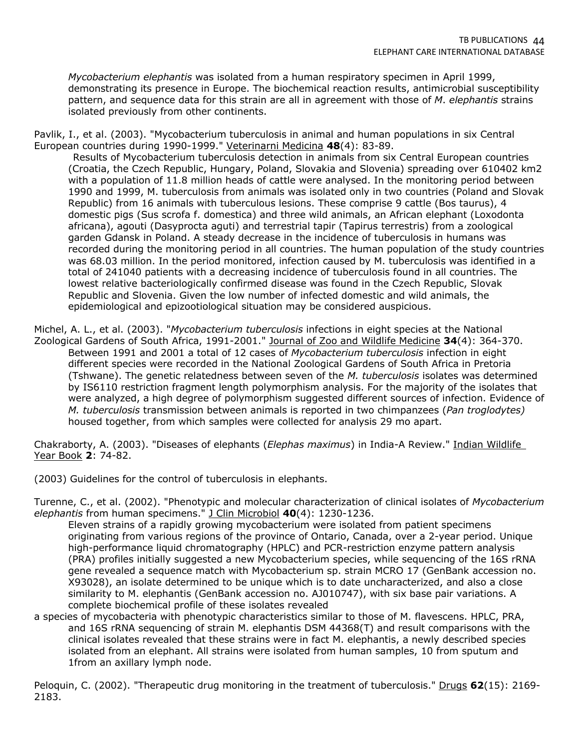*Mycobacterium elephantis* was isolated from a human respiratory specimen in April 1999, demonstrating its presence in Europe. The biochemical reaction results, antimicrobial susceptibility pattern, and sequence data for this strain are all in agreement with those of *M*. *elephantis* strains isolated previously from other continents.

Pavlik, I., et al. (2003). "Mycobacterium tuberculosis in animal and human populations in six Central European countries during 1990-1999." Veterinarni Medicina **48**(4): 83-89.

Results of Mycobacterium tuberculosis detection in animals from six Central European countries (Croatia, the Czech Republic, Hungary, Poland, Slovakia and Slovenia) spreading over 610402 km2 with a population of 11.8 million heads of cattle were analysed. In the monitoring period between 1990 and 1999, M. tuberculosis from animals was isolated only in two countries (Poland and Slovak Republic) from 16 animals with tuberculous lesions. These comprise 9 cattle (Bos taurus), 4 domestic pigs (Sus scrofa f. domestica) and three wild animals, an African elephant (Loxodonta africana), agouti (Dasyprocta aguti) and terrestrial tapir (Tapirus terrestris) from a zoological garden Gdansk in Poland. A steady decrease in the incidence of tuberculosis in humans was recorded during the monitoring period in all countries. The human population of the study countries was 68.03 million. In the period monitored, infection caused by M. tuberculosis was identified in a total of 241040 patients with a decreasing incidence of tuberculosis found in all countries. The lowest relative bacteriologically confirmed disease was found in the Czech Republic, Slovak Republic and Slovenia. Given the low number of infected domestic and wild animals, the epidemiological and epizootiological situation may be considered auspicious.

Michel, A. L., et al. (2003). "*Mycobacterium tuberculosis* infections in eight species at the National Zoological Gardens of South Africa, 1991-2001." Journal of Zoo and Wildlife Medicine **34**(4): 364-370. Between 1991 and 2001 a total of 12 cases of *Mycobacterium tuberculosis* infection in eight different species were recorded in the National Zoological Gardens of South Africa in Pretoria (Tshwane). The genetic relatedness between seven of the *M. tuberculosis* isolates was determined by IS6110 restriction fragment length polymorphism analysis. For the majority of the isolates that were analyzed, a high degree of polymorphism suggested different sources of infection. Evidence of *M. tuberculosis* transmission between animals is reported in two chimpanzees (*Pan troglodytes)* housed together, from which samples were collected for analysis 29 mo apart.

Chakraborty, A. (2003). "Diseases of elephants (*Elephas maximus*) in India-A Review." Indian Wildlife Year Book **2**: 74-82.

(2003) Guidelines for the control of tuberculosis in elephants.

Turenne, C., et al. (2002). "Phenotypic and molecular characterization of clinical isolates of *Mycobacterium elephantis* from human specimens." J Clin Microbiol **40**(4): 1230-1236.

Eleven strains of a rapidly growing mycobacterium were isolated from patient specimens originating from various regions of the province of Ontario, Canada, over a 2-year period. Unique high-performance liquid chromatography (HPLC) and PCR-restriction enzyme pattern analysis (PRA) profiles initially suggested a new Mycobacterium species, while sequencing of the 16S rRNA gene revealed a sequence match with Mycobacterium sp. strain MCRO 17 (GenBank accession no. X93028), an isolate determined to be unique which is to date uncharacterized, and also a close similarity to M. elephantis (GenBank accession no. AJ010747), with six base pair variations. A complete biochemical profile of these isolates revealed

a species of mycobacteria with phenotypic characteristics similar to those of M. flavescens. HPLC, PRA, and 16S rRNA sequencing of strain M. elephantis DSM 44368(T) and result comparisons with the clinical isolates revealed that these strains were in fact M. elephantis, a newly described species isolated from an elephant. All strains were isolated from human samples, 10 from sputum and 1from an axillary lymph node.

Peloquin, C. (2002). "Therapeutic drug monitoring in the treatment of tuberculosis." Drugs **62**(15): 2169- 2183.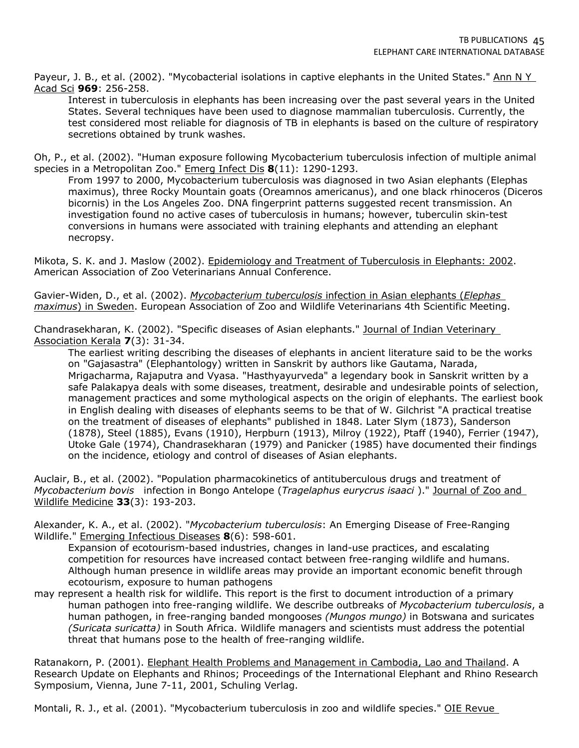Payeur, J. B., et al. (2002). "Mycobacterial isolations in captive elephants in the United States." Ann N Y Acad Sci **969**: 256-258.

Interest in tuberculosis in elephants has been increasing over the past several years in the United States. Several techniques have been used to diagnose mammalian tuberculosis. Currently, the test considered most reliable for diagnosis of TB in elephants is based on the culture of respiratory secretions obtained by trunk washes.

Oh, P., et al. (2002). "Human exposure following Mycobacterium tuberculosis infection of multiple animal species in a Metropolitan Zoo." Emerg Infect Dis **8**(11): 1290-1293.

From 1997 to 2000, Mycobacterium tuberculosis was diagnosed in two Asian elephants (Elephas maximus), three Rocky Mountain goats (Oreamnos americanus), and one black rhinoceros (Diceros bicornis) in the Los Angeles Zoo. DNA fingerprint patterns suggested recent transmission. An investigation found no active cases of tuberculosis in humans; however, tuberculin skin-test conversions in humans were associated with training elephants and attending an elephant necropsy.

Mikota, S. K. and J. Maslow (2002). Epidemiology and Treatment of Tuberculosis in Elephants: 2002. American Association of Zoo Veterinarians Annual Conference.

Gavier-Widen, D., et al. (2002). *Mycobacterium tuberculosis* infection in Asian elephants (*Elephas maximus*) in Sweden. European Association of Zoo and Wildlife Veterinarians 4th Scientific Meeting.

Chandrasekharan, K. (2002). "Specific diseases of Asian elephants." Journal of Indian Veterinary Association Kerala **7**(3): 31-34.

The earliest writing describing the diseases of elephants in ancient literature said to be the works on "Gajasastra" (Elephantology) written in Sanskrit by authors like Gautama, Narada, Mrigacharma, Rajaputra and Vyasa. "Hasthyayurveda" a legendary book in Sanskrit written by a safe Palakapya deals with some diseases, treatment, desirable and undesirable points of selection, management practices and some mythological aspects on the origin of elephants. The earliest book in English dealing with diseases of elephants seems to be that of W. Gilchrist "A practical treatise on the treatment of diseases of elephants" published in 1848. Later Slym (1873), Sanderson (1878), Steel (1885), Evans (1910), Herpburn (1913), Milroy (1922), Ptaff (1940), Ferrier (1947), Utoke Gale (1974), Chandrasekharan (1979) and Panicker (1985) have documented their findings on the incidence, etiology and control of diseases of Asian elephants.

Auclair, B., et al. (2002). "Population pharmacokinetics of antituberculous drugs and treatment of *Mycobacterium bovis* infection in Bongo Antelope (*Tragelaphus eurycrus isaaci* )." Journal of Zoo and Wildlife Medicine **33**(3): 193-203.

Alexander, K. A., et al. (2002). "*Mycobacterium tuberculosis*: An Emerging Disease of Free-Ranging Wildlife." Emerging Infectious Diseases **8**(6): 598-601.

Expansion of ecotourism-based industries, changes in land-use practices, and escalating competition for resources have increased contact between free-ranging wildlife and humans. Although human presence in wildlife areas may provide an important economic benefit through ecotourism, exposure to human pathogens

may represent a health risk for wildlife. This report is the first to document introduction of a primary human pathogen into free-ranging wildlife. We describe outbreaks of *Mycobacterium tuberculosis*, a human pathogen, in free-ranging banded mongooses *(Mungos mungo)* in Botswana and suricates *(Suricata suricatta)* in South Africa. Wildlife managers and scientists must address the potential threat that humans pose to the health of free-ranging wildlife.

Ratanakorn, P. (2001). Elephant Health Problems and Management in Cambodia, Lao and Thailand. A Research Update on Elephants and Rhinos; Proceedings of the International Elephant and Rhino Research Symposium, Vienna, June 7-11, 2001, Schuling Verlag.

Montali, R. J., et al. (2001). "Mycobacterium tuberculosis in zoo and wildlife species." OIE Revue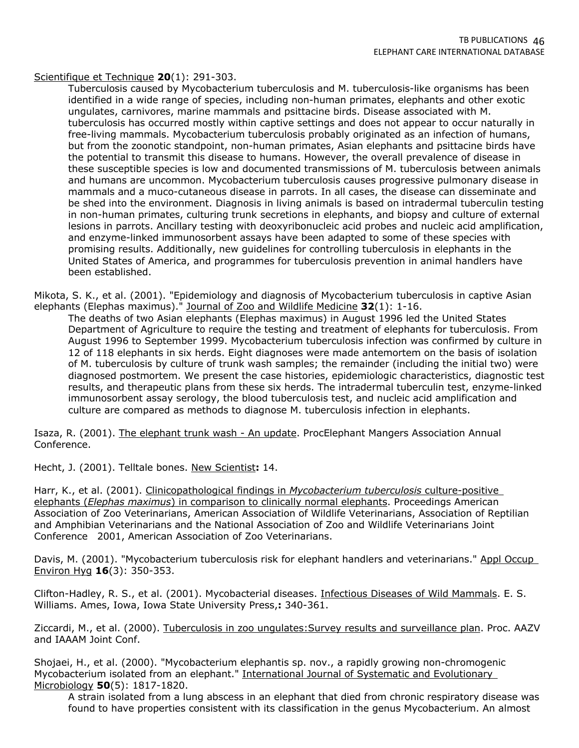Scientifique et Technique **20**(1): 291-303.

Tuberculosis caused by Mycobacterium tuberculosis and M. tuberculosis-like organisms has been identified in a wide range of species, including non-human primates, elephants and other exotic ungulates, carnivores, marine mammals and psittacine birds. Disease associated with M. tuberculosis has occurred mostly within captive settings and does not appear to occur naturally in free-living mammals. Mycobacterium tuberculosis probably originated as an infection of humans, but from the zoonotic standpoint, non-human primates, Asian elephants and psittacine birds have the potential to transmit this disease to humans. However, the overall prevalence of disease in these susceptible species is low and documented transmissions of M. tuberculosis between animals and humans are uncommon. Mycobacterium tuberculosis causes progressive pulmonary disease in mammals and a muco-cutaneous disease in parrots. In all cases, the disease can disseminate and be shed into the environment. Diagnosis in living animals is based on intradermal tuberculin testing in non-human primates, culturing trunk secretions in elephants, and biopsy and culture of external lesions in parrots. Ancillary testing with deoxyribonucleic acid probes and nucleic acid amplification, and enzyme-linked immunosorbent assays have been adapted to some of these species with promising results. Additionally, new guidelines for controlling tuberculosis in elephants in the United States of America, and programmes for tuberculosis prevention in animal handlers have been established.

Mikota, S. K., et al. (2001). "Epidemiology and diagnosis of Mycobacterium tuberculosis in captive Asian elephants (Elephas maximus)." Journal of Zoo and Wildlife Medicine **32**(1): 1-16.

The deaths of two Asian elephants (Elephas maximus) in August 1996 led the United States Department of Agriculture to require the testing and treatment of elephants for tuberculosis. From August 1996 to September 1999. Mycobacterium tuberculosis infection was confirmed by culture in 12 of 118 elephants in six herds. Eight diagnoses were made antemortem on the basis of isolation of M. tuberculosis by culture of trunk wash samples; the remainder (including the initial two) were diagnosed postmortem. We present the case histories, epidemiologic characteristics, diagnostic test results, and therapeutic plans from these six herds. The intradermal tuberculin test, enzyme-linked immunosorbent assay serology, the blood tuberculosis test, and nucleic acid amplification and culture are compared as methods to diagnose M. tuberculosis infection in elephants.

Isaza, R. (2001). The elephant trunk wash - An update. ProcElephant Mangers Association Annual Conference.

Hecht, J. (2001). Telltale bones. New Scientist**:** 14.

Harr, K., et al. (2001). Clinicopathological findings in *Mycobacterium tuberculosis* culture-positive elephants (*Elephas maximus*) in comparison to clinically normal elephants. Proceedings American Association of Zoo Veterinarians, American Association of Wildlife Veterinarians, Association of Reptilian and Amphibian Veterinarians and the National Association of Zoo and Wildlife Veterinarians Joint Conference 2001, American Association of Zoo Veterinarians.

Davis, M. (2001). "Mycobacterium tuberculosis risk for elephant handlers and veterinarians." Appl Occup Environ Hyg **16**(3): 350-353.

Clifton-Hadley, R. S., et al. (2001). Mycobacterial diseases. Infectious Diseases of Wild Mammals. E. S. Williams. Ames, Iowa, Iowa State University Press,**:** 340-361.

Ziccardi, M., et al. (2000). Tuberculosis in zoo ungulates: Survey results and surveillance plan. Proc. AAZV and IAAAM Joint Conf.

Shojaei, H., et al. (2000). "Mycobacterium elephantis sp. nov., a rapidly growing non-chromogenic Mycobacterium isolated from an elephant." International Journal of Systematic and Evolutionary Microbiology **50**(5): 1817-1820.

A strain isolated from a lung abscess in an elephant that died from chronic respiratory disease was found to have properties consistent with its classification in the genus Mycobacterium. An almost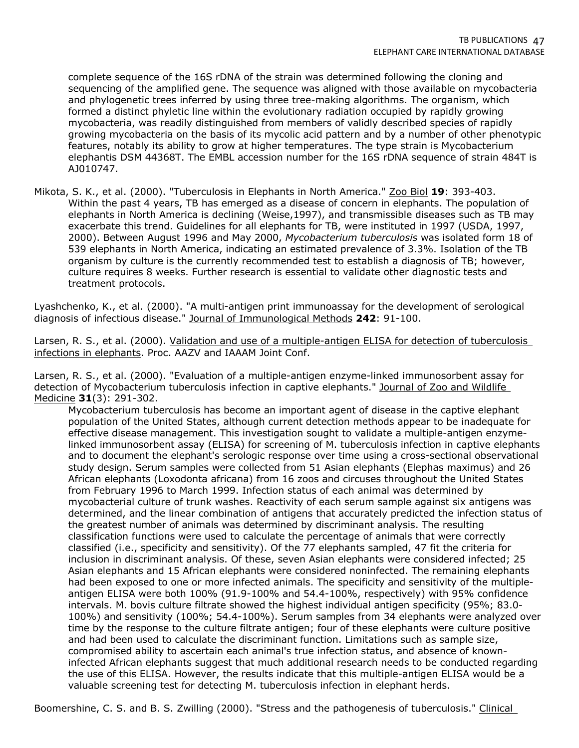complete sequence of the 16S rDNA of the strain was determined following the cloning and sequencing of the amplified gene. The sequence was aligned with those available on mycobacteria and phylogenetic trees inferred by using three tree-making algorithms. The organism, which formed a distinct phyletic line within the evolutionary radiation occupied by rapidly growing mycobacteria, was readily distinguished from members of validly described species of rapidly growing mycobacteria on the basis of its mycolic acid pattern and by a number of other phenotypic features, notably its ability to grow at higher temperatures. The type strain is Mycobacterium elephantis DSM 44368T. The EMBL accession number for the 16S rDNA sequence of strain 484T is AJ010747.

Mikota, S. K., et al. (2000). "Tuberculosis in Elephants in North America." Zoo Biol **19**: 393-403. Within the past 4 years, TB has emerged as a disease of concern in elephants. The population of elephants in North America is declining (Weise,1997), and transmissible diseases such as TB may exacerbate this trend. Guidelines for all elephants for TB, were instituted in 1997 (USDA, 1997, 2000). Between August 1996 and May 2000, *Mycobacterium tuberculosis* was isolated form 18 of 539 elephants in North America, indicating an estimated prevalence of 3.3%. Isolation of the TB organism by culture is the currently recommended test to establish a diagnosis of TB; however, culture requires 8 weeks. Further research is essential to validate other diagnostic tests and treatment protocols.

Lyashchenko, K., et al. (2000). "A multi-antigen print immunoassay for the development of serological diagnosis of infectious disease." Journal of Immunological Methods **242**: 91-100.

Larsen, R. S., et al. (2000). Validation and use of a multiple-antigen ELISA for detection of tuberculosis infections in elephants. Proc. AAZV and IAAAM Joint Conf.

Larsen, R. S., et al. (2000). "Evaluation of a multiple-antigen enzyme-linked immunosorbent assay for detection of Mycobacterium tuberculosis infection in captive elephants." Journal of Zoo and Wildlife Medicine **31**(3): 291-302.

Mycobacterium tuberculosis has become an important agent of disease in the captive elephant population of the United States, although current detection methods appear to be inadequate for effective disease management. This investigation sought to validate a multiple-antigen enzymelinked immunosorbent assay (ELISA) for screening of M. tuberculosis infection in captive elephants and to document the elephant's serologic response over time using a cross-sectional observational study design. Serum samples were collected from 51 Asian elephants (Elephas maximus) and 26 African elephants (Loxodonta africana) from 16 zoos and circuses throughout the United States from February 1996 to March 1999. Infection status of each animal was determined by mycobacterial culture of trunk washes. Reactivity of each serum sample against six antigens was determined, and the linear combination of antigens that accurately predicted the infection status of the greatest number of animals was determined by discriminant analysis. The resulting classification functions were used to calculate the percentage of animals that were correctly classified (i.e., specificity and sensitivity). Of the 77 elephants sampled, 47 fit the criteria for inclusion in discriminant analysis. Of these, seven Asian elephants were considered infected; 25 Asian elephants and 15 African elephants were considered noninfected. The remaining elephants had been exposed to one or more infected animals. The specificity and sensitivity of the multipleantigen ELISA were both 100% (91.9-100% and 54.4-100%, respectively) with 95% confidence intervals. M. bovis culture filtrate showed the highest individual antigen specificity (95%; 83.0- 100%) and sensitivity (100%; 54.4-100%). Serum samples from 34 elephants were analyzed over time by the response to the culture filtrate antigen; four of these elephants were culture positive and had been used to calculate the discriminant function. Limitations such as sample size, compromised ability to ascertain each animal's true infection status, and absence of knowninfected African elephants suggest that much additional research needs to be conducted regarding the use of this ELISA. However, the results indicate that this multiple-antigen ELISA would be a valuable screening test for detecting M. tuberculosis infection in elephant herds.

Boomershine, C. S. and B. S. Zwilling (2000). "Stress and the pathogenesis of tuberculosis." Clinical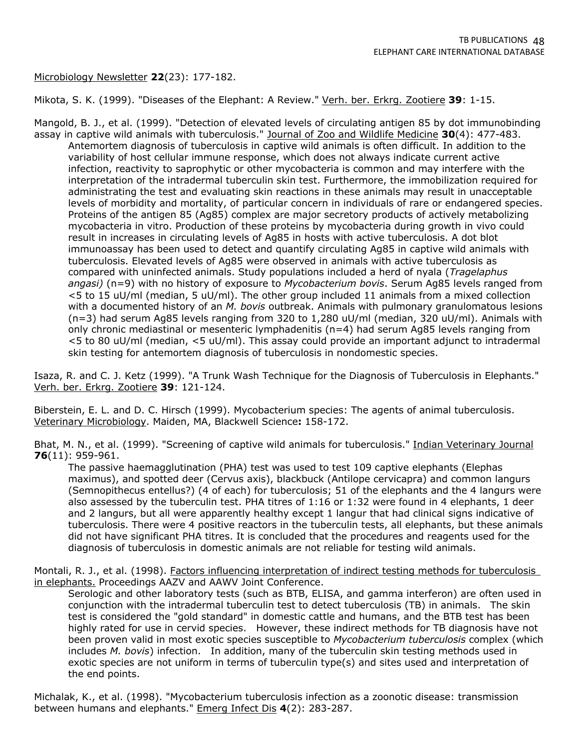Microbiology Newsletter **22**(23): 177-182.

Mikota, S. K. (1999). "Diseases of the Elephant: A Review." Verh. ber. Erkrg. Zootiere **39**: 1-15.

Mangold, B. J., et al. (1999). "Detection of elevated levels of circulating antigen 85 by dot immunobinding assay in captive wild animals with tuberculosis." Journal of Zoo and Wildlife Medicine **30**(4): 477-483. Antemortem diagnosis of tuberculosis in captive wild animals is often difficult. In addition to the variability of host cellular immune response, which does not always indicate current active infection, reactivity to saprophytic or other mycobacteria is common and may interfere with the interpretation of the intradermal tuberculin skin test. Furthermore, the immobilization required for administrating the test and evaluating skin reactions in these animals may result in unacceptable levels of morbidity and mortality, of particular concern in individuals of rare or endangered species. Proteins of the antigen 85 (Ag85) complex are major secretory products of actively metabolizing mycobacteria in vitro. Production of these proteins by mycobacteria during growth in vivo could result in increases in circulating levels of Ag85 in hosts with active tuberculosis. A dot blot immunoassay has been used to detect and quantify circulating Ag85 in captive wild animals with tuberculosis. Elevated levels of Ag85 were observed in animals with active tuberculosis as compared with uninfected animals. Study populations included a herd of nyala (*Tragelaphus angasi)* (n=9) with no history of exposure to *Mycobacterium bovis*. Serum Ag85 levels ranged from <5 to 15 uU/ml (median, 5 uU/ml). The other group included 11 animals from a mixed collection with a documented history of an *M. bovis* outbreak. Animals with pulmonary granulomatous lesions (n=3) had serum Ag85 levels ranging from 320 to 1,280 uU/ml (median, 320 uU/ml). Animals with only chronic mediastinal or mesenteric lymphadenitis (n=4) had serum Ag85 levels ranging from <5 to 80 uU/ml (median, <5 uU/ml). This assay could provide an important adjunct to intradermal skin testing for antemortem diagnosis of tuberculosis in nondomestic species.

Isaza, R. and C. J. Ketz (1999). "A Trunk Wash Technique for the Diagnosis of Tuberculosis in Elephants." Verh. ber. Erkrg. Zootiere **39**: 121-124.

Biberstein, E. L. and D. C. Hirsch (1999). Mycobacterium species: The agents of animal tuberculosis. Veterinary Microbiology. Maiden, MA, Blackwell Science**:** 158-172.

Bhat, M. N., et al. (1999). "Screening of captive wild animals for tuberculosis." Indian Veterinary Journal **76**(11): 959-961.

The passive haemagglutination (PHA) test was used to test 109 captive elephants (Elephas maximus), and spotted deer (Cervus axis), blackbuck (Antilope cervicapra) and common langurs (Semnopithecus entellus?) (4 of each) for tuberculosis; 51 of the elephants and the 4 langurs were also assessed by the tuberculin test. PHA titres of 1:16 or 1:32 were found in 4 elephants, 1 deer and 2 langurs, but all were apparently healthy except 1 langur that had clinical signs indicative of tuberculosis. There were 4 positive reactors in the tuberculin tests, all elephants, but these animals did not have significant PHA titres. It is concluded that the procedures and reagents used for the diagnosis of tuberculosis in domestic animals are not reliable for testing wild animals.

Montali, R. J., et al. (1998). Factors influencing interpretation of indirect testing methods for tuberculosis in elephants. Proceedings AAZV and AAWV Joint Conference.

Serologic and other laboratory tests (such as BTB, ELISA, and gamma interferon) are often used in conjunction with the intradermal tuberculin test to detect tuberculosis (TB) in animals. The skin test is considered the "gold standard" in domestic cattle and humans, and the BTB test has been highly rated for use in cervid species. However, these indirect methods for TB diagnosis have not been proven valid in most exotic species susceptible to *Mycobacterium tuberculosis* complex (which includes *M. bovis*) infection. In addition, many of the tuberculin skin testing methods used in exotic species are not uniform in terms of tuberculin type(s) and sites used and interpretation of the end points.

Michalak, K., et al. (1998). "Mycobacterium tuberculosis infection as a zoonotic disease: transmission between humans and elephants." Emerg Infect Dis **4**(2): 283-287.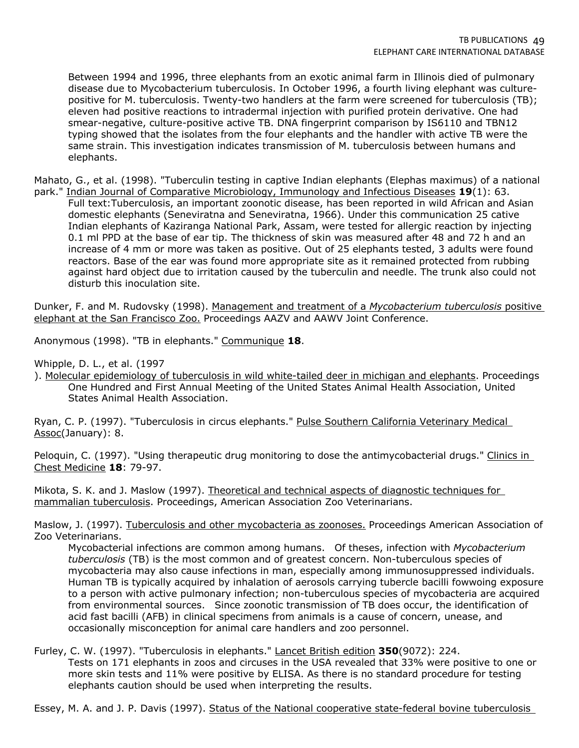Between 1994 and 1996, three elephants from an exotic animal farm in Illinois died of pulmonary disease due to Mycobacterium tuberculosis. In October 1996, a fourth living elephant was culturepositive for M. tuberculosis. Twenty-two handlers at the farm were screened for tuberculosis (TB); eleven had positive reactions to intradermal injection with purified protein derivative. One had smear-negative, culture-positive active TB. DNA fingerprint comparison by IS6110 and TBN12 typing showed that the isolates from the four elephants and the handler with active TB were the same strain. This investigation indicates transmission of M. tuberculosis between humans and elephants.

Mahato, G., et al. (1998). "Tuberculin testing in captive Indian elephants (Elephas maximus) of a national

park." Indian Journal of Comparative Microbiology, Immunology and Infectious Diseases **19**(1): 63. Full text:Tuberculosis, an important zoonotic disease, has been reported in wild African and Asian domestic elephants (Seneviratna and Seneviratna, 1966). Under this communication 25 cative Indian elephants of Kaziranga National Park, Assam, were tested for allergic reaction by injecting 0.1 ml PPD at the base of ear tip. The thickness of skin was measured after 48 and 72 h and an increase of 4 mm or more was taken as positive. Out of 25 elephants tested, 3 adults were found reactors. Base of the ear was found more appropriate site as it remained protected from rubbing against hard object due to irritation caused by the tuberculin and needle. The trunk also could not disturb this inoculation site.

Dunker, F. and M. Rudovsky (1998). Management and treatment of a *Mycobacterium tuberculosis* positive elephant at the San Francisco Zoo. Proceedings AAZV and AAWV Joint Conference.

Anonymous (1998). "TB in elephants." Communique **18**.

Whipple, D. L., et al. (1997

). Molecular epidemiology of tuberculosis in wild white-tailed deer in michigan and elephants. Proceedings One Hundred and First Annual Meeting of the United States Animal Health Association, United States Animal Health Association.

Ryan, C. P. (1997). "Tuberculosis in circus elephants." Pulse Southern California Veterinary Medical Assoc(January): 8.

Peloquin, C. (1997). "Using therapeutic drug monitoring to dose the antimycobacterial drugs." Clinics in Chest Medicine **18**: 79-97.

Mikota, S. K. and J. Maslow (1997). Theoretical and technical aspects of diagnostic techniques for mammalian tuberculosis. Proceedings, American Association Zoo Veterinarians.

Maslow, J. (1997). Tuberculosis and other mycobacteria as zoonoses. Proceedings American Association of Zoo Veterinarians.

Mycobacterial infections are common among humans. Of theses, infection with *Mycobacterium tuberculosis* (TB) is the most common and of greatest concern. Non-tuberculous species of mycobacteria may also cause infections in man, especially among immunosuppressed individuals. Human TB is typically acquired by inhalation of aerosols carrying tubercle bacilli fowwoing exposure to a person with active pulmonary infection; non-tuberculous species of mycobacteria are acquired from environmental sources. Since zoonotic transmission of TB does occur, the identification of acid fast bacilli (AFB) in clinical specimens from animals is a cause of concern, unease, and occasionally misconception for animal care handlers and zoo personnel.

Furley, C. W. (1997). "Tuberculosis in elephants." Lancet British edition **350**(9072): 224. Tests on 171 elephants in zoos and circuses in the USA revealed that 33% were positive to one or more skin tests and 11% were positive by ELISA. As there is no standard procedure for testing elephants caution should be used when interpreting the results.

Essey, M. A. and J. P. Davis (1997). Status of the National cooperative state-federal bovine tuberculosis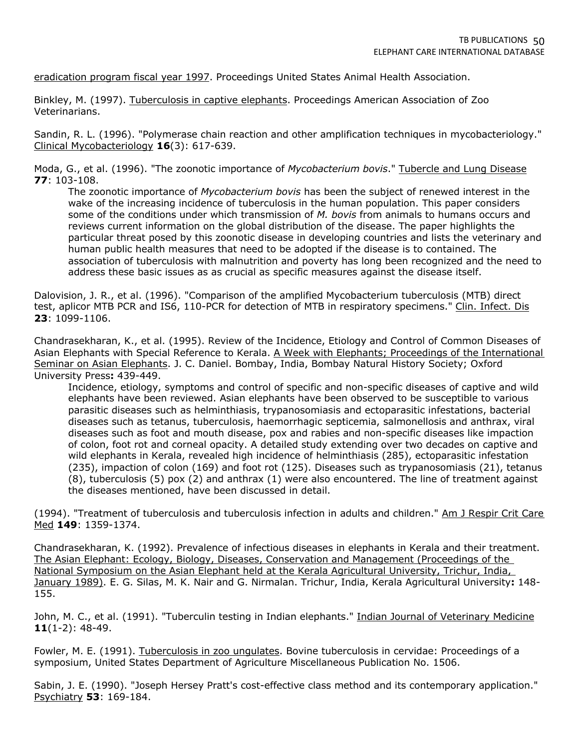eradication program fiscal year 1997. Proceedings United States Animal Health Association.

Binkley, M. (1997). Tuberculosis in captive elephants. Proceedings American Association of Zoo Veterinarians.

Sandin, R. L. (1996). "Polymerase chain reaction and other amplification techniques in mycobacteriology." Clinical Mycobacteriology **16**(3): 617-639.

Moda, G., et al. (1996). "The zoonotic importance of *Mycobacterium bovis*." Tubercle and Lung Disease **77**: 103-108.

The zoonotic importance of *Mycobacterium bovis* has been the subject of renewed interest in the wake of the increasing incidence of tuberculosis in the human population. This paper considers some of the conditions under which transmission of *M. bovis* from animals to humans occurs and reviews current information on the global distribution of the disease. The paper highlights the particular threat posed by this zoonotic disease in developing countries and lists the veterinary and human public health measures that need to be adopted if the disease is to contained. The association of tuberculosis with malnutrition and poverty has long been recognized and the need to address these basic issues as as crucial as specific measures against the disease itself.

Dalovision, J. R., et al. (1996). "Comparison of the amplified Mycobacterium tuberculosis (MTB) direct test, aplicor MTB PCR and IS6, 110-PCR for detection of MTB in respiratory specimens." Clin. Infect. Dis **23**: 1099-1106.

Chandrasekharan, K., et al. (1995). Review of the Incidence, Etiology and Control of Common Diseases of Asian Elephants with Special Reference to Kerala. A Week with Elephants; Proceedings of the International Seminar on Asian Elephants. J. C. Daniel. Bombay, India, Bombay Natural History Society; Oxford University Press**:** 439-449.

Incidence, etiology, symptoms and control of specific and non-specific diseases of captive and wild elephants have been reviewed. Asian elephants have been observed to be susceptible to various parasitic diseases such as helminthiasis, trypanosomiasis and ectoparasitic infestations, bacterial diseases such as tetanus, tuberculosis, haemorrhagic septicemia, salmonellosis and anthrax, viral diseases such as foot and mouth disease, pox and rabies and non-specific diseases like impaction of colon, foot rot and corneal opacity. A detailed study extending over two decades on captive and wild elephants in Kerala, revealed high incidence of helminthiasis (285), ectoparasitic infestation (235), impaction of colon (169) and foot rot (125). Diseases such as trypanosomiasis (21), tetanus (8), tuberculosis (5) pox (2) and anthrax (1) were also encountered. The line of treatment against the diseases mentioned, have been discussed in detail.

(1994). "Treatment of tuberculosis and tuberculosis infection in adults and children." Am J Respir Crit Care Med **149**: 1359-1374.

Chandrasekharan, K. (1992). Prevalence of infectious diseases in elephants in Kerala and their treatment. The Asian Elephant: Ecology, Biology, Diseases, Conservation and Management (Proceedings of the National Symposium on the Asian Elephant held at the Kerala Agricultural University, Trichur, India, January 1989). E. G. Silas, M. K. Nair and G. Nirmalan. Trichur, India, Kerala Agricultural University**:** 148- 155.

John, M. C., et al. (1991). "Tuberculin testing in Indian elephants." Indian Journal of Veterinary Medicine **11**(1-2): 48-49.

Fowler, M. E. (1991). Tuberculosis in zoo ungulates. Bovine tuberculosis in cervidae: Proceedings of a symposium, United States Department of Agriculture Miscellaneous Publication No. 1506.

Sabin, J. E. (1990). "Joseph Hersey Pratt's cost-effective class method and its contemporary application." Psychiatry **53**: 169-184.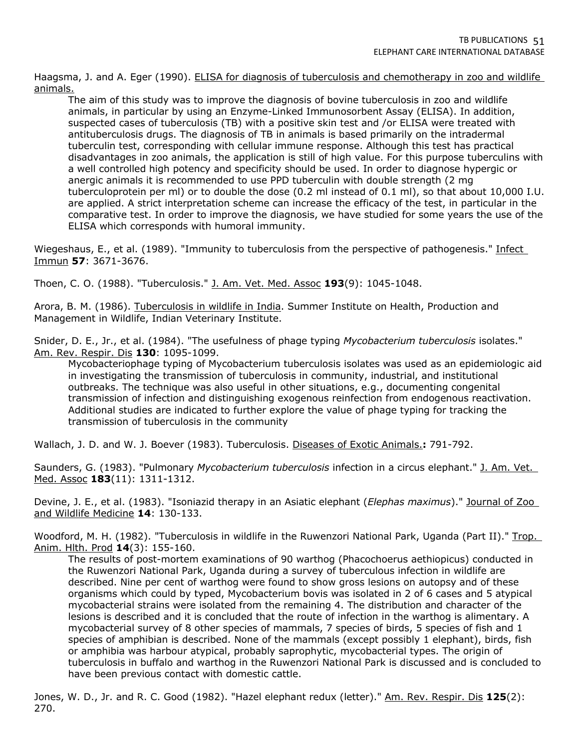Haagsma, J. and A. Eger (1990). ELISA for diagnosis of tuberculosis and chemotherapy in zoo and wildlife animals.

The aim of this study was to improve the diagnosis of bovine tuberculosis in zoo and wildlife animals, in particular by using an Enzyme-Linked Immunosorbent Assay (ELISA). In addition, suspected cases of tuberculosis (TB) with a positive skin test and /or ELISA were treated with antituberculosis drugs. The diagnosis of TB in animals is based primarily on the intradermal tuberculin test, corresponding with cellular immune response. Although this test has practical disadvantages in zoo animals, the application is still of high value. For this purpose tuberculins with a well controlled high potency and specificity should be used. In order to diagnose hypergic or anergic animals it is recommended to use PPD tuberculin with double strength (2 mg tuberculoprotein per ml) or to double the dose (0.2 ml instead of 0.1 ml), so that about 10,000 I.U. are applied. A strict interpretation scheme can increase the efficacy of the test, in particular in the comparative test. In order to improve the diagnosis, we have studied for some years the use of the ELISA which corresponds with humoral immunity.

Wiegeshaus, E., et al. (1989). "Immunity to tuberculosis from the perspective of pathogenesis." Infect Immun **57**: 3671-3676.

Thoen, C. O. (1988). "Tuberculosis." J. Am. Vet. Med. Assoc **193**(9): 1045-1048.

Arora, B. M. (1986). Tuberculosis in wildlife in India. Summer Institute on Health, Production and Management in Wildlife, Indian Veterinary Institute.

Snider, D. E., Jr., et al. (1984). "The usefulness of phage typing *Mycobacterium tuberculosis* isolates." Am. Rev. Respir. Dis **130**: 1095-1099.

Mycobacteriophage typing of Mycobacterium tuberculosis isolates was used as an epidemiologic aid in investigating the transmission of tuberculosis in community, industrial, and institutional outbreaks. The technique was also useful in other situations, e.g., documenting congenital transmission of infection and distinguishing exogenous reinfection from endogenous reactivation. Additional studies are indicated to further explore the value of phage typing for tracking the transmission of tuberculosis in the community

Wallach, J. D. and W. J. Boever (1983). Tuberculosis. Diseases of Exotic Animals.**:** 791-792.

Saunders, G. (1983). "Pulmonary *Mycobacterium tuberculosis* infection in a circus elephant." J. Am. Vet. Med. Assoc **183**(11): 1311-1312.

Devine, J. E., et al. (1983). "Isoniazid therapy in an Asiatic elephant (*Elephas maximus*)." Journal of Zoo and Wildlife Medicine **14**: 130-133.

Woodford, M. H. (1982). "Tuberculosis in wildlife in the Ruwenzori National Park, Uganda (Part II)." Trop. Anim. Hlth. Prod **14**(3): 155-160.

The results of post-mortem examinations of 90 warthog (Phacochoerus aethiopicus) conducted in the Ruwenzori National Park, Uganda during a survey of tuberculous infection in wildlife are described. Nine per cent of warthog were found to show gross lesions on autopsy and of these organisms which could by typed, Mycobacterium bovis was isolated in 2 of 6 cases and 5 atypical mycobacterial strains were isolated from the remaining 4. The distribution and character of the lesions is described and it is concluded that the route of infection in the warthog is alimentary. A mycobacterial survey of 8 other species of mammals, 7 species of birds, 5 species of fish and 1 species of amphibian is described. None of the mammals (except possibly 1 elephant), birds, fish or amphibia was harbour atypical, probably saprophytic, mycobacterial types. The origin of tuberculosis in buffalo and warthog in the Ruwenzori National Park is discussed and is concluded to have been previous contact with domestic cattle.

Jones, W. D., Jr. and R. C. Good (1982). "Hazel elephant redux (letter)." Am. Rev. Respir. Dis **125**(2): 270.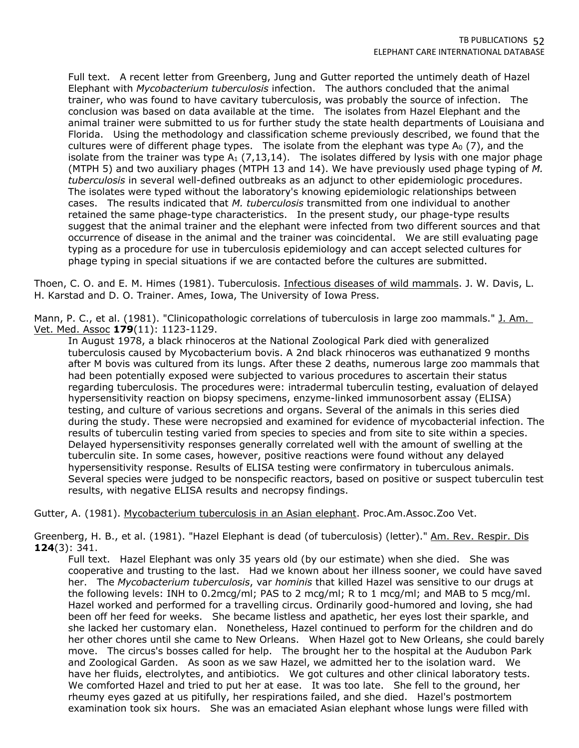Full text. A recent letter from Greenberg, Jung and Gutter reported the untimely death of Hazel Elephant with *Mycobacterium tuberculosis* infection. The authors concluded that the animal trainer, who was found to have cavitary tuberculosis, was probably the source of infection. The conclusion was based on data available at the time. The isolates from Hazel Elephant and the animal trainer were submitted to us for further study the state health departments of Louisiana and Florida. Using the methodology and classification scheme previously described, we found that the cultures were of different phage types. The isolate from the elephant was type  $A_0$  (7), and the isolate from the trainer was type  $A_1$  (7,13,14). The isolates differed by lysis with one major phage (MTPH 5) and two auxiliary phages (MTPH 13 and 14). We have previously used phage typing of *M. tuberculosis* in several well-defined outbreaks as an adjunct to other epidemiologic procedures. The isolates were typed without the laboratory's knowing epidemiologic relationships between cases. The results indicated that *M. tuberculosis* transmitted from one individual to another retained the same phage-type characteristics. In the present study, our phage-type results suggest that the animal trainer and the elephant were infected from two different sources and that occurrence of disease in the animal and the trainer was coincidental. We are still evaluating page typing as a procedure for use in tuberculosis epidemiology and can accept selected cultures for phage typing in special situations if we are contacted before the cultures are submitted.

Thoen, C. O. and E. M. Himes (1981). Tuberculosis. Infectious diseases of wild mammals. J. W. Davis, L. H. Karstad and D. O. Trainer. Ames, Iowa, The University of Iowa Press.

Mann, P. C., et al. (1981). "Clinicopathologic correlations of tuberculosis in large zoo mammals." J. Am. Vet. Med. Assoc **179**(11): 1123-1129.

In August 1978, a black rhinoceros at the National Zoological Park died with generalized tuberculosis caused by Mycobacterium bovis. A 2nd black rhinoceros was euthanatized 9 months after M bovis was cultured from its lungs. After these 2 deaths, numerous large zoo mammals that had been potentially exposed were subjected to various procedures to ascertain their status regarding tuberculosis. The procedures were: intradermal tuberculin testing, evaluation of delayed hypersensitivity reaction on biopsy specimens, enzyme-linked immunosorbent assay (ELISA) testing, and culture of various secretions and organs. Several of the animals in this series died during the study. These were necropsied and examined for evidence of mycobacterial infection. The results of tuberculin testing varied from species to species and from site to site within a species. Delayed hypersensitivity responses generally correlated well with the amount of swelling at the tuberculin site. In some cases, however, positive reactions were found without any delayed hypersensitivity response. Results of ELISA testing were confirmatory in tuberculous animals. Several species were judged to be nonspecific reactors, based on positive or suspect tuberculin test results, with negative ELISA results and necropsy findings.

Gutter, A. (1981). Mycobacterium tuberculosis in an Asian elephant. Proc.Am.Assoc.Zoo Vet.

Greenberg, H. B., et al. (1981). "Hazel Elephant is dead (of tuberculosis) (letter)." Am. Rev. Respir. Dis **124**(3): 341.

Full text. Hazel Elephant was only 35 years old (by our estimate) when she died. She was cooperative and trusting to the last. Had we known about her illness sooner, we could have saved her. The *Mycobacterium tuberculosis*, var *hominis* that killed Hazel was sensitive to our drugs at the following levels: INH to 0.2mcg/ml; PAS to 2 mcg/ml; R to 1 mcg/ml; and MAB to 5 mcg/ml. Hazel worked and performed for a travelling circus. Ordinarily good-humored and loving, she had been off her feed for weeks. She became listless and apathetic, her eyes lost their sparkle, and she lacked her customary elan. Nonetheless, Hazel continued to perform for the children and do her other chores until she came to New Orleans. When Hazel got to New Orleans, she could barely move. The circus's bosses called for help. The brought her to the hospital at the Audubon Park and Zoological Garden. As soon as we saw Hazel, we admitted her to the isolation ward. We have her fluids, electrolytes, and antibiotics. We got cultures and other clinical laboratory tests. We comforted Hazel and tried to put her at ease. It was too late. She fell to the ground, her rheumy eyes gazed at us pitifully, her respirations failed, and she died. Hazel's postmortem examination took six hours. She was an emaciated Asian elephant whose lungs were filled with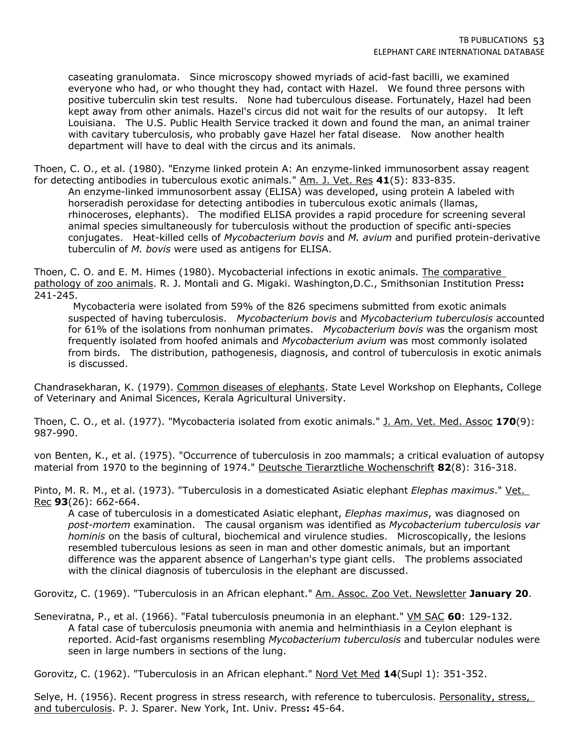caseating granulomata. Since microscopy showed myriads of acid-fast bacilli, we examined everyone who had, or who thought they had, contact with Hazel. We found three persons with positive tuberculin skin test results. None had tuberculous disease. Fortunately, Hazel had been kept away from other animals. Hazel's circus did not wait for the results of our autopsy. It left Louisiana. The U.S. Public Health Service tracked it down and found the man, an animal trainer with cavitary tuberculosis, who probably gave Hazel her fatal disease. Now another health department will have to deal with the circus and its animals.

Thoen, C. O., et al. (1980). "Enzyme linked protein A: An enzyme-linked immunosorbent assay reagent for detecting antibodies in tuberculous exotic animals." Am. J. Vet. Res **41**(5): 833-835.

An enzyme-linked immunosorbent assay (ELISA) was developed, using protein A labeled with horseradish peroxidase for detecting antibodies in tuberculous exotic animals (llamas, rhinoceroses, elephants). The modified ELISA provides a rapid procedure for screening several animal species simultaneously for tuberculosis without the production of specific anti-species conjugates. Heat-killed cells of *Mycobacterium bovis* and *M. avium* and purified protein-derivative tuberculin of *M. bovis* were used as antigens for ELISA.

Thoen, C. O. and E. M. Himes (1980). Mycobacterial infections in exotic animals. The comparative pathology of zoo animals. R. J. Montali and G. Migaki. Washington,D.C., Smithsonian Institution Press**:**  241-245.

Mycobacteria were isolated from 59% of the 826 specimens submitted from exotic animals suspected of having tuberculosis. *Mycobacterium bovis* and *Mycobacterium tuberculosis* accounted for 61% of the isolations from nonhuman primates. *Mycobacterium bovis* was the organism most frequently isolated from hoofed animals and *Mycobacterium avium* was most commonly isolated from birds. The distribution, pathogenesis, diagnosis, and control of tuberculosis in exotic animals is discussed.

Chandrasekharan, K. (1979). Common diseases of elephants. State Level Workshop on Elephants, College of Veterinary and Animal Sicences, Kerala Agricultural University.

Thoen, C. O., et al. (1977). "Mycobacteria isolated from exotic animals." J. Am. Vet. Med. Assoc **170**(9): 987-990.

von Benten, K., et al. (1975). "Occurrence of tuberculosis in zoo mammals; a critical evaluation of autopsy material from 1970 to the beginning of 1974." Deutsche Tierarztliche Wochenschrift **82**(8): 316-318.

Pinto, M. R. M., et al. (1973). "Tuberculosis in a domesticated Asiatic elephant *Elephas maximus*." Vet. Rec **93**(26): 662-664.

A case of tuberculosis in a domesticated Asiatic elephant, *Elephas maximus*, was diagnosed on *post-mortem* examination. The causal organism was identified as *Mycobacterium tuberculosis var hominis* on the basis of cultural, biochemical and virulence studies. Microscopically, the lesions resembled tuberculous lesions as seen in man and other domestic animals, but an important difference was the apparent absence of Langerhan's type giant cells. The problems associated with the clinical diagnosis of tuberculosis in the elephant are discussed.

Gorovitz, C. (1969). "Tuberculosis in an African elephant." Am. Assoc. Zoo Vet. Newsletter **January 20**.

Seneviratna, P., et al. (1966). "Fatal tuberculosis pneumonia in an elephant." VM SAC **60**: 129-132. A fatal case of tuberculosis pneumonia with anemia and helminthiasis in a Ceylon elephant is reported. Acid-fast organisms resembling *Mycobacterium tuberculosis* and tubercular nodules were seen in large numbers in sections of the lung.

Gorovitz, C. (1962). "Tuberculosis in an African elephant." Nord Vet Med **14**(Supl 1): 351-352.

Selye, H. (1956). Recent progress in stress research, with reference to tuberculosis. Personality, stress, and tuberculosis. P. J. Sparer. New York, Int. Univ. Press**:** 45-64.